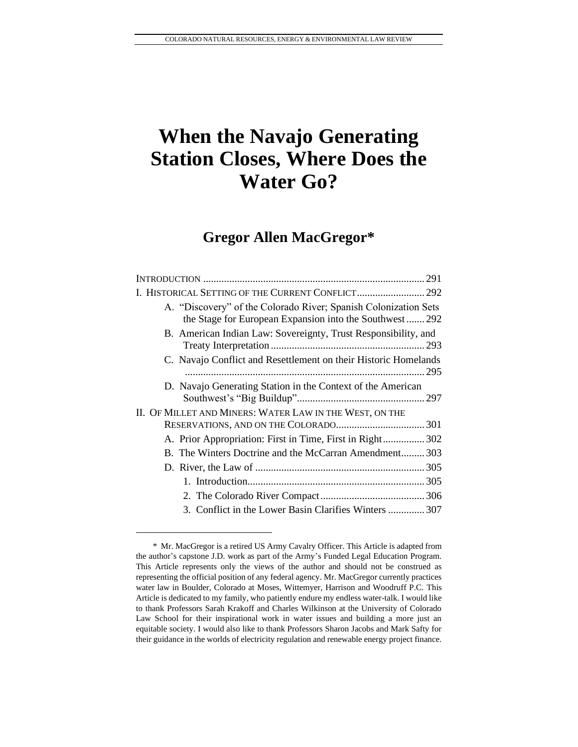# **When the Navajo Generating Station Closes, Where Does the Water Go?**

# **Gregor Allen MacGregor\***

| A. "Discovery" of the Colorado River; Spanish Colonization Sets<br>the Stage for European Expansion into the Southwest 292 |      |
|----------------------------------------------------------------------------------------------------------------------------|------|
| B. American Indian Law: Sovereignty, Trust Responsibility, and                                                             |      |
| C. Navajo Conflict and Resettlement on their Historic Homelands                                                            | .295 |
| D. Navajo Generating Station in the Context of the American                                                                |      |
| II. OF MILLET AND MINERS: WATER LAW IN THE WEST, ON THE                                                                    |      |
|                                                                                                                            |      |
| A. Prior Appropriation: First in Time, First in Right 302                                                                  |      |
| B. The Winters Doctrine and the McCarran Amendment303                                                                      |      |
|                                                                                                                            |      |
|                                                                                                                            |      |
|                                                                                                                            |      |
| 3. Conflict in the Lower Basin Clarifies Winters 307                                                                       |      |

<sup>\*</sup> Mr. MacGregor is a retired US Army Cavalry Officer. This Article is adapted from the author's capstone J.D. work as part of the Army's Funded Legal Education Program. This Article represents only the views of the author and should not be construed as representing the official position of any federal agency. Mr. MacGregor currently practices water law in Boulder, Colorado at Moses, Wittemyer, Harrison and Woodruff P.C. This Article is dedicated to my family, who patiently endure my endless water-talk. I would like to thank Professors Sarah Krakoff and Charles Wilkinson at the University of Colorado Law School for their inspirational work in water issues and building a more just an equitable society. I would also like to thank Professors Sharon Jacobs and Mark Safty for their guidance in the worlds of electricity regulation and renewable energy project finance.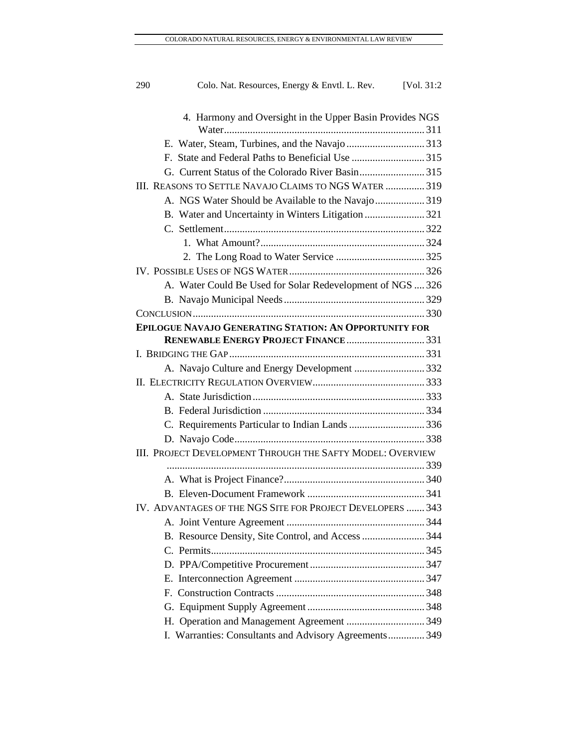| 290                                                      | Colo. Nat. Resources, Energy & Envtl. L. Rev. [Vol. 31:2]     |  |  |
|----------------------------------------------------------|---------------------------------------------------------------|--|--|
| 4. Harmony and Oversight in the Upper Basin Provides NGS |                                                               |  |  |
|                                                          |                                                               |  |  |
|                                                          |                                                               |  |  |
|                                                          |                                                               |  |  |
|                                                          |                                                               |  |  |
|                                                          | III. REASONS TO SETTLE NAVAJO CLAIMS TO NGS WATER  319        |  |  |
|                                                          | A. NGS Water Should be Available to the Navajo319             |  |  |
|                                                          | B. Water and Uncertainty in Winters Litigation  321           |  |  |
|                                                          |                                                               |  |  |
|                                                          |                                                               |  |  |
|                                                          |                                                               |  |  |
|                                                          |                                                               |  |  |
|                                                          | A. Water Could Be Used for Solar Redevelopment of NGS  326    |  |  |
|                                                          |                                                               |  |  |
|                                                          |                                                               |  |  |
|                                                          | <b>EPILOGUE NAVAJO GENERATING STATION: AN OPPORTUNITY FOR</b> |  |  |
|                                                          | <b>RENEWABLE ENERGY PROJECT FINANCE331</b>                    |  |  |
|                                                          |                                                               |  |  |
|                                                          | A. Navajo Culture and Energy Development 332                  |  |  |
|                                                          |                                                               |  |  |
|                                                          |                                                               |  |  |
|                                                          |                                                               |  |  |
|                                                          | C. Requirements Particular to Indian Lands 336                |  |  |
|                                                          |                                                               |  |  |
|                                                          | III. PROJECT DEVELOPMENT THROUGH THE SAFTY MODEL: OVERVIEW    |  |  |
|                                                          |                                                               |  |  |
|                                                          |                                                               |  |  |
|                                                          |                                                               |  |  |
|                                                          | IV. ADVANTAGES OF THE NGS SITE FOR PROJECT DEVELOPERS  343    |  |  |
|                                                          |                                                               |  |  |
|                                                          | B. Resource Density, Site Control, and Access 344             |  |  |
|                                                          |                                                               |  |  |
|                                                          |                                                               |  |  |
|                                                          |                                                               |  |  |
|                                                          |                                                               |  |  |
|                                                          |                                                               |  |  |
|                                                          |                                                               |  |  |
|                                                          | I. Warranties: Consultants and Advisory Agreements 349        |  |  |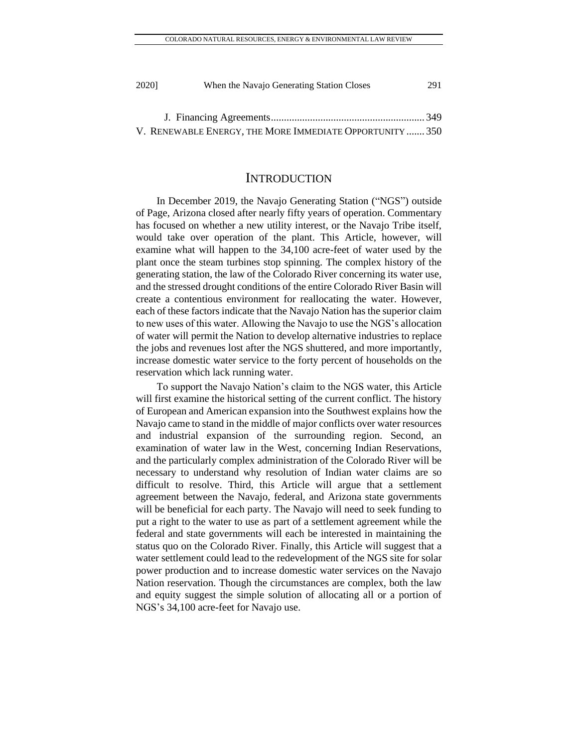| 2020] | When the Navajo Generating Station Closes | 291 |
|-------|-------------------------------------------|-----|
|       |                                           |     |
|       |                                           |     |

J. Financing Agreements........................................................... 349 V. RENEWABLE ENERGY, THE MORE IMMEDIATE OPPORTUNITY ....... 350

### INTRODUCTION

In December 2019, the Navajo Generating Station ("NGS") outside of Page, Arizona closed after nearly fifty years of operation. Commentary has focused on whether a new utility interest, or the Navajo Tribe itself, would take over operation of the plant. This Article, however, will examine what will happen to the 34,100 acre-feet of water used by the plant once the steam turbines stop spinning. The complex history of the generating station, the law of the Colorado River concerning its water use, and the stressed drought conditions of the entire Colorado River Basin will create a contentious environment for reallocating the water. However, each of these factors indicate that the Navajo Nation has the superior claim to new uses of this water. Allowing the Navajo to use the NGS's allocation of water will permit the Nation to develop alternative industries to replace the jobs and revenues lost after the NGS shuttered, and more importantly, increase domestic water service to the forty percent of households on the reservation which lack running water.

To support the Navajo Nation's claim to the NGS water, this Article will first examine the historical setting of the current conflict. The history of European and American expansion into the Southwest explains how the Navajo came to stand in the middle of major conflicts over water resources and industrial expansion of the surrounding region. Second, an examination of water law in the West, concerning Indian Reservations, and the particularly complex administration of the Colorado River will be necessary to understand why resolution of Indian water claims are so difficult to resolve. Third, this Article will argue that a settlement agreement between the Navajo, federal, and Arizona state governments will be beneficial for each party. The Navajo will need to seek funding to put a right to the water to use as part of a settlement agreement while the federal and state governments will each be interested in maintaining the status quo on the Colorado River. Finally, this Article will suggest that a water settlement could lead to the redevelopment of the NGS site for solar power production and to increase domestic water services on the Navajo Nation reservation. Though the circumstances are complex, both the law and equity suggest the simple solution of allocating all or a portion of NGS's 34,100 acre-feet for Navajo use.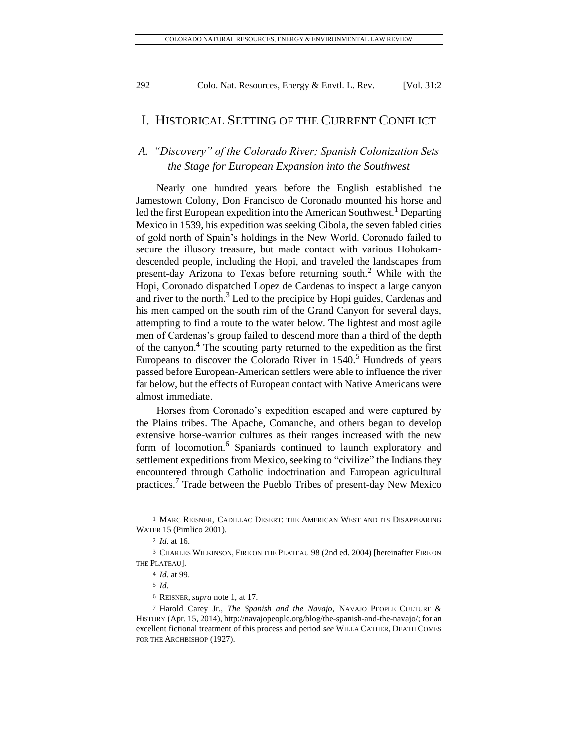# I. HISTORICAL SETTING OF THE CURRENT CONFLICT

# *A. "Discovery" of the Colorado River; Spanish Colonization Sets the Stage for European Expansion into the Southwest*

Nearly one hundred years before the English established the Jamestown Colony, Don Francisco de Coronado mounted his horse and led the first European expedition into the American Southwest.<sup>1</sup> Departing Mexico in 1539, his expedition was seeking Cibola, the seven fabled cities of gold north of Spain's holdings in the New World. Coronado failed to secure the illusory treasure, but made contact with various Hohokamdescended people, including the Hopi, and traveled the landscapes from present-day Arizona to Texas before returning south.<sup>2</sup> While with the Hopi, Coronado dispatched Lopez de Cardenas to inspect a large canyon and river to the north. $3$  Led to the precipice by Hopi guides, Cardenas and his men camped on the south rim of the Grand Canyon for several days, attempting to find a route to the water below. The lightest and most agile men of Cardenas's group failed to descend more than a third of the depth of the canyon.<sup>4</sup> The scouting party returned to the expedition as the first Europeans to discover the Colorado River in 1540.<sup>5</sup> Hundreds of years passed before European-American settlers were able to influence the river far below, but the effects of European contact with Native Americans were almost immediate.

Horses from Coronado's expedition escaped and were captured by the Plains tribes. The Apache, Comanche, and others began to develop extensive horse-warrior cultures as their ranges increased with the new form of locomotion.<sup>6</sup> Spaniards continued to launch exploratory and settlement expeditions from Mexico, seeking to "civilize" the Indians they encountered through Catholic indoctrination and European agricultural practices.<sup>7</sup> Trade between the Pueblo Tribes of present-day New Mexico

<sup>1</sup> MARC REISNER, CADILLAC DESERT: THE AMERICAN WEST AND ITS DISAPPEARING WATER 15 (Pimlico 2001).

<sup>2</sup> *Id.* at 16.

<sup>3</sup> CHARLES WILKINSON, FIRE ON THE PLATEAU 98 (2nd ed. 2004) [hereinafter FIRE ON THE PLATEAU].

<sup>4</sup> *Id.* at 99.

<sup>5</sup> *Id.*

<sup>6</sup> REISNER, *supra* note 1, at 17.

<sup>7</sup> Harold Carey Jr., *The Spanish and the Navajo*, NAVAJO PEOPLE CULTURE & HISTORY (Apr. 15, 2014)[, http://navajopeople.org/blog/the-spanish-and-the-navajo/;](http://navajopeople.org/blog/the-spanish-and-the-navajo/) for an excellent fictional treatment of this process and period *see* WILLA CATHER, DEATH COMES FOR THE ARCHBISHOP (1927).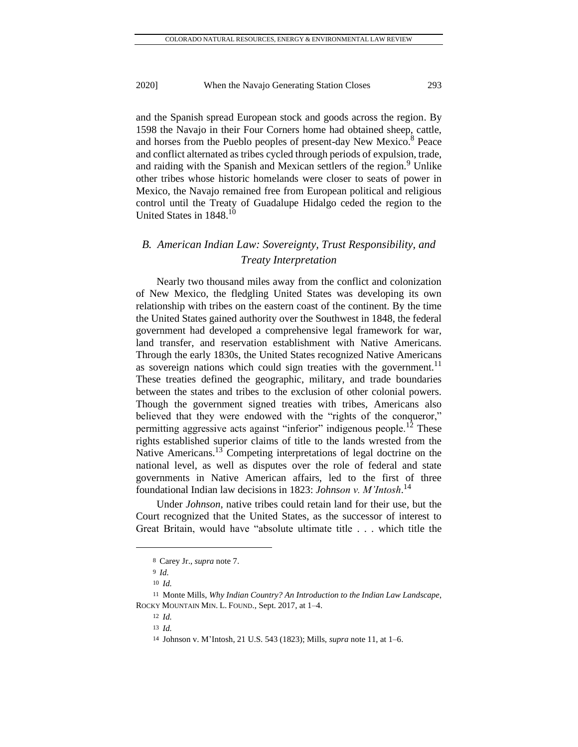and the Spanish spread European stock and goods across the region. By 1598 the Navajo in their Four Corners home had obtained sheep, cattle, and horses from the Pueblo peoples of present-day New Mexico.<sup>8</sup> Peace and conflict alternated as tribes cycled through periods of expulsion, trade, and raiding with the Spanish and Mexican settlers of the region.<sup>9</sup> Unlike other tribes whose historic homelands were closer to seats of power in Mexico, the Navajo remained free from European political and religious control until the Treaty of Guadalupe Hidalgo ceded the region to the United States in 1848.<sup>10</sup>

# *B. American Indian Law: Sovereignty, Trust Responsibility, and Treaty Interpretation*

Nearly two thousand miles away from the conflict and colonization of New Mexico, the fledgling United States was developing its own relationship with tribes on the eastern coast of the continent. By the time the United States gained authority over the Southwest in 1848, the federal government had developed a comprehensive legal framework for war, land transfer, and reservation establishment with Native Americans. Through the early 1830s, the United States recognized Native Americans as sovereign nations which could sign treaties with the government.<sup>11</sup> These treaties defined the geographic, military, and trade boundaries between the states and tribes to the exclusion of other colonial powers. Though the government signed treaties with tribes, Americans also believed that they were endowed with the "rights of the conqueror," permitting aggressive acts against "inferior" indigenous people.<sup>12</sup> These rights established superior claims of title to the lands wrested from the Native Americans.<sup>13</sup> Competing interpretations of legal doctrine on the national level, as well as disputes over the role of federal and state governments in Native American affairs, led to the first of three foundational Indian law decisions in 1823: *Johnson v. M'Intosh*. 14

Under *Johnson*, native tribes could retain land for their use, but the Court recognized that the United States, as the successor of interest to Great Britain, would have "absolute ultimate title . . . which title the

<sup>8</sup> Carey Jr., *supra* note 7.

<sup>9</sup> *Id.* 

<sup>10</sup> *Id.*

<sup>11</sup> Monte Mills, *Why Indian Country? An Introduction to the Indian Law Landscape*, ROCKY MOUNTAIN MIN. L. FOUND., Sept. 2017, at 1–4.

<sup>12</sup> *Id.*

<sup>13</sup> *Id.*

<sup>14</sup> Johnson v. M'Intosh, 21 U.S. 543 (1823); Mills, *supra* note 11, at 1–6.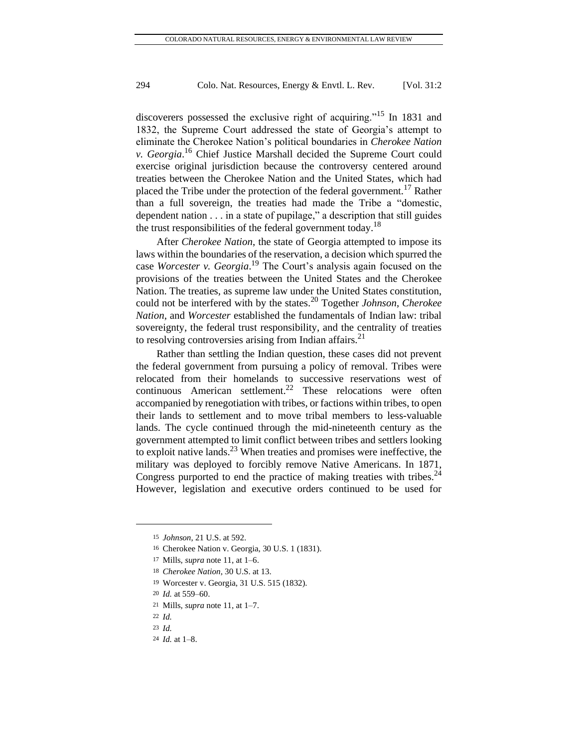discoverers possessed the exclusive right of acquiring."<sup>15</sup> In 1831 and 1832, the Supreme Court addressed the state of Georgia's attempt to eliminate the Cherokee Nation's political boundaries in *Cherokee Nation v. Georgia*. <sup>16</sup> Chief Justice Marshall decided the Supreme Court could exercise original jurisdiction because the controversy centered around treaties between the Cherokee Nation and the United States, which had placed the Tribe under the protection of the federal government.<sup>17</sup> Rather than a full sovereign, the treaties had made the Tribe a "domestic, dependent nation . . . in a state of pupilage," a description that still guides the trust responsibilities of the federal government today.<sup>18</sup>

After *Cherokee Nation*, the state of Georgia attempted to impose its laws within the boundaries of the reservation, a decision which spurred the case *Worcester v. Georgia*. <sup>19</sup> The Court's analysis again focused on the provisions of the treaties between the United States and the Cherokee Nation. The treaties, as supreme law under the United States constitution, could not be interfered with by the states.<sup>20</sup> Together *Johnson*, *Cherokee Nation*, and *Worcester* established the fundamentals of Indian law: tribal sovereignty, the federal trust responsibility, and the centrality of treaties to resolving controversies arising from Indian affairs. $2<sup>1</sup>$ 

Rather than settling the Indian question, these cases did not prevent the federal government from pursuing a policy of removal. Tribes were relocated from their homelands to successive reservations west of continuous American settlement.<sup>22</sup> These relocations were often accompanied by renegotiation with tribes, or factions within tribes, to open their lands to settlement and to move tribal members to less-valuable lands. The cycle continued through the mid-nineteenth century as the government attempted to limit conflict between tribes and settlers looking to exploit native lands.<sup>23</sup> When treaties and promises were ineffective, the military was deployed to forcibly remove Native Americans. In 1871, Congress purported to end the practice of making treaties with tribes. $^{24}$ However, legislation and executive orders continued to be used for

<sup>15</sup> *Johnson*, 21 U.S. at 592.

<sup>16</sup> Cherokee Nation v. Georgia, 30 U.S. 1 (1831).

<sup>17</sup> Mills, *supra* note 11, at 1–6.

<sup>18</sup> *Cherokee Nation*, 30 U.S. at 13.

<sup>19</sup> Worcester v. Georgia, 31 U.S. 515 (1832).

<sup>20</sup> *Id.* at 559–60.

<sup>21</sup> Mills, *supra* note 11, at 1–7.

<sup>22</sup> *Id.*

<sup>23</sup> *Id.*

<sup>24</sup> *Id.* at 1–8.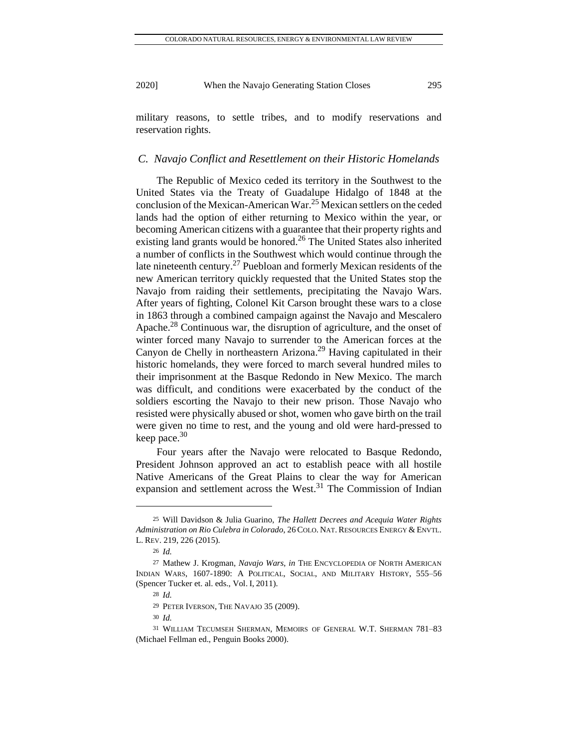military reasons, to settle tribes, and to modify reservations and reservation rights.

#### *C. Navajo Conflict and Resettlement on their Historic Homelands*

The Republic of Mexico ceded its territory in the Southwest to the United States via the Treaty of Guadalupe Hidalgo of 1848 at the conclusion of the Mexican-American War. <sup>25</sup> Mexican settlers on the ceded lands had the option of either returning to Mexico within the year, or becoming American citizens with a guarantee that their property rights and existing land grants would be honored.<sup>26</sup> The United States also inherited a number of conflicts in the Southwest which would continue through the late nineteenth century.<sup>27</sup> Puebloan and formerly Mexican residents of the new American territory quickly requested that the United States stop the Navajo from raiding their settlements, precipitating the Navajo Wars. After years of fighting, Colonel Kit Carson brought these wars to a close in 1863 through a combined campaign against the Navajo and Mescalero Apache.<sup>28</sup> Continuous war, the disruption of agriculture, and the onset of winter forced many Navajo to surrender to the American forces at the Canyon de Chelly in northeastern Arizona. <sup>29</sup> Having capitulated in their historic homelands, they were forced to march several hundred miles to their imprisonment at the Basque Redondo in New Mexico. The march was difficult, and conditions were exacerbated by the conduct of the soldiers escorting the Navajo to their new prison. Those Navajo who resisted were physically abused or shot, women who gave birth on the trail were given no time to rest, and the young and old were hard-pressed to keep pace. $30$ 

Four years after the Navajo were relocated to Basque Redondo, President Johnson approved an act to establish peace with all hostile Native Americans of the Great Plains to clear the way for American expansion and settlement across the West.<sup>31</sup> The Commission of Indian

28 *Id.*

<sup>25</sup> Will Davidson & Julia Guarino, *The Hallett Decrees and Acequia Water Rights Administration on Rio Culebra in Colorado*, 26COLO. NAT. RESOURCES ENERGY & ENVTL. L. REV. 219, 226 (2015).

<sup>26</sup> *Id.*

<sup>27</sup> Mathew J. Krogman, *Navajo Wars*, *in* THE ENCYCLOPEDIA OF NORTH AMERICAN INDIAN WARS, 1607-1890: A POLITICAL, SOCIAL, AND MILITARY HISTORY, 555–56 (Spencer Tucker et. al. eds., Vol. I, 2011).

<sup>29</sup> PETER IVERSON, THE NAVAJO 35 (2009).

<sup>30</sup> *Id.*

<sup>31</sup> WILLIAM TECUMSEH SHERMAN, MEMOIRS OF GENERAL W.T. SHERMAN 781–83 (Michael Fellman ed., Penguin Books 2000).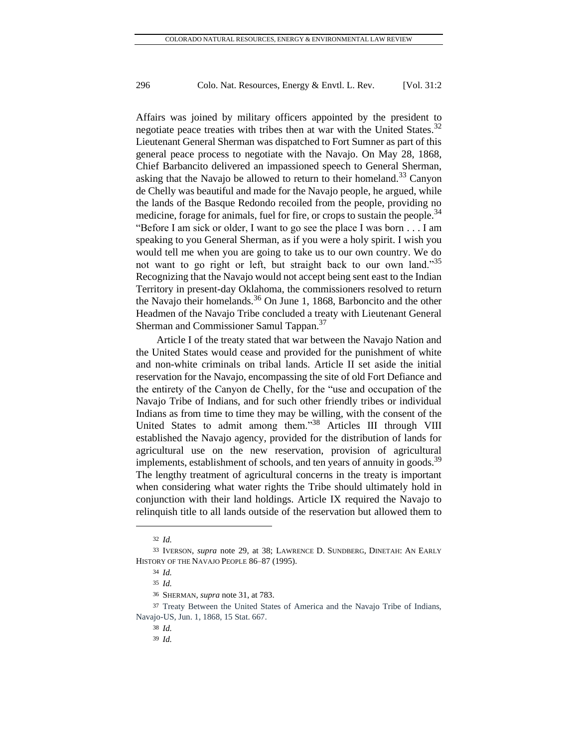Affairs was joined by military officers appointed by the president to negotiate peace treaties with tribes then at war with the United States. $32$ Lieutenant General Sherman was dispatched to Fort Sumner as part of this general peace process to negotiate with the Navajo. On May 28, 1868, Chief Barbancito delivered an impassioned speech to General Sherman, asking that the Navajo be allowed to return to their homeland. $33$  Canyon de Chelly was beautiful and made for the Navajo people, he argued, while the lands of the Basque Redondo recoiled from the people, providing no medicine, forage for animals, fuel for fire, or crops to sustain the people.<sup>34</sup> "Before I am sick or older, I want to go see the place I was born . . . I am speaking to you General Sherman, as if you were a holy spirit. I wish you would tell me when you are going to take us to our own country. We do not want to go right or left, but straight back to our own land."<sup>35</sup> Recognizing that the Navajo would not accept being sent east to the Indian Territory in present-day Oklahoma, the commissioners resolved to return the Navajo their homelands.<sup>36</sup> On June 1, 1868, Barboncito and the other Headmen of the Navajo Tribe concluded a treaty with Lieutenant General Sherman and Commissioner Samul Tappan.<sup>37</sup>

Article I of the treaty stated that war between the Navajo Nation and the United States would cease and provided for the punishment of white and non-white criminals on tribal lands. Article II set aside the initial reservation for the Navajo, encompassing the site of old Fort Defiance and the entirety of the Canyon de Chelly, for the "use and occupation of the Navajo Tribe of Indians, and for such other friendly tribes or individual Indians as from time to time they may be willing, with the consent of the United States to admit among them."<sup>38</sup> Articles III through VIII established the Navajo agency, provided for the distribution of lands for agricultural use on the new reservation, provision of agricultural implements, establishment of schools, and ten years of annuity in goods.<sup>39</sup> The lengthy treatment of agricultural concerns in the treaty is important when considering what water rights the Tribe should ultimately hold in conjunction with their land holdings. Article IX required the Navajo to relinquish title to all lands outside of the reservation but allowed them to

<sup>32</sup> *Id.*

<sup>33</sup> IVERSON, *supra* note 29, at 38; LAWRENCE D. SUNDBERG, DINETAH: AN EARLY HISTORY OF THE NAVAJO PEOPLE 86–87 (1995).

<sup>34</sup> *Id.*

<sup>35</sup> *Id.*

<sup>36</sup> SHERMAN, *supra* note 31, at 783.

<sup>37</sup> Treaty Between the United States of America and the Navajo Tribe of Indians, Navajo-US, Jun. 1, 1868, 15 Stat. 667.

<sup>38</sup> *Id.*

<sup>39</sup> *Id.*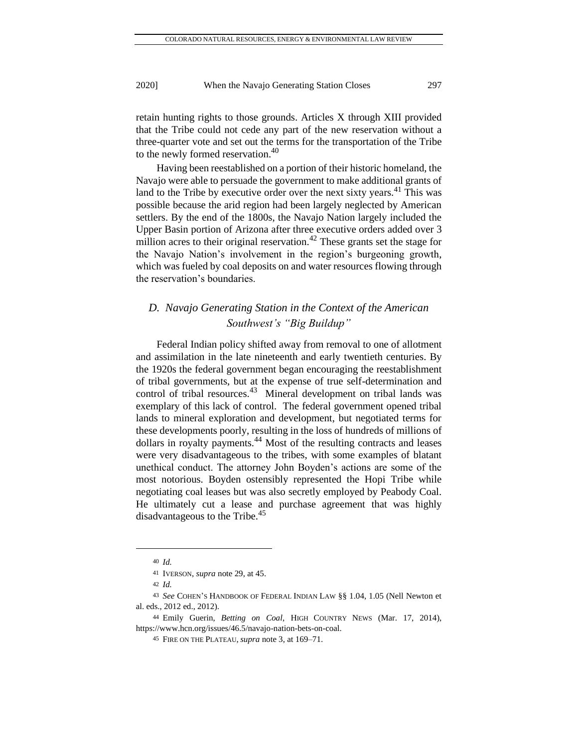retain hunting rights to those grounds. Articles X through XIII provided that the Tribe could not cede any part of the new reservation without a three-quarter vote and set out the terms for the transportation of the Tribe to the newly formed reservation.<sup>40</sup>

Having been reestablished on a portion of their historic homeland, the Navajo were able to persuade the government to make additional grants of land to the Tribe by executive order over the next sixty years.<sup>41</sup> This was possible because the arid region had been largely neglected by American settlers. By the end of the 1800s, the Navajo Nation largely included the Upper Basin portion of Arizona after three executive orders added over 3 million acres to their original reservation.<sup>42</sup> These grants set the stage for the Navajo Nation's involvement in the region's burgeoning growth, which was fueled by coal deposits on and water resources flowing through the reservation's boundaries.

# *D. Navajo Generating Station in the Context of the American Southwest's "Big Buildup"*

Federal Indian policy shifted away from removal to one of allotment and assimilation in the late nineteenth and early twentieth centuries. By the 1920s the federal government began encouraging the reestablishment of tribal governments, but at the expense of true self-determination and control of tribal resources.<sup>43</sup> Mineral development on tribal lands was exemplary of this lack of control. The federal government opened tribal lands to mineral exploration and development, but negotiated terms for these developments poorly, resulting in the loss of hundreds of millions of dollars in royalty payments.<sup>44</sup> Most of the resulting contracts and leases were very disadvantageous to the tribes, with some examples of blatant unethical conduct. The attorney John Boyden's actions are some of the most notorious. Boyden ostensibly represented the Hopi Tribe while negotiating coal leases but was also secretly employed by Peabody Coal. He ultimately cut a lease and purchase agreement that was highly disadvantageous to the Tribe.<sup>45</sup>

<sup>40</sup> *Id.*

<sup>41</sup> IVERSON, *supra* note 29, at 45.

<sup>42</sup> *Id.*

<sup>43</sup> *See* COHEN'S HANDBOOK OF FEDERAL INDIAN LAW §§ 1.04, 1.05 (Nell Newton et al. eds., 2012 ed., 2012).

<sup>44</sup> Emily Guerin, *Betting on Coal*, HIGH COUNTRY NEWS (Mar. 17, 2014), https://www.hcn.org/issues/46.5/navajo-nation-bets-on-coal.

<sup>45</sup> FIRE ON THE PLATEAU, *supra* note 3, at 169–71.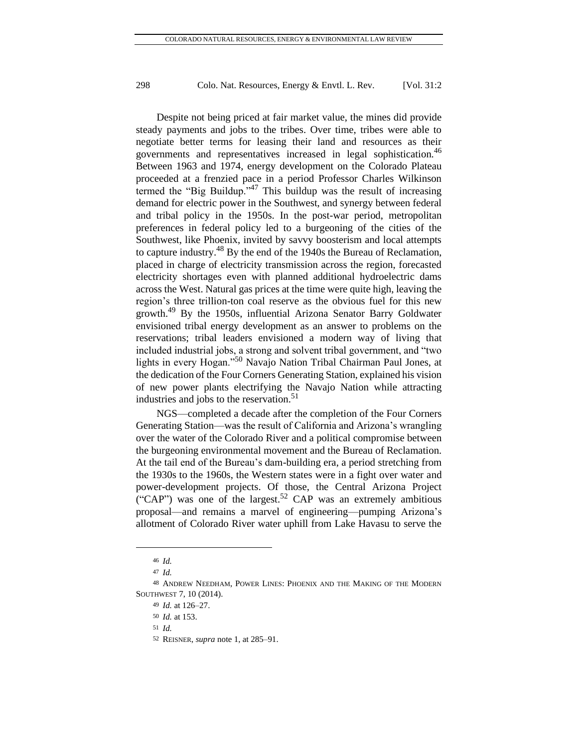Despite not being priced at fair market value, the mines did provide steady payments and jobs to the tribes. Over time, tribes were able to negotiate better terms for leasing their land and resources as their governments and representatives increased in legal sophistication.<sup>46</sup> Between 1963 and 1974, energy development on the Colorado Plateau proceeded at a frenzied pace in a period Professor Charles Wilkinson termed the "Big Buildup."<sup>47</sup> This buildup was the result of increasing demand for electric power in the Southwest, and synergy between federal and tribal policy in the 1950s. In the post-war period, metropolitan preferences in federal policy led to a burgeoning of the cities of the Southwest, like Phoenix, invited by savvy boosterism and local attempts to capture industry.<sup>48</sup> By the end of the 1940s the Bureau of Reclamation, placed in charge of electricity transmission across the region, forecasted electricity shortages even with planned additional hydroelectric dams across the West. Natural gas prices at the time were quite high, leaving the region's three trillion-ton coal reserve as the obvious fuel for this new growth.<sup>49</sup> By the 1950s, influential Arizona Senator Barry Goldwater envisioned tribal energy development as an answer to problems on the reservations; tribal leaders envisioned a modern way of living that included industrial jobs, a strong and solvent tribal government, and "two lights in every Hogan."<sup>50</sup> Navajo Nation Tribal Chairman Paul Jones, at the dedication of the Four Corners Generating Station, explained his vision of new power plants electrifying the Navajo Nation while attracting industries and jobs to the reservation.<sup>51</sup>

NGS—completed a decade after the completion of the Four Corners Generating Station—was the result of California and Arizona's wrangling over the water of the Colorado River and a political compromise between the burgeoning environmental movement and the Bureau of Reclamation. At the tail end of the Bureau's dam-building era, a period stretching from the 1930s to the 1960s, the Western states were in a fight over water and power-development projects. Of those, the Central Arizona Project ("CAP") was one of the largest.<sup>52</sup> CAP was an extremely ambitious proposal—and remains a marvel of engineering—pumping Arizona's allotment of Colorado River water uphill from Lake Havasu to serve the

<sup>46</sup> *Id.*

<sup>47</sup> *Id.*

<sup>48</sup> ANDREW NEEDHAM, POWER LINES: PHOENIX AND THE MAKING OF THE MODERN SOUTHWEST 7, 10 (2014).

<sup>49</sup> *Id.* at 126–27.

<sup>50</sup> *Id.* at 153.

<sup>51</sup> *Id.*

<sup>52</sup> REISNER, *supra* note 1, at 285–91.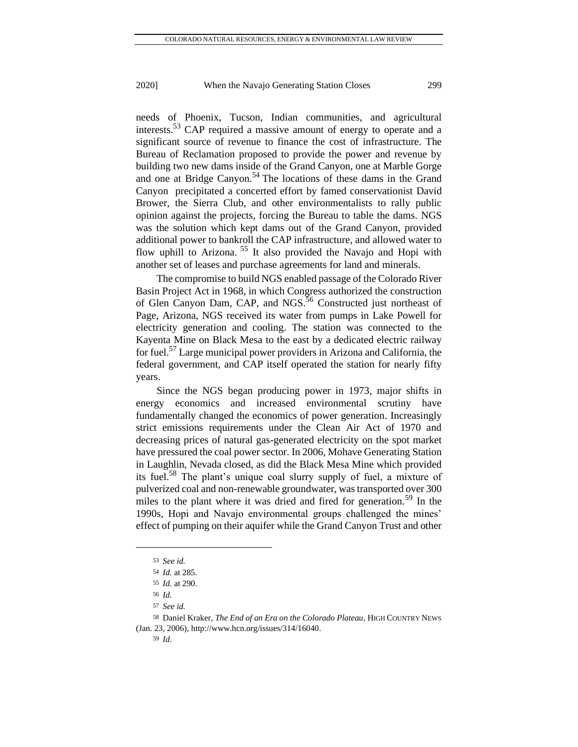needs of Phoenix, Tucson, Indian communities, and agricultural interests.<sup>53</sup> CAP required a massive amount of energy to operate and a significant source of revenue to finance the cost of infrastructure. The Bureau of Reclamation proposed to provide the power and revenue by building two new dams inside of the Grand Canyon, one at Marble Gorge and one at Bridge Canyon.<sup>54</sup> The locations of these dams in the Grand Canyon precipitated a concerted effort by famed conservationist David Brower, the Sierra Club, and other environmentalists to rally public opinion against the projects, forcing the Bureau to table the dams. NGS was the solution which kept dams out of the Grand Canyon, provided additional power to bankroll the CAP infrastructure, and allowed water to flow uphill to Arizona. <sup>55</sup> It also provided the Navajo and Hopi with another set of leases and purchase agreements for land and minerals.

The compromise to build NGS enabled passage of the Colorado River Basin Project Act in 1968, in which Congress authorized the construction of Glen Canyon Dam, CAP, and NGS.<sup>56</sup> Constructed just northeast of Page, Arizona, NGS received its water from pumps in Lake Powell for electricity generation and cooling. The station was connected to the Kayenta Mine on Black Mesa to the east by a dedicated electric railway for fuel.<sup>57</sup> Large municipal power providers in Arizona and California, the federal government, and CAP itself operated the station for nearly fifty years.

Since the NGS began producing power in 1973, major shifts in energy economics and increased environmental scrutiny have fundamentally changed the economics of power generation. Increasingly strict emissions requirements under the Clean Air Act of 1970 and decreasing prices of natural gas-generated electricity on the spot market have pressured the coal power sector. In 2006, Mohave Generating Station in Laughlin, Nevada closed, as did the Black Mesa Mine which provided its fuel.<sup>58</sup> The plant's unique coal slurry supply of fuel, a mixture of pulverized coal and non-renewable groundwater, was transported over 300 miles to the plant where it was dried and fired for generation.<sup>59</sup> In the 1990s, Hopi and Navajo environmental groups challenged the mines' effect of pumping on their aquifer while the Grand Canyon Trust and other

<sup>53</sup> *See id.*

<sup>54</sup> *Id.* at 285.

<sup>55</sup> *Id.* at 290.

<sup>56</sup> *Id.*

<sup>57</sup> *See id.*

<sup>58</sup> Daniel Kraker, *The End of an Era on the Colorado Plateau*, HIGH COUNTRY NEWS (Jan. 23, 2006)[, http://www.hcn.org/issues/314/16040.](http://www.hcn.org/issues/314/16040)

<sup>59</sup> *Id.*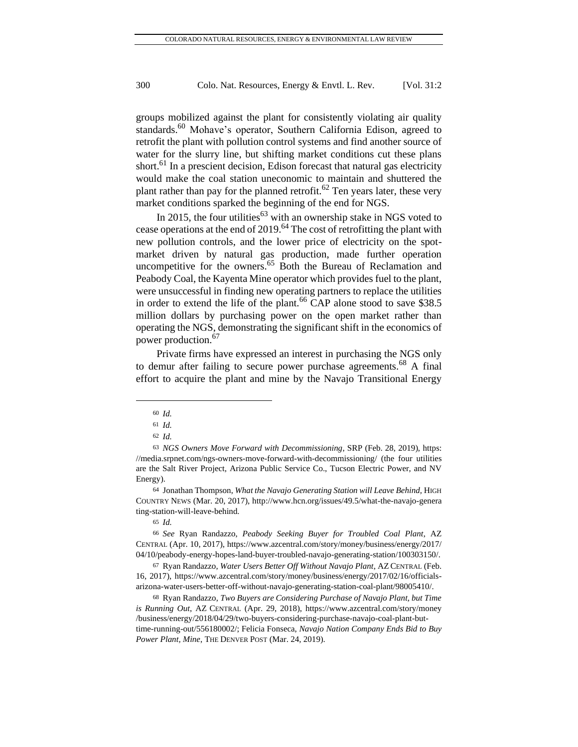groups mobilized against the plant for consistently violating air quality standards.<sup>60</sup> Mohave's operator, Southern California Edison, agreed to retrofit the plant with pollution control systems and find another source of water for the slurry line, but shifting market conditions cut these plans short.<sup>61</sup> In a prescient decision, Edison forecast that natural gas electricity would make the coal station uneconomic to maintain and shuttered the plant rather than pay for the planned retrofit.<sup>62</sup> Ten years later, these very market conditions sparked the beginning of the end for NGS.

In 2015, the four utilities<sup>63</sup> with an ownership stake in NGS voted to cease operations at the end of 2019.<sup>64</sup> The cost of retrofitting the plant with new pollution controls, and the lower price of electricity on the spotmarket driven by natural gas production, made further operation uncompetitive for the owners.<sup>65</sup> Both the Bureau of Reclamation and Peabody Coal, the Kayenta Mine operator which provides fuel to the plant, were unsuccessful in finding new operating partners to replace the utilities in order to extend the life of the plant.<sup>66</sup> CAP alone stood to save \$38.5 million dollars by purchasing power on the open market rather than operating the NGS, demonstrating the significant shift in the economics of power production.<sup>67</sup>

Private firms have expressed an interest in purchasing the NGS only to demur after failing to secure power purchase agreements.<sup>68</sup> A final effort to acquire the plant and mine by the Navajo Transitional Energy

<sup>60</sup> *Id.*

<sup>61</sup> *Id.*

<sup>62</sup> *Id.*

<sup>63</sup> *NGS Owners Move Forward with Decommissioning*, SRP (Feb. 28, 2019), [https:](https://media.srpnet.com/ngs-owners-move-forward-with-decommissioning/) [//media.srpnet.com/ngs-owners-move-forward-with-decommissioning/](https://media.srpnet.com/ngs-owners-move-forward-with-decommissioning/) (the four utilities are the Salt River Project, Arizona Public Service Co., Tucson Electric Power, and NV Energy).

<sup>64</sup> Jonathan Thompson, *What the Navajo Generating Station will Leave Behind,* HIGH COUNTRY NEWS (Mar. 20, 2017), [http://www.hcn.org/issues/49.5/what-the-navajo-genera](http://www.hcn.org/issues/49.5/what-the-navajo-genera%20ting-station-will-leave-behind)  [ting-station-will-leave-behind.](http://www.hcn.org/issues/49.5/what-the-navajo-genera%20ting-station-will-leave-behind)

<sup>65</sup> *Id.*

<sup>66</sup> *See* Ryan Randazzo, *Peabody Seeking Buyer for Troubled Coal Plant*, AZ CENTRAL (Apr. 10, 2017)[, https://www.azcentral.com/story/money/business/energy/2017/](https://www.azcentral.com/story/money/business/energy/2017/%2004/10/peabody-energy-hopes-land-buyer-troubled-navajo-generating-station/100303150/)  [04/10/peabody-energy-hopes-land-buyer-troubled-navajo-generating-station/100303150/.](https://www.azcentral.com/story/money/business/energy/2017/%2004/10/peabody-energy-hopes-land-buyer-troubled-navajo-generating-station/100303150/)

<sup>67</sup> Ryan Randazzo, *Water Users Better Off Without Navajo Plant*, AZCENTRAL (Feb. 16, 2017), [https://www.azcentral.com/story/money/business/energy/2017/02/16/officials](https://www.azcentral.com/story/money/business/energy/2017/02/16/officials-arizona-water-users-better-off-without-navajo-generating-station-coal-plant/98005410/)[arizona-water-users-better-off-without-navajo-generating-station-coal-plant/98005410/.](https://www.azcentral.com/story/money/business/energy/2017/02/16/officials-arizona-water-users-better-off-without-navajo-generating-station-coal-plant/98005410/)

<sup>68</sup> Ryan Randazzo, *Two Buyers are Considering Purchase of Navajo Plant, but Time is Running Out*, AZ CENTRAL (Apr. 29, 2018), [https://www.azcentral.com/story/money](https://www.azcentral.com/story/money%20/business/energy/2018/04/29/two-buyers-considering-purchase-navajo-coal-plant-but-time-running-out/556180002/)  [/business/energy/2018/04/29/two-buyers-considering-purchase-navajo-coal-plant-but](https://www.azcentral.com/story/money%20/business/energy/2018/04/29/two-buyers-considering-purchase-navajo-coal-plant-but-time-running-out/556180002/)[time-running-out/556180002/;](https://www.azcentral.com/story/money%20/business/energy/2018/04/29/two-buyers-considering-purchase-navajo-coal-plant-but-time-running-out/556180002/) Felicia Fonseca, *Navajo Nation Company Ends Bid to Buy Power Plant, Mine*, THE DENVER POST (Mar. 24, 2019).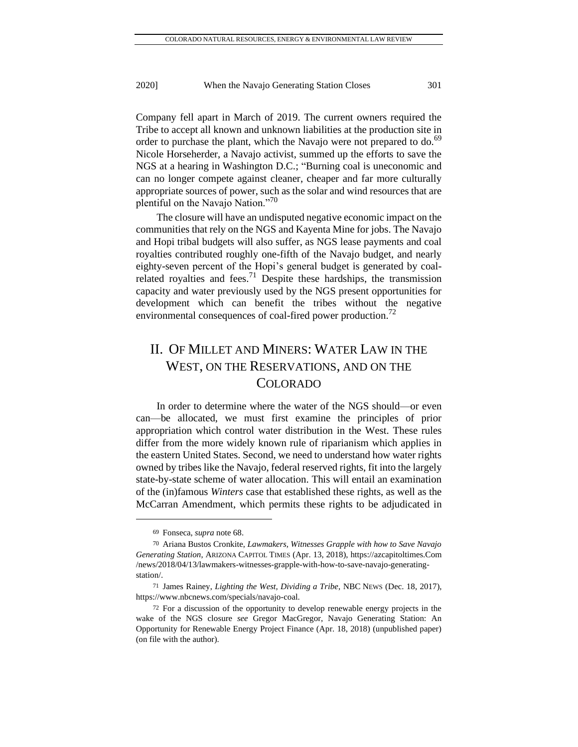Company fell apart in March of 2019. The current owners required the Tribe to accept all known and unknown liabilities at the production site in order to purchase the plant, which the Navajo were not prepared to do.<sup>69</sup> Nicole Horseherder, a Navajo activist, summed up the efforts to save the NGS at a hearing in Washington D.C.; "Burning coal is uneconomic and can no longer compete against cleaner, cheaper and far more culturally appropriate sources of power, such as the solar and wind resources that are plentiful on the Navajo Nation."<sup>70</sup>

The closure will have an undisputed negative economic impact on the communities that rely on the NGS and Kayenta Mine for jobs. The Navajo and Hopi tribal budgets will also suffer, as NGS lease payments and coal royalties contributed roughly one-fifth of the Navajo budget, and nearly eighty-seven percent of the Hopi's general budget is generated by coalrelated royalties and fees.<sup>71</sup> Despite these hardships, the transmission capacity and water previously used by the NGS present opportunities for development which can benefit the tribes without the negative environmental consequences of coal-fired power production.<sup>72</sup>

# II. OF MILLET AND MINERS: WATER LAW IN THE WEST, ON THE RESERVATIONS, AND ON THE COLORADO

In order to determine where the water of the NGS should—or even can—be allocated, we must first examine the principles of prior appropriation which control water distribution in the West. These rules differ from the more widely known rule of riparianism which applies in the eastern United States. Second, we need to understand how water rights owned by tribes like the Navajo, federal reserved rights, fit into the largely state-by-state scheme of water allocation. This will entail an examination of the (in)famous *Winters* case that established these rights, as well as the McCarran Amendment, which permits these rights to be adjudicated in

<sup>69</sup> Fonseca, *supra* note 68.

<sup>70</sup> Ariana Bustos Cronkite, *Lawmakers, Witnesses Grapple with how to Save Navajo Generating Station*, ARIZONA CAPITOL TIMES (Apr. 13, 2018), https://azcapitoltimes.Com /news/2018/04/13/lawmakers-witnesses-grapple-with-how-to-save-navajo-generatingstation/.

<sup>71</sup> James Rainey, *Lighting the West, Dividing a Tribe*, NBC NEWS (Dec. 18, 2017), [https://www.nbcnews.com/specials/navajo-coal.](https://www.nbcnews.com/specials/navajo-coal)

<sup>72</sup> For a discussion of the opportunity to develop renewable energy projects in the wake of the NGS closure *see* Gregor MacGregor, Navajo Generating Station: An Opportunity for Renewable Energy Project Finance (Apr. 18, 2018) (unpublished paper) (on file with the author).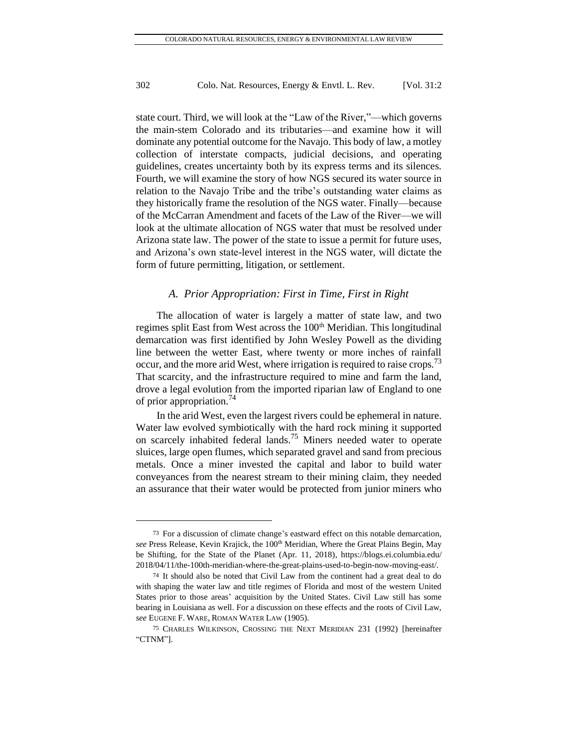state court. Third, we will look at the "Law of the River,"—which governs the main-stem Colorado and its tributaries—and examine how it will dominate any potential outcome for the Navajo. This body of law, a motley collection of interstate compacts, judicial decisions, and operating guidelines, creates uncertainty both by its express terms and its silences. Fourth, we will examine the story of how NGS secured its water source in relation to the Navajo Tribe and the tribe's outstanding water claims as they historically frame the resolution of the NGS water. Finally—because of the McCarran Amendment and facets of the Law of the River—we will look at the ultimate allocation of NGS water that must be resolved under Arizona state law. The power of the state to issue a permit for future uses, and Arizona's own state-level interest in the NGS water, will dictate the form of future permitting, litigation, or settlement.

#### *A. Prior Appropriation: First in Time, First in Right*

The allocation of water is largely a matter of state law, and two regimes split East from West across the 100<sup>th</sup> Meridian. This longitudinal demarcation was first identified by John Wesley Powell as the dividing line between the wetter East, where twenty or more inches of rainfall occur, and the more arid West, where irrigation is required to raise crops.<sup>73</sup> That scarcity, and the infrastructure required to mine and farm the land, drove a legal evolution from the imported riparian law of England to one of prior appropriation.  $\frac{74}{4}$ 

In the arid West, even the largest rivers could be ephemeral in nature. Water law evolved symbiotically with the hard rock mining it supported on scarcely inhabited federal lands.<sup>75</sup> Miners needed water to operate sluices, large open flumes, which separated gravel and sand from precious metals. Once a miner invested the capital and labor to build water conveyances from the nearest stream to their mining claim, they needed an assurance that their water would be protected from junior miners who

<sup>73</sup> For a discussion of climate change's eastward effect on this notable demarcation, see Press Release, Kevin Krajick, the 100<sup>th</sup> Meridian, Where the Great Plains Begin, May be Shifting, for the State of the Planet (Apr. 11, 2018), <https://blogs.ei.columbia.edu/> 2018/04/11/the-100th-meridian-where-the-great-plains-used-to-begin-now-moving-east/.

<sup>74</sup> It should also be noted that Civil Law from the continent had a great deal to do with shaping the water law and title regimes of Florida and most of the western United States prior to those areas' acquisition by the United States. Civil Law still has some bearing in Louisiana as well. For a discussion on these effects and the roots of Civil Law, *see* EUGENE F. WARE, ROMAN WATER LAW (1905).

<sup>75</sup> CHARLES WILKINSON, CROSSING THE NEXT MERIDIAN 231 (1992) [hereinafter "CTNM"].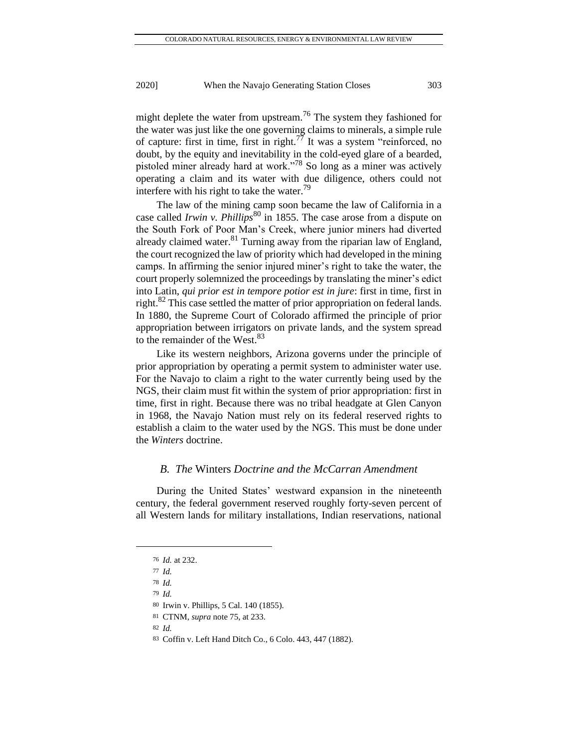might deplete the water from upstream.<sup>76</sup> The system they fashioned for the water was just like the one governing claims to minerals, a simple rule of capture: first in time, first in right.<sup>77</sup> It was a system "reinforced, no doubt, by the equity and inevitability in the cold-eyed glare of a bearded, pistoled miner already hard at work."<sup>78</sup> So long as a miner was actively operating a claim and its water with due diligence, others could not interfere with his right to take the water. $\frac{79}{2}$ 

The law of the mining camp soon became the law of California in a case called *Irwin v. Phillips*<sup>80</sup> in 1855. The case arose from a dispute on the South Fork of Poor Man's Creek, where junior miners had diverted already claimed water.<sup>81</sup> Turning away from the riparian law of England, the court recognized the law of priority which had developed in the mining camps. In affirming the senior injured miner's right to take the water, the court properly solemnized the proceedings by translating the miner's edict into Latin, *qui prior est in tempore potior est in jure*: first in time, first in right.<sup>82</sup> This case settled the matter of prior appropriation on federal lands. In 1880, the Supreme Court of Colorado affirmed the principle of prior appropriation between irrigators on private lands, and the system spread to the remainder of the West.<sup>83</sup>

Like its western neighbors, Arizona governs under the principle of prior appropriation by operating a permit system to administer water use. For the Navajo to claim a right to the water currently being used by the NGS, their claim must fit within the system of prior appropriation: first in time, first in right. Because there was no tribal headgate at Glen Canyon in 1968, the Navajo Nation must rely on its federal reserved rights to establish a claim to the water used by the NGS. This must be done under the *Winters* doctrine.

#### *B. The* Winters *Doctrine and the McCarran Amendment*

During the United States' westward expansion in the nineteenth century, the federal government reserved roughly forty-seven percent of all Western lands for military installations, Indian reservations, national

83 Coffin v. Left Hand Ditch Co., 6 Colo. 443, 447 (1882).

<sup>76</sup> *Id.* at 232.

<sup>77</sup> *Id.*

<sup>78</sup> *Id.*

<sup>79</sup> *Id.*

<sup>80</sup> Irwin v. Phillips, 5 Cal. 140 (1855).

<sup>81</sup> CTNM, *supra* note 75, at 233.

<sup>82</sup> *Id.*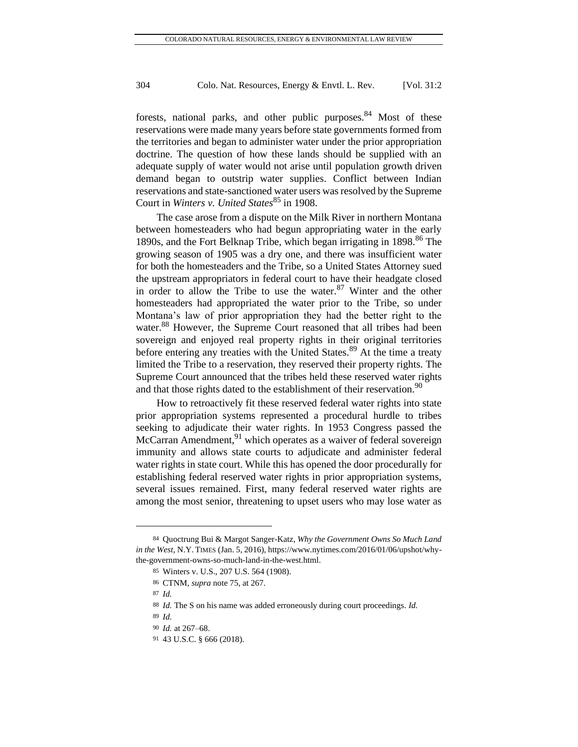forests, national parks, and other public purposes.<sup>84</sup> Most of these reservations were made many years before state governments formed from the territories and began to administer water under the prior appropriation doctrine. The question of how these lands should be supplied with an adequate supply of water would not arise until population growth driven demand began to outstrip water supplies. Conflict between Indian reservations and state-sanctioned water users was resolved by the Supreme Court in *Winters v. United States*<sup>85</sup> in 1908.

The case arose from a dispute on the Milk River in northern Montana between homesteaders who had begun appropriating water in the early 1890s, and the Fort Belknap Tribe, which began irrigating in 1898.<sup>86</sup> The growing season of 1905 was a dry one, and there was insufficient water for both the homesteaders and the Tribe, so a United States Attorney sued the upstream appropriators in federal court to have their headgate closed in order to allow the Tribe to use the water.<sup>87</sup> Winter and the other homesteaders had appropriated the water prior to the Tribe, so under Montana's law of prior appropriation they had the better right to the water.<sup>88</sup> However, the Supreme Court reasoned that all tribes had been sovereign and enjoyed real property rights in their original territories before entering any treaties with the United States.<sup>89</sup> At the time a treaty limited the Tribe to a reservation, they reserved their property rights. The Supreme Court announced that the tribes held these reserved water rights and that those rights dated to the establishment of their reservation.<sup>90</sup>

How to retroactively fit these reserved federal water rights into state prior appropriation systems represented a procedural hurdle to tribes seeking to adjudicate their water rights. In 1953 Congress passed the McCarran Amendment,  $91$  which operates as a waiver of federal sovereign immunity and allows state courts to adjudicate and administer federal water rights in state court. While this has opened the door procedurally for establishing federal reserved water rights in prior appropriation systems, several issues remained. First, many federal reserved water rights are among the most senior, threatening to upset users who may lose water as

<sup>84</sup> Quoctrung Bui & Margot Sanger-Katz, *Why the Government Owns So Much Land in the West*, N.Y. TIMES (Jan. 5, 2016), https://www.nytimes.com/2016/01/06/upshot/whythe-government-owns-so-much-land-in-the-west.html.

<sup>85</sup> Winters v. U.S., 207 U.S. 564 (1908).

<sup>86</sup> CTNM, *supra* note 75, at 267.

<sup>87</sup> *Id.*

<sup>88</sup> *Id.* The S on his name was added erroneously during court proceedings. *Id.*

<sup>89</sup> *Id.*

<sup>90</sup> *Id.* at 267–68.

<sup>91</sup> 43 U.S.C. § 666 (2018).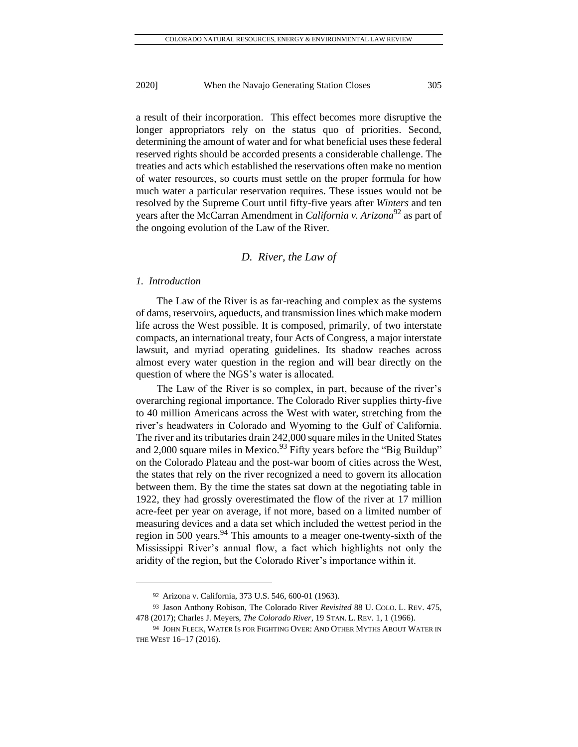a result of their incorporation. This effect becomes more disruptive the longer appropriators rely on the status quo of priorities. Second, determining the amount of water and for what beneficial uses these federal reserved rights should be accorded presents a considerable challenge. The treaties and acts which established the reservations often make no mention of water resources, so courts must settle on the proper formula for how much water a particular reservation requires. These issues would not be resolved by the Supreme Court until fifty-five years after *Winters* and ten years after the McCarran Amendment in *California v. Arizona*<sup>92</sup> as part of the ongoing evolution of the Law of the River.

#### *D. River, the Law of*

#### *1. Introduction*

The Law of the River is as far-reaching and complex as the systems of dams, reservoirs, aqueducts, and transmission lines which make modern life across the West possible. It is composed, primarily, of two interstate compacts, an international treaty, four Acts of Congress, a major interstate lawsuit, and myriad operating guidelines. Its shadow reaches across almost every water question in the region and will bear directly on the question of where the NGS's water is allocated.

The Law of the River is so complex, in part, because of the river's overarching regional importance. The Colorado River supplies thirty-five to 40 million Americans across the West with water, stretching from the river's headwaters in Colorado and Wyoming to the Gulf of California. The river and its tributaries drain 242,000 square miles in the United States and 2,000 square miles in Mexico.<sup>93</sup> Fifty years before the "Big Buildup" on the Colorado Plateau and the post-war boom of cities across the West, the states that rely on the river recognized a need to govern its allocation between them. By the time the states sat down at the negotiating table in 1922, they had grossly overestimated the flow of the river at 17 million acre-feet per year on average, if not more, based on a limited number of measuring devices and a data set which included the wettest period in the region in 500 years.<sup>94</sup> This amounts to a meager one-twenty-sixth of the Mississippi River's annual flow, a fact which highlights not only the aridity of the region, but the Colorado River's importance within it.

<sup>92</sup> Arizona v. California, 373 U.S. 546, 600-01 (1963).

<sup>93</sup> Jason Anthony Robison, The Colorado River *Revisited* 88 U. COLO. L. REV. 475, 478 (2017); Charles J. Meyers, *The Colorado River*, 19 STAN. L. REV. 1, 1 (1966).

<sup>94</sup> JOHN FLECK, WATER IS FOR FIGHTING OVER: AND OTHER MYTHS ABOUT WATER IN THE WEST 16–17 (2016).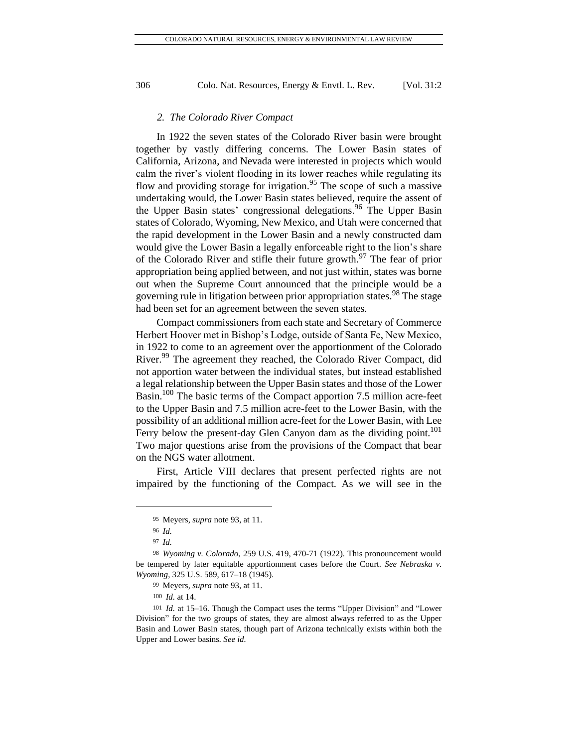#### *2. The Colorado River Compact*

In 1922 the seven states of the Colorado River basin were brought together by vastly differing concerns. The Lower Basin states of California, Arizona, and Nevada were interested in projects which would calm the river's violent flooding in its lower reaches while regulating its flow and providing storage for irrigation.<sup>95</sup> The scope of such a massive undertaking would, the Lower Basin states believed, require the assent of the Upper Basin states' congressional delegations.<sup>96</sup> The Upper Basin states of Colorado, Wyoming, New Mexico, and Utah were concerned that the rapid development in the Lower Basin and a newly constructed dam would give the Lower Basin a legally enforceable right to the lion's share of the Colorado River and stifle their future growth.<sup>97</sup> The fear of prior appropriation being applied between, and not just within, states was borne out when the Supreme Court announced that the principle would be a governing rule in litigation between prior appropriation states.<sup>98</sup> The stage had been set for an agreement between the seven states.

Compact commissioners from each state and Secretary of Commerce Herbert Hoover met in Bishop's Lodge, outside of Santa Fe, New Mexico, in 1922 to come to an agreement over the apportionment of the Colorado River.<sup>99</sup> The agreement they reached, the Colorado River Compact, did not apportion water between the individual states, but instead established a legal relationship between the Upper Basin states and those of the Lower Basin.<sup>100</sup> The basic terms of the Compact apportion 7.5 million acre-feet to the Upper Basin and 7.5 million acre-feet to the Lower Basin, with the possibility of an additional million acre-feet for the Lower Basin, with Lee Ferry below the present-day Glen Canyon dam as the dividing point.<sup>101</sup> Two major questions arise from the provisions of the Compact that bear on the NGS water allotment.

First, Article VIII declares that present perfected rights are not impaired by the functioning of the Compact. As we will see in the

<sup>95</sup> Meyers, *supra* note 93, at 11.

<sup>96</sup> *Id.*

<sup>97</sup> *Id.*

<sup>98</sup> *Wyoming v. Colorado*, 259 U.S. 419, 470-71 (1922). This pronouncement would be tempered by later equitable apportionment cases before the Court. *See Nebraska v. Wyoming*, 325 U.S. 589, 617–18 (1945).

<sup>99</sup> Meyers, *supra* note 93, at 11.

<sup>100</sup> *Id.* at 14.

<sup>101</sup> *Id.* at 15–16. Though the Compact uses the terms "Upper Division" and "Lower Division" for the two groups of states, they are almost always referred to as the Upper Basin and Lower Basin states, though part of Arizona technically exists within both the Upper and Lower basins*. See id.*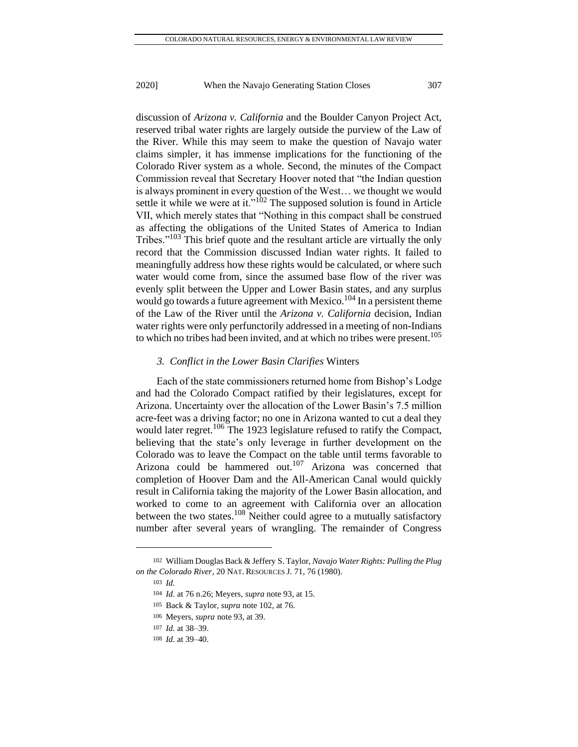discussion of *Arizona v. California* and the Boulder Canyon Project Act, reserved tribal water rights are largely outside the purview of the Law of the River. While this may seem to make the question of Navajo water claims simpler, it has immense implications for the functioning of the Colorado River system as a whole. Second, the minutes of the Compact Commission reveal that Secretary Hoover noted that "the Indian question is always prominent in every question of the West… we thought we would settle it while we were at it."<sup>102</sup> The supposed solution is found in Article VII, which merely states that "Nothing in this compact shall be construed as affecting the obligations of the United States of America to Indian Tribes."<sup>103</sup> This brief quote and the resultant article are virtually the only record that the Commission discussed Indian water rights. It failed to meaningfully address how these rights would be calculated, or where such water would come from, since the assumed base flow of the river was evenly split between the Upper and Lower Basin states, and any surplus would go towards a future agreement with Mexico.<sup>104</sup> In a persistent theme of the Law of the River until the *Arizona v. California* decision, Indian water rights were only perfunctorily addressed in a meeting of non-Indians to which no tribes had been invited, and at which no tribes were present.<sup>105</sup>

#### *3. Conflict in the Lower Basin Clarifies* Winters

Each of the state commissioners returned home from Bishop's Lodge and had the Colorado Compact ratified by their legislatures, except for Arizona. Uncertainty over the allocation of the Lower Basin's 7.5 million acre-feet was a driving factor; no one in Arizona wanted to cut a deal they would later regret.<sup>106</sup> The 1923 legislature refused to ratify the Compact, believing that the state's only leverage in further development on the Colorado was to leave the Compact on the table until terms favorable to Arizona could be hammered out.<sup>107</sup> Arizona was concerned that completion of Hoover Dam and the All-American Canal would quickly result in California taking the majority of the Lower Basin allocation, and worked to come to an agreement with California over an allocation between the two states.<sup>108</sup> Neither could agree to a mutually satisfactory number after several years of wrangling. The remainder of Congress

<sup>102</sup> William Douglas Back & Jeffery S. Taylor, *Navajo Water Rights: Pulling the Plug on the Colorado River*, 20 NAT. RESOURCES J. 71, 76 (1980).

<sup>103</sup> *Id.*

<sup>104</sup> *Id.* at 76 n.26; Meyers, *supra* note 93, at 15.

<sup>105</sup> Back & Taylor, *supra* note 102, at 76.

<sup>106</sup> Meyers, *supra* note 93, at 39.

<sup>107</sup> *Id.* at 38–39.

<sup>108</sup> *Id.* at 39–40.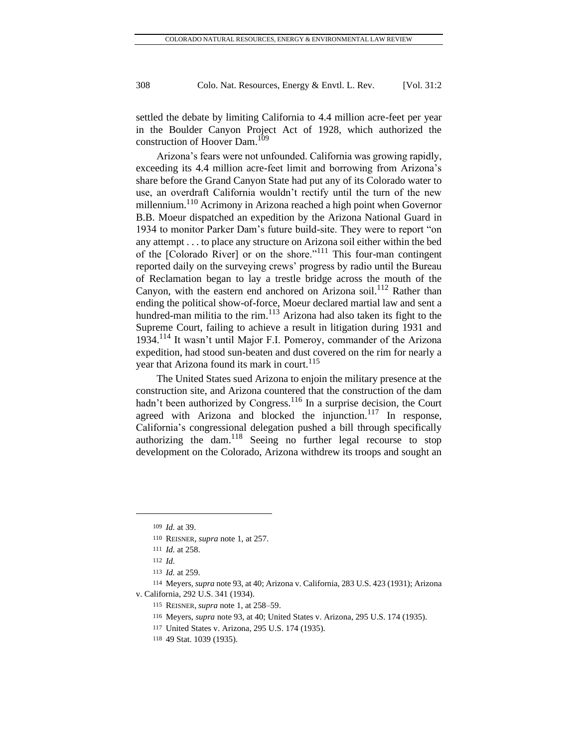settled the debate by limiting California to 4.4 million acre-feet per year in the Boulder Canyon Project Act of 1928, which authorized the construction of Hoover Dam.<sup>109</sup>

Arizona's fears were not unfounded. California was growing rapidly, exceeding its 4.4 million acre-feet limit and borrowing from Arizona's share before the Grand Canyon State had put any of its Colorado water to use, an overdraft California wouldn't rectify until the turn of the new millennium.<sup>110</sup> Acrimony in Arizona reached a high point when Governor B.B. Moeur dispatched an expedition by the Arizona National Guard in 1934 to monitor Parker Dam's future build-site. They were to report "on any attempt . . . to place any structure on Arizona soil either within the bed of the [Colorado River] or on the shore."<sup>111</sup> This four-man contingent reported daily on the surveying crews' progress by radio until the Bureau of Reclamation began to lay a trestle bridge across the mouth of the Canyon, with the eastern end anchored on Arizona soil.<sup>112</sup> Rather than ending the political show-of-force, Moeur declared martial law and sent a hundred-man militia to the rim.<sup>113</sup> Arizona had also taken its fight to the Supreme Court, failing to achieve a result in litigation during 1931 and 1934.<sup>114</sup> It wasn't until Major F.I. Pomeroy, commander of the Arizona expedition, had stood sun-beaten and dust covered on the rim for nearly a year that Arizona found its mark in court.<sup>115</sup>

The United States sued Arizona to enjoin the military presence at the construction site, and Arizona countered that the construction of the dam hadn't been authorized by Congress.<sup>116</sup> In a surprise decision, the Court agreed with Arizona and blocked the injunction.<sup>117</sup> In response, California's congressional delegation pushed a bill through specifically authorizing the dam.<sup>118</sup> Seeing no further legal recourse to stop development on the Colorado, Arizona withdrew its troops and sought an

<sup>109</sup> *Id.* at 39.

<sup>110</sup> REISNER, *supra* note 1, at 257.

<sup>111</sup> *Id.* at 258.

<sup>112</sup> *Id.*

<sup>113</sup> *Id.* at 259.

<sup>114</sup> Meyers, *supra* note 93, at 40; Arizona v. California, 283 U.S. 423 (1931); Arizona v. California, 292 U.S. 341 (1934).

<sup>115</sup> REISNER, *supra* note 1, at 258–59.

<sup>116</sup> Meyers, *supra* note 93, at 40; United States v. Arizona, 295 U.S. 174 (1935).

<sup>117</sup> United States v. Arizona*,* 295 U.S. 174 (1935).

<sup>118</sup> 49 Stat. 1039 (1935).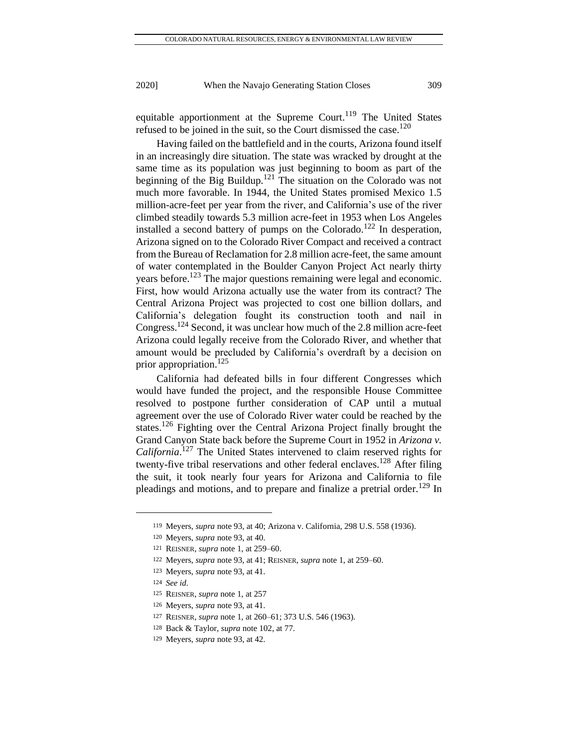equitable apportionment at the Supreme Court.<sup>119</sup> The United States refused to be joined in the suit, so the Court dismissed the case.<sup>120</sup>

Having failed on the battlefield and in the courts, Arizona found itself in an increasingly dire situation. The state was wracked by drought at the same time as its population was just beginning to boom as part of the beginning of the Big Buildup.<sup>121</sup> The situation on the Colorado was not much more favorable. In 1944, the United States promised Mexico 1.5 million-acre-feet per year from the river, and California's use of the river climbed steadily towards 5.3 million acre-feet in 1953 when Los Angeles installed a second battery of pumps on the Colorado.<sup>122</sup> In desperation, Arizona signed on to the Colorado River Compact and received a contract from the Bureau of Reclamation for 2.8 million acre-feet, the same amount of water contemplated in the Boulder Canyon Project Act nearly thirty years before.<sup>123</sup> The major questions remaining were legal and economic. First, how would Arizona actually use the water from its contract? The Central Arizona Project was projected to cost one billion dollars, and California's delegation fought its construction tooth and nail in Congress.<sup>124</sup> Second, it was unclear how much of the 2.8 million acre-feet Arizona could legally receive from the Colorado River, and whether that amount would be precluded by California's overdraft by a decision on prior appropriation.<sup>125</sup>

California had defeated bills in four different Congresses which would have funded the project, and the responsible House Committee resolved to postpone further consideration of CAP until a mutual agreement over the use of Colorado River water could be reached by the states.<sup>126</sup> Fighting over the Central Arizona Project finally brought the Grand Canyon State back before the Supreme Court in 1952 in *Arizona v. California*. <sup>127</sup> The United States intervened to claim reserved rights for twenty-five tribal reservations and other federal enclaves.<sup>128</sup> After filing the suit, it took nearly four years for Arizona and California to file pleadings and motions, and to prepare and finalize a pretrial order.<sup>129</sup> In

<sup>119</sup> Meyers, *supra* note 93, at 40; Arizona v. California, 298 U.S. 558 (1936).

<sup>120</sup> Meyers, *supra* note 93, at 40.

<sup>121</sup> REISNER, *supra* note 1, at 259–60.

<sup>122</sup> Meyers, *supra* note 93, at 41; REISNER, *supra* note 1, at 259–60.

<sup>123</sup> Meyers, *supra* note 93, at 41.

<sup>124</sup> *See id.*

<sup>125</sup> REISNER, *supra* note 1, at 257

<sup>126</sup> Meyers, *supra* note 93, at 41.

<sup>127</sup> REISNER, *supra* note 1, at 260–61; 373 U.S. 546 (1963).

<sup>128</sup> Back & Taylor, *supra* note 102, at 77.

<sup>129</sup> Meyers, *supra* note 93, at 42.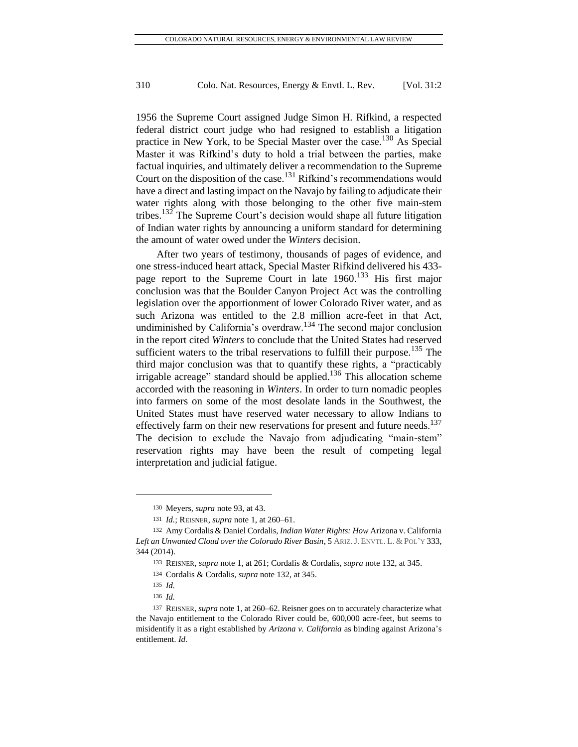1956 the Supreme Court assigned Judge Simon H. Rifkind, a respected federal district court judge who had resigned to establish a litigation practice in New York, to be Special Master over the case.<sup>130</sup> As Special Master it was Rifkind's duty to hold a trial between the parties, make factual inquiries, and ultimately deliver a recommendation to the Supreme Court on the disposition of the case.<sup>131</sup> Rifkind's recommendations would have a direct and lasting impact on the Navajo by failing to adjudicate their water rights along with those belonging to the other five main-stem tribes.<sup>132</sup> The Supreme Court's decision would shape all future litigation of Indian water rights by announcing a uniform standard for determining the amount of water owed under the *Winters* decision.

After two years of testimony, thousands of pages of evidence, and one stress-induced heart attack, Special Master Rifkind delivered his 433 page report to the Supreme Court in late  $1960$ <sup>133</sup> His first major conclusion was that the Boulder Canyon Project Act was the controlling legislation over the apportionment of lower Colorado River water, and as such Arizona was entitled to the 2.8 million acre-feet in that Act, undiminished by California's overdraw.<sup>134</sup> The second major conclusion in the report cited *Winters* to conclude that the United States had reserved sufficient waters to the tribal reservations to fulfill their purpose.<sup>135</sup> The third major conclusion was that to quantify these rights, a "practicably irrigable acreage" standard should be applied.<sup>136</sup> This allocation scheme accorded with the reasoning in *Winters*. In order to turn nomadic peoples into farmers on some of the most desolate lands in the Southwest, the United States must have reserved water necessary to allow Indians to effectively farm on their new reservations for present and future needs. $137$ The decision to exclude the Navajo from adjudicating "main-stem" reservation rights may have been the result of competing legal interpretation and judicial fatigue.

<sup>130</sup> Meyers, *supra* note 93, at 43.

<sup>131</sup> *Id.*; REISNER, *supra* note 1, at 260–61.

<sup>132</sup> Amy Cordalis & Daniel Cordalis, *Indian Water Rights: How* Arizona v. California Left an Unwanted Cloud over the Colorado River Basin, 5 ARIZ. J. ENVTL. L. & POL'Y 333, 344 (2014).

<sup>133</sup> REISNER, *supra* note 1, at 261; Cordalis & Cordalis, *supra* note 132, at 345.

<sup>134</sup> Cordalis & Cordalis, *supra* note 132, at 345.

<sup>135</sup> *Id.*

<sup>136</sup> *Id.*

<sup>137</sup> REISNER, *supra* note 1, at 260–62. Reisner goes on to accurately characterize what the Navajo entitlement to the Colorado River could be, 600,000 acre-feet, but seems to misidentify it as a right established by *Arizona v. California* as binding against Arizona's entitlement. *Id.*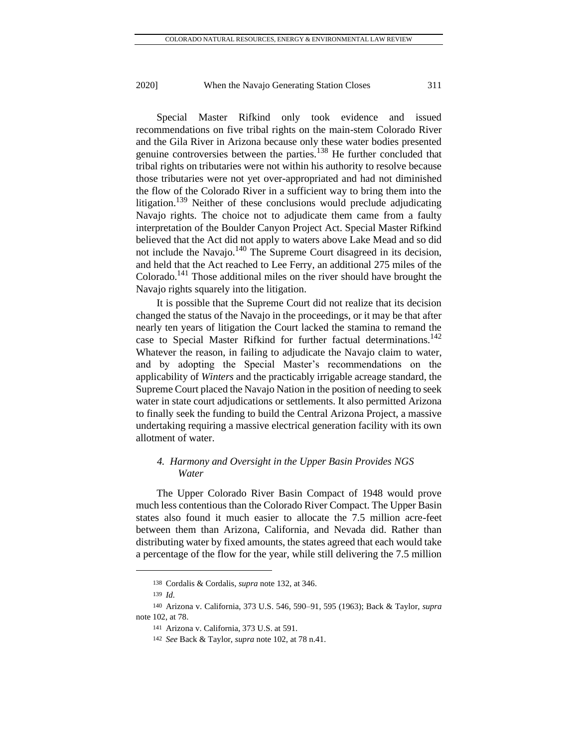Special Master Rifkind only took evidence and issued recommendations on five tribal rights on the main-stem Colorado River and the Gila River in Arizona because only these water bodies presented genuine controversies between the parties.<sup>138</sup> He further concluded that tribal rights on tributaries were not within his authority to resolve because those tributaries were not yet over-appropriated and had not diminished the flow of the Colorado River in a sufficient way to bring them into the litigation.<sup>139</sup> Neither of these conclusions would preclude adjudicating Navajo rights. The choice not to adjudicate them came from a faulty interpretation of the Boulder Canyon Project Act. Special Master Rifkind believed that the Act did not apply to waters above Lake Mead and so did not include the Navajo.<sup>140</sup> The Supreme Court disagreed in its decision, and held that the Act reached to Lee Ferry, an additional 275 miles of the Colorado.<sup>141</sup> Those additional miles on the river should have brought the Navajo rights squarely into the litigation.

It is possible that the Supreme Court did not realize that its decision changed the status of the Navajo in the proceedings, or it may be that after nearly ten years of litigation the Court lacked the stamina to remand the case to Special Master Rifkind for further factual determinations.<sup>142</sup> Whatever the reason, in failing to adjudicate the Navajo claim to water, and by adopting the Special Master's recommendations on the applicability of *Winters* and the practicably irrigable acreage standard, the Supreme Court placed the Navajo Nation in the position of needing to seek water in state court adjudications or settlements. It also permitted Arizona to finally seek the funding to build the Central Arizona Project, a massive undertaking requiring a massive electrical generation facility with its own allotment of water.

### *4. Harmony and Oversight in the Upper Basin Provides NGS Water*

The Upper Colorado River Basin Compact of 1948 would prove much less contentious than the Colorado River Compact. The Upper Basin states also found it much easier to allocate the 7.5 million acre-feet between them than Arizona, California, and Nevada did. Rather than distributing water by fixed amounts, the states agreed that each would take a percentage of the flow for the year, while still delivering the 7.5 million

<sup>138</sup> Cordalis & Cordalis, *supra* note 132, at 346.

<sup>139</sup> *Id.*

<sup>140</sup> Arizona v. California, 373 U.S. 546, 590–91, 595 (1963); Back & Taylor, *supra*  note 102, at 78.

<sup>141</sup> Arizona v. California, 373 U.S. at 591.

<sup>142</sup> *See* Back & Taylor, *supra* note 102, at 78 n.41.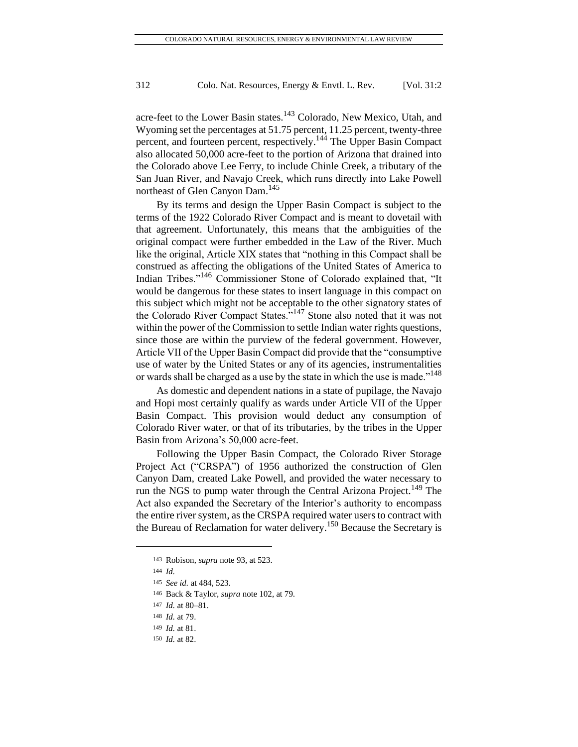acre-feet to the Lower Basin states.<sup>143</sup> Colorado, New Mexico, Utah, and Wyoming set the percentages at 51.75 percent, 11.25 percent, twenty-three percent, and fourteen percent, respectively.<sup>144</sup> The Upper Basin Compact also allocated 50,000 acre-feet to the portion of Arizona that drained into the Colorado above Lee Ferry, to include Chinle Creek, a tributary of the San Juan River, and Navajo Creek, which runs directly into Lake Powell northeast of Glen Canyon Dam.<sup>145</sup>

By its terms and design the Upper Basin Compact is subject to the terms of the 1922 Colorado River Compact and is meant to dovetail with that agreement. Unfortunately, this means that the ambiguities of the original compact were further embedded in the Law of the River. Much like the original, Article XIX states that "nothing in this Compact shall be construed as affecting the obligations of the United States of America to Indian Tribes."<sup>146</sup> Commissioner Stone of Colorado explained that, "It would be dangerous for these states to insert language in this compact on this subject which might not be acceptable to the other signatory states of the Colorado River Compact States."<sup>147</sup> Stone also noted that it was not within the power of the Commission to settle Indian water rights questions, since those are within the purview of the federal government. However, Article VII of the Upper Basin Compact did provide that the "consumptive use of water by the United States or any of its agencies, instrumentalities or wards shall be charged as a use by the state in which the use is made."<sup>148</sup>

As domestic and dependent nations in a state of pupilage, the Navajo and Hopi most certainly qualify as wards under Article VII of the Upper Basin Compact. This provision would deduct any consumption of Colorado River water, or that of its tributaries, by the tribes in the Upper Basin from Arizona's 50,000 acre-feet.

Following the Upper Basin Compact, the Colorado River Storage Project Act ("CRSPA") of 1956 authorized the construction of Glen Canyon Dam, created Lake Powell, and provided the water necessary to run the NGS to pump water through the Central Arizona Project.<sup>149</sup> The Act also expanded the Secretary of the Interior's authority to encompass the entire river system, as the CRSPA required water users to contract with the Bureau of Reclamation for water delivery.<sup>150</sup> Because the Secretary is

<sup>143</sup> Robison, *supra* note 93, at 523.

<sup>144</sup> *Id.*

<sup>145</sup> *See id.* at 484, 523.

<sup>146</sup> Back & Taylor, *supra* note 102, at 79.

<sup>147</sup> *Id.* at 80–81.

<sup>148</sup> *Id.* at 79.

<sup>149</sup> *Id.* at 81.

<sup>150</sup> *Id.* at 82.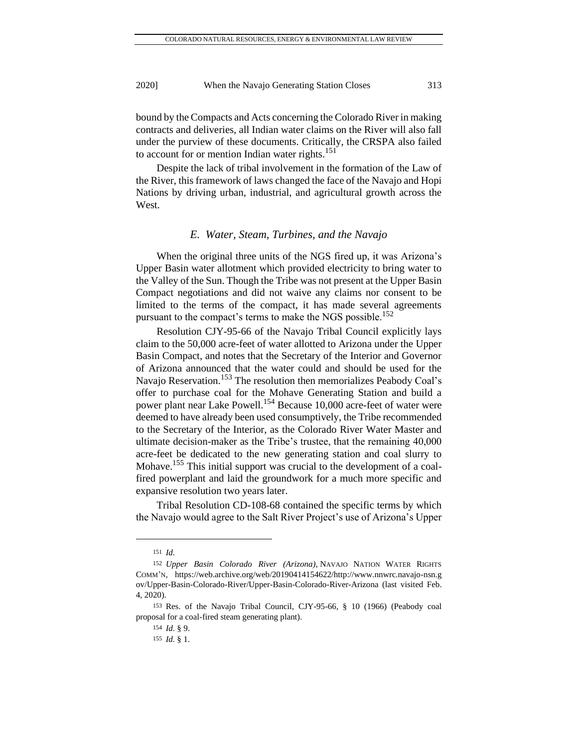bound by the Compacts and Acts concerning the Colorado River in making contracts and deliveries, all Indian water claims on the River will also fall under the purview of these documents. Critically, the CRSPA also failed to account for or mention Indian water rights.<sup>151</sup>

Despite the lack of tribal involvement in the formation of the Law of the River, this framework of laws changed the face of the Navajo and Hopi Nations by driving urban, industrial, and agricultural growth across the West.

#### *E. Water, Steam, Turbines, and the Navajo*

When the original three units of the NGS fired up, it was Arizona's Upper Basin water allotment which provided electricity to bring water to the Valley of the Sun. Though the Tribe was not present at the Upper Basin Compact negotiations and did not waive any claims nor consent to be limited to the terms of the compact, it has made several agreements pursuant to the compact's terms to make the NGS possible.<sup>152</sup>

Resolution CJY-95-66 of the Navajo Tribal Council explicitly lays claim to the 50,000 acre-feet of water allotted to Arizona under the Upper Basin Compact, and notes that the Secretary of the Interior and Governor of Arizona announced that the water could and should be used for the Navajo Reservation.<sup>153</sup> The resolution then memorializes Peabody Coal's offer to purchase coal for the Mohave Generating Station and build a power plant near Lake Powell.<sup>154</sup> Because 10,000 acre-feet of water were deemed to have already been used consumptively, the Tribe recommended to the Secretary of the Interior, as the Colorado River Water Master and ultimate decision-maker as the Tribe's trustee, that the remaining 40,000 acre-feet be dedicated to the new generating station and coal slurry to Mohave.<sup>155</sup> This initial support was crucial to the development of a coalfired powerplant and laid the groundwork for a much more specific and expansive resolution two years later.

Tribal Resolution CD-108-68 contained the specific terms by which the Navajo would agree to the Salt River Project's use of Arizona's Upper

<sup>151</sup> *Id.*

<sup>152</sup> *Upper Basin Colorado River (Arizona)*, NAVAJO NATION WATER RIGHTS COMM'N, [https://web.archive.org/web/20190414154622/http://www.nnwrc.navajo-nsn.g](https://web.archive.org/web/20190414154622/http:/www.nnwrc.navajo-nsn.g%20ov/Upper-Basin-Colorado-River/Upper-Basin-Colorado-River-Arizona)  [ov/Upper-Basin-Colorado-River/Upper-Basin-Colorado-River-Arizona](https://web.archive.org/web/20190414154622/http:/www.nnwrc.navajo-nsn.g%20ov/Upper-Basin-Colorado-River/Upper-Basin-Colorado-River-Arizona) (last visited Feb. 4, 2020).

<sup>153</sup> Res. of the Navajo Tribal Council, CJY-95-66, § 10 (1966) (Peabody coal proposal for a coal-fired steam generating plant).

<sup>154</sup> *Id.* § 9.

<sup>155</sup> *Id.* § 1.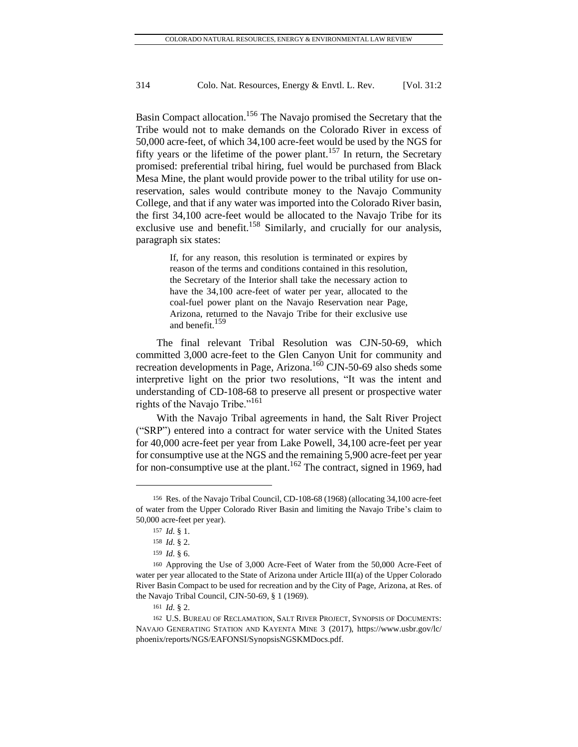Basin Compact allocation.<sup>156</sup> The Navajo promised the Secretary that the Tribe would not to make demands on the Colorado River in excess of 50,000 acre-feet, of which 34,100 acre-feet would be used by the NGS for fifty years or the lifetime of the power plant.<sup>157</sup> In return, the Secretary promised: preferential tribal hiring, fuel would be purchased from Black Mesa Mine, the plant would provide power to the tribal utility for use onreservation, sales would contribute money to the Navajo Community College, and that if any water was imported into the Colorado River basin, the first 34,100 acre-feet would be allocated to the Navajo Tribe for its exclusive use and benefit.<sup>158</sup> Similarly, and crucially for our analysis, paragraph six states:

> If, for any reason, this resolution is terminated or expires by reason of the terms and conditions contained in this resolution, the Secretary of the Interior shall take the necessary action to have the 34,100 acre-feet of water per year, allocated to the coal-fuel power plant on the Navajo Reservation near Page, Arizona, returned to the Navajo Tribe for their exclusive use and benefit.<sup>159</sup>

The final relevant Tribal Resolution was CJN-50-69, which committed 3,000 acre-feet to the Glen Canyon Unit for community and recreation developments in Page, Arizona.<sup>160</sup> CJN-50-69 also sheds some interpretive light on the prior two resolutions, "It was the intent and understanding of CD-108-68 to preserve all present or prospective water rights of the Navajo Tribe."<sup>161</sup>

With the Navajo Tribal agreements in hand, the Salt River Project ("SRP") entered into a contract for water service with the United States for 40,000 acre-feet per year from Lake Powell, 34,100 acre-feet per year for consumptive use at the NGS and the remaining 5,900 acre-feet per year for non-consumptive use at the plant.<sup>162</sup> The contract, signed in 1969, had

<sup>156</sup> Res. of the Navajo Tribal Council, CD-108-68 (1968) (allocating 34,100 acre-feet of water from the Upper Colorado River Basin and limiting the Navajo Tribe's claim to 50,000 acre-feet per year).

<sup>157</sup> *Id.* § 1.

<sup>158</sup> *Id.* § 2.

<sup>159</sup> *Id.* § 6.

<sup>160</sup> Approving the Use of 3,000 Acre-Feet of Water from the 50,000 Acre-Feet of water per year allocated to the State of Arizona under Article III(a) of the Upper Colorado River Basin Compact to be used for recreation and by the City of Page, Arizona, at Res. of the Navajo Tribal Council, CJN-50-69, § 1 (1969).

<sup>161</sup> *Id.* § 2.

<sup>162</sup> U.S. BUREAU OF RECLAMATION, SALT RIVER PROJECT, SYNOPSIS OF DOCUMENTS: NAVAJO GENERATING STATION AND KAYENTA MINE 3 (2017), [https://www.usbr.gov/lc/](https://www.usbr.gov/lc/%20phoenix/reports/NGS/EAFONSI/SynopsisNGSKMDocs.pdf)  [phoenix/reports/NGS/EAFONSI/SynopsisNGSKMDocs.pdf.](https://www.usbr.gov/lc/%20phoenix/reports/NGS/EAFONSI/SynopsisNGSKMDocs.pdf)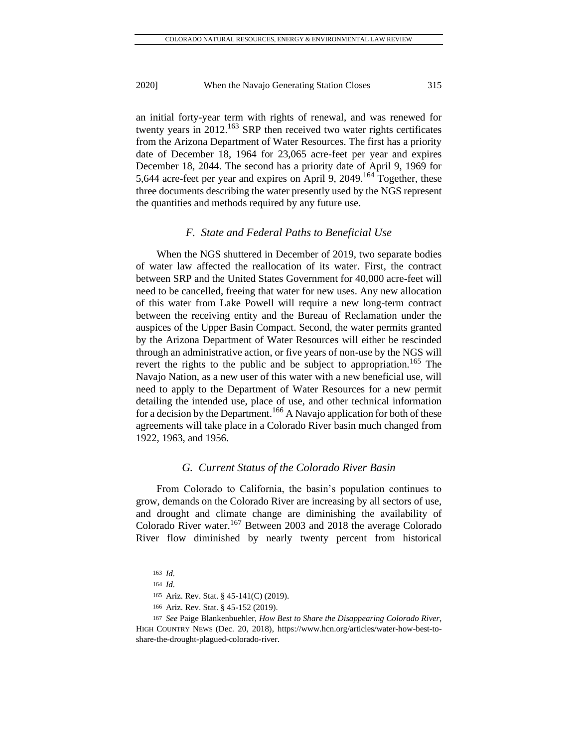an initial forty-year term with rights of renewal, and was renewed for twenty years in  $2012$ <sup>163</sup> SRP then received two water rights certificates from the Arizona Department of Water Resources. The first has a priority date of December 18, 1964 for 23,065 acre-feet per year and expires December 18, 2044. The second has a priority date of April 9, 1969 for 5,644 acre-feet per year and expires on April 9,  $2049$ .<sup>164</sup> Together, these three documents describing the water presently used by the NGS represent the quantities and methods required by any future use.

#### *F. State and Federal Paths to Beneficial Use*

When the NGS shuttered in December of 2019, two separate bodies of water law affected the reallocation of its water. First, the contract between SRP and the United States Government for 40,000 acre-feet will need to be cancelled, freeing that water for new uses. Any new allocation of this water from Lake Powell will require a new long-term contract between the receiving entity and the Bureau of Reclamation under the auspices of the Upper Basin Compact. Second, the water permits granted by the Arizona Department of Water Resources will either be rescinded through an administrative action, or five years of non-use by the NGS will revert the rights to the public and be subject to appropriation.<sup>165</sup> The Navajo Nation, as a new user of this water with a new beneficial use, will need to apply to the Department of Water Resources for a new permit detailing the intended use, place of use, and other technical information for a decision by the Department.<sup>166</sup> A Navajo application for both of these agreements will take place in a Colorado River basin much changed from 1922, 1963, and 1956.

#### *G. Current Status of the Colorado River Basin*

From Colorado to California, the basin's population continues to grow, demands on the Colorado River are increasing by all sectors of use, and drought and climate change are diminishing the availability of Colorado River water.<sup>167</sup> Between 2003 and 2018 the average Colorado River flow diminished by nearly twenty percent from historical

<sup>163</sup> *Id.*

<sup>164</sup> *Id.*

<sup>165</sup> Ariz. Rev. Stat. § 45-141(C) (2019).

<sup>166</sup> Ariz. Rev. Stat. § 45-152 (2019).

<sup>167</sup> *See* Paige Blankenbuehler, *How Best to Share the Disappearing Colorado River*, HIGH COUNTRY NEWS (Dec. 20, 2018), [https://www.hcn.org/articles/water-how-best-to](https://www.hcn.org/articles/water-how-best-to-share-the-drought-plagued-colorado-river)[share-the-drought-plagued-colorado-river.](https://www.hcn.org/articles/water-how-best-to-share-the-drought-plagued-colorado-river)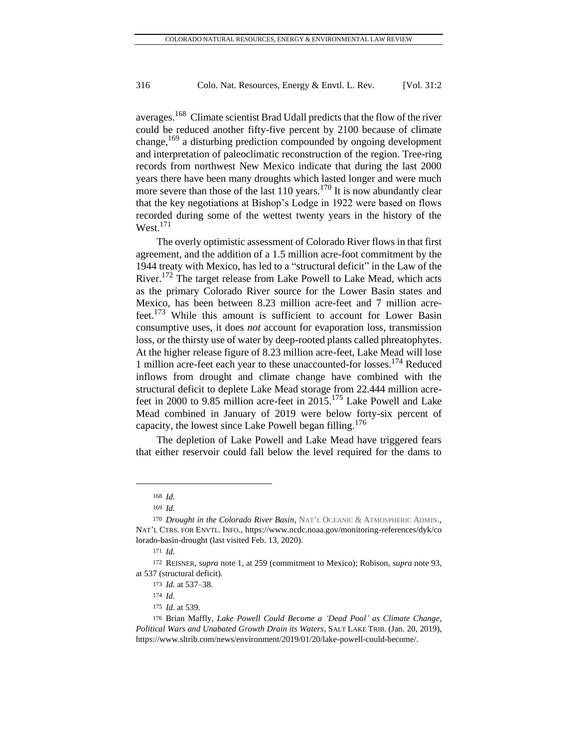averages.<sup>168</sup> Climate scientist Brad Udall predicts that the flow of the river could be reduced another fifty-five percent by 2100 because of climate change,<sup>169</sup> a disturbing prediction compounded by ongoing development and interpretation of paleoclimatic reconstruction of the region. Tree-ring records from northwest New Mexico indicate that during the last 2000 years there have been many droughts which lasted longer and were much more severe than those of the last  $110$  years.<sup>170</sup> It is now abundantly clear that the key negotiations at Bishop's Lodge in 1922 were based on flows recorded during some of the wettest twenty years in the history of the  $West.<sup>171</sup>$ 

The overly optimistic assessment of Colorado River flows in that first agreement, and the addition of a 1.5 million acre-foot commitment by the 1944 treaty with Mexico, has led to a "structural deficit" in the Law of the River.<sup>172</sup> The target release from Lake Powell to Lake Mead, which acts as the primary Colorado River source for the Lower Basin states and Mexico, has been between 8.23 million acre-feet and 7 million acrefeet.<sup>173</sup> While this amount is sufficient to account for Lower Basin consumptive uses, it does *not* account for evaporation loss, transmission loss, or the thirsty use of water by deep-rooted plants called phreatophytes. At the higher release figure of 8.23 million acre-feet, Lake Mead will lose 1 million acre-feet each year to these unaccounted-for losses.<sup>174</sup> Reduced inflows from drought and climate change have combined with the structural deficit to deplete Lake Mead storage from 22.444 million acrefeet in 2000 to 9.85 million acre-feet in 2015.<sup>175</sup> Lake Powell and Lake Mead combined in January of 2019 were below forty-six percent of capacity, the lowest since Lake Powell began filling.<sup>176</sup>

The depletion of Lake Powell and Lake Mead have triggered fears that either reservoir could fall below the level required for the dams to

<sup>168</sup> *Id.*

<sup>169</sup> *Id.*

<sup>170</sup> *Drought in the Colorado River Basin*, NAT'L OCEANIC & ATMOSPHERIC ADMIN., NAT'L CTRS. FOR ENVTL. INFO., [https://www.ncdc.noaa.gov/monitoring-references/dyk/co](https://www.ncdc.noaa.gov/monitoring-references/dyk/co%20lorado-basin-drought)  [lorado-basin-drought](https://www.ncdc.noaa.gov/monitoring-references/dyk/co%20lorado-basin-drought) (last visited Feb. 13, 2020).

<sup>171</sup> *Id.*

<sup>172</sup> REISNER, *supra* note 1, at 259 (commitment to Mexico); Robison, *supra* note 93, at 537 (structural deficit).

<sup>173</sup> *Id.* at 537–38.

<sup>174</sup> *Id.*

<sup>175</sup> *Id.* at 539.

<sup>176</sup> Brian Maffly, *Lake Powell Could Become a 'Dead Pool' as Climate Change, Political Wars and Unabated Growth Drain its Waters*, SALT LAKE TRIB. (Jan. 20, 2019), [https://www.sltrib.com/news/environment/2019/01/20/lake-powell-could-become/.](https://www.sltrib.com/news/environment/2019/01/20/lake-powell-could-become/)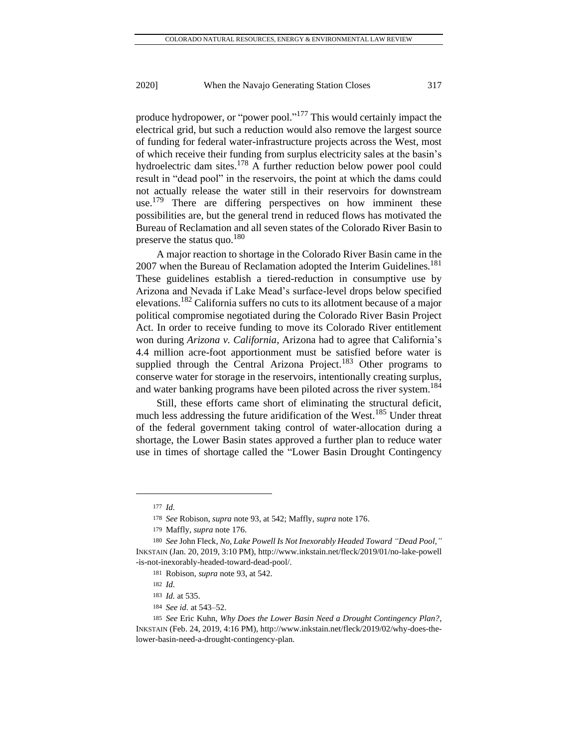produce hydropower, or "power pool."<sup>177</sup> This would certainly impact the electrical grid, but such a reduction would also remove the largest source of funding for federal water-infrastructure projects across the West, most of which receive their funding from surplus electricity sales at the basin's hydroelectric dam sites.<sup>178</sup> A further reduction below power pool could result in "dead pool" in the reservoirs, the point at which the dams could not actually release the water still in their reservoirs for downstream use.<sup>179</sup> There are differing perspectives on how imminent these possibilities are, but the general trend in reduced flows has motivated the Bureau of Reclamation and all seven states of the Colorado River Basin to preserve the status quo.<sup>180</sup>

A major reaction to shortage in the Colorado River Basin came in the 2007 when the Bureau of Reclamation adopted the Interim Guidelines.<sup>181</sup> These guidelines establish a tiered-reduction in consumptive use by Arizona and Nevada if Lake Mead's surface-level drops below specified elevations.<sup>182</sup> California suffers no cuts to its allotment because of a major political compromise negotiated during the Colorado River Basin Project Act. In order to receive funding to move its Colorado River entitlement won during *Arizona v. California*, Arizona had to agree that California's 4.4 million acre-foot apportionment must be satisfied before water is supplied through the Central Arizona Project.<sup>183</sup> Other programs to conserve water for storage in the reservoirs, intentionally creating surplus, and water banking programs have been piloted across the river system.<sup>184</sup>

Still, these efforts came short of eliminating the structural deficit, much less addressing the future aridification of the West.<sup>185</sup> Under threat of the federal government taking control of water-allocation during a shortage, the Lower Basin states approved a further plan to reduce water use in times of shortage called the "Lower Basin Drought Contingency

<sup>177</sup> *Id.*

<sup>178</sup> *See* Robison, *supra* note 93, at 542; Maffly, *supra* note 176.

<sup>179</sup> Maffly, *supra* note 176.

<sup>180</sup> *See* John Fleck, *No, Lake Powell Is Not Inexorably Headed Toward "Dead Pool,"* INKSTAIN (Jan. 20, 2019, 3:10 PM)[, http://www.inkstain.net/fleck/2019/01/no-lake-powell](http://www.inkstain.net/fleck/2019/01/no-lake-powell%20-is-not-inexorably-headed-toward-dead-pool/)  [-is-not-inexorably-headed-toward-dead-pool/.](http://www.inkstain.net/fleck/2019/01/no-lake-powell%20-is-not-inexorably-headed-toward-dead-pool/)

<sup>181</sup> Robison, *supra* note 93, at 542.

<sup>182</sup> *Id.*

<sup>183</sup> *Id.* at 535.

<sup>184</sup> *See id.* at 543–52.

<sup>185</sup> *See* Eric Kuhn, *Why Does the Lower Basin Need a Drought Contingency Plan?*, INKSTAIN (Feb. 24, 2019, 4:16 PM), http://www.inkstain.net/fleck/2019/02/why-does-thelower-basin-need-a-drought-contingency-plan.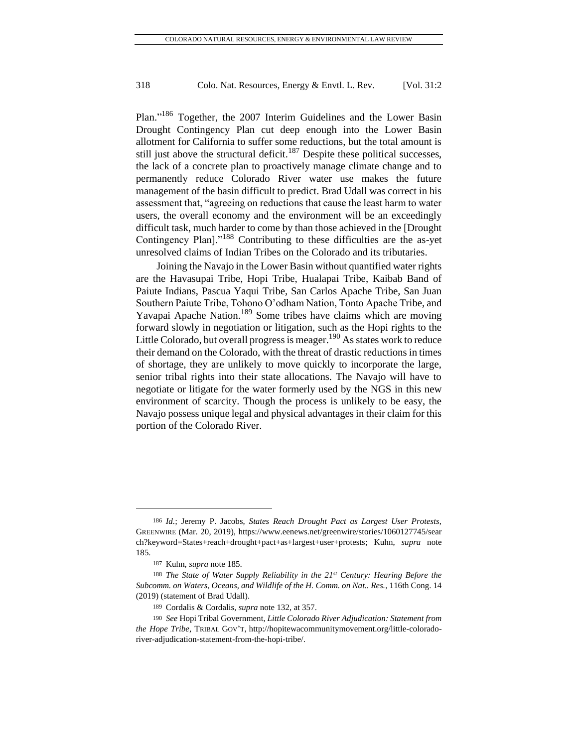Plan."<sup>186</sup> Together, the 2007 Interim Guidelines and the Lower Basin Drought Contingency Plan cut deep enough into the Lower Basin allotment for California to suffer some reductions, but the total amount is still just above the structural deficit.<sup>187</sup> Despite these political successes, the lack of a concrete plan to proactively manage climate change and to permanently reduce Colorado River water use makes the future management of the basin difficult to predict. Brad Udall was correct in his assessment that, "agreeing on reductions that cause the least harm to water users, the overall economy and the environment will be an exceedingly difficult task, much harder to come by than those achieved in the [Drought Contingency Plan]."<sup>188</sup> Contributing to these difficulties are the as-yet unresolved claims of Indian Tribes on the Colorado and its tributaries.

Joining the Navajo in the Lower Basin without quantified water rights are the Havasupai Tribe, Hopi Tribe, Hualapai Tribe, Kaibab Band of Paiute Indians, Pascua Yaqui Tribe, San Carlos Apache Tribe, San Juan Southern Paiute Tribe, Tohono O'odham Nation, Tonto Apache Tribe, and Yavapai Apache Nation.<sup>189</sup> Some tribes have claims which are moving forward slowly in negotiation or litigation, such as the Hopi rights to the Little Colorado, but overall progress is meager.<sup>190</sup> As states work to reduce their demand on the Colorado, with the threat of drastic reductions in times of shortage, they are unlikely to move quickly to incorporate the large, senior tribal rights into their state allocations. The Navajo will have to negotiate or litigate for the water formerly used by the NGS in this new environment of scarcity. Though the process is unlikely to be easy, the Navajo possess unique legal and physical advantages in their claim for this portion of the Colorado River.

<sup>186</sup> *Id.*; Jeremy P. Jacobs, *States Reach Drought Pact as Largest User Protests*, GREENWIRE (Mar. 20, 2019), [https://www.eenews.net/greenwire/stories/1060127745/sear](https://www.eenews.net/greenwire/stories/1060127745/sear%20ch?keyword=States+reach+drought+pact+as+largest+user+protests)  [ch?keyword=States+reach+drought+pact+as+largest+user+protests;](https://www.eenews.net/greenwire/stories/1060127745/sear%20ch?keyword=States+reach+drought+pact+as+largest+user+protests) Kuhn, *supra* note 185.

<sup>187</sup> Kuhn, *supra* note 185.

<sup>188</sup> *The State of Water Supply Reliability in the 21st Century: Hearing Before the Subcomm. on Waters, Oceans, and Wildlife of the H. Comm. on Nat.. Res.*, 116th Cong. 14 (2019) (statement of Brad Udall).

<sup>189</sup> Cordalis & Cordalis, *supra* note 132, at 357.

<sup>190</sup> *See* Hopi Tribal Government, *Little Colorado River Adjudication: Statement from the Hope Tribe*, TRIBAL GOV'T, [http://hopitewacommunitymovement.org/little-colorado](http://hopitewacommunitymovement.org/little-colorado-river-adjudication-statement-from-the-hopi-tribe/)[river-adjudication-statement-from-the-hopi-tribe/.](http://hopitewacommunitymovement.org/little-colorado-river-adjudication-statement-from-the-hopi-tribe/)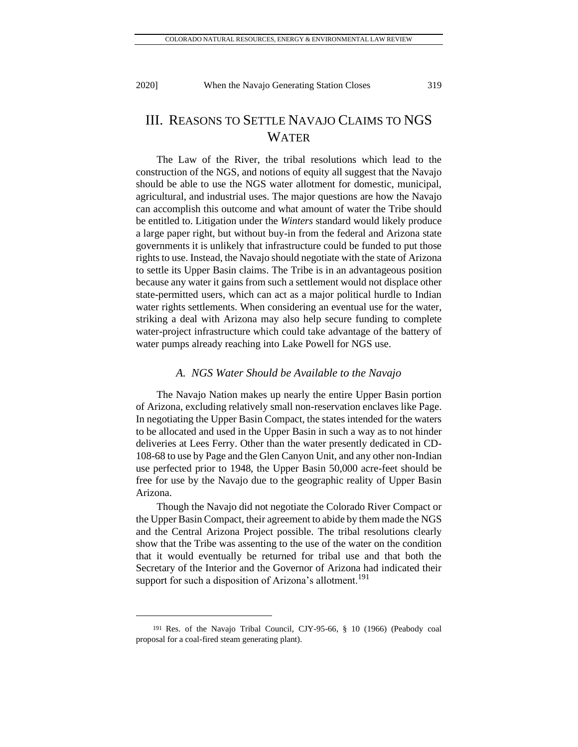# III. REASONS TO SETTLE NAVAJO CLAIMS TO NGS WATER

The Law of the River, the tribal resolutions which lead to the construction of the NGS, and notions of equity all suggest that the Navajo should be able to use the NGS water allotment for domestic, municipal, agricultural, and industrial uses. The major questions are how the Navajo can accomplish this outcome and what amount of water the Tribe should be entitled to. Litigation under the *Winters* standard would likely produce a large paper right, but without buy-in from the federal and Arizona state governments it is unlikely that infrastructure could be funded to put those rights to use. Instead, the Navajo should negotiate with the state of Arizona to settle its Upper Basin claims. The Tribe is in an advantageous position because any water it gains from such a settlement would not displace other state-permitted users, which can act as a major political hurdle to Indian water rights settlements. When considering an eventual use for the water, striking a deal with Arizona may also help secure funding to complete water-project infrastructure which could take advantage of the battery of water pumps already reaching into Lake Powell for NGS use.

#### *A. NGS Water Should be Available to the Navajo*

The Navajo Nation makes up nearly the entire Upper Basin portion of Arizona, excluding relatively small non-reservation enclaves like Page. In negotiating the Upper Basin Compact, the states intended for the waters to be allocated and used in the Upper Basin in such a way as to not hinder deliveries at Lees Ferry. Other than the water presently dedicated in CD-108-68 to use by Page and the Glen Canyon Unit, and any other non-Indian use perfected prior to 1948, the Upper Basin 50,000 acre-feet should be free for use by the Navajo due to the geographic reality of Upper Basin Arizona.

Though the Navajo did not negotiate the Colorado River Compact or the Upper Basin Compact, their agreement to abide by them made the NGS and the Central Arizona Project possible. The tribal resolutions clearly show that the Tribe was assenting to the use of the water on the condition that it would eventually be returned for tribal use and that both the Secretary of the Interior and the Governor of Arizona had indicated their support for such a disposition of Arizona's allotment.<sup>191</sup>

<sup>191</sup> Res. of the Navajo Tribal Council, CJY-95-66, § 10 (1966) (Peabody coal proposal for a coal-fired steam generating plant).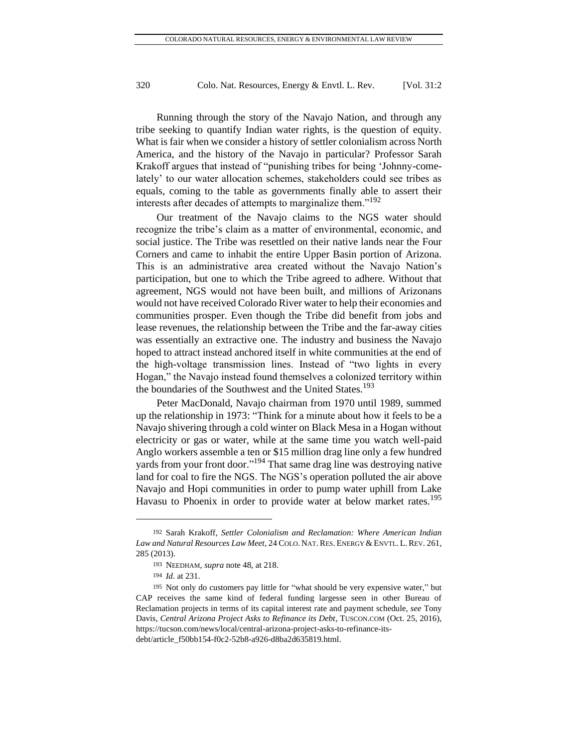Running through the story of the Navajo Nation, and through any tribe seeking to quantify Indian water rights, is the question of equity. What is fair when we consider a history of settler colonialism across North America, and the history of the Navajo in particular? Professor Sarah Krakoff argues that instead of "punishing tribes for being 'Johnny-comelately' to our water allocation schemes, stakeholders could see tribes as equals, coming to the table as governments finally able to assert their interests after decades of attempts to marginalize them."<sup>192</sup>

Our treatment of the Navajo claims to the NGS water should recognize the tribe's claim as a matter of environmental, economic, and social justice. The Tribe was resettled on their native lands near the Four Corners and came to inhabit the entire Upper Basin portion of Arizona. This is an administrative area created without the Navajo Nation's participation, but one to which the Tribe agreed to adhere. Without that agreement, NGS would not have been built, and millions of Arizonans would not have received Colorado River water to help their economies and communities prosper. Even though the Tribe did benefit from jobs and lease revenues, the relationship between the Tribe and the far-away cities was essentially an extractive one. The industry and business the Navajo hoped to attract instead anchored itself in white communities at the end of the high-voltage transmission lines. Instead of "two lights in every Hogan," the Navajo instead found themselves a colonized territory within the boundaries of the Southwest and the United States.<sup>193</sup>

Peter MacDonald, Navajo chairman from 1970 until 1989, summed up the relationship in 1973: "Think for a minute about how it feels to be a Navajo shivering through a cold winter on Black Mesa in a Hogan without electricity or gas or water, while at the same time you watch well-paid Anglo workers assemble a ten or \$15 million drag line only a few hundred yards from your front door."<sup>194</sup> That same drag line was destroying native land for coal to fire the NGS. The NGS's operation polluted the air above Navajo and Hopi communities in order to pump water uphill from Lake Havasu to Phoenix in order to provide water at below market rates.<sup>195</sup>

<sup>192</sup> Sarah Krakoff, *Settler Colonialism and Reclamation: Where American Indian Law and Natural Resources Law Meet*, 24 COLO. NAT.RES. ENERGY &ENVTL. L.REV. 261, 285 (2013).

<sup>193</sup> NEEDHAM, *supra* note 48, at 218.

<sup>194</sup> *Id.* at 231.

<sup>195</sup> Not only do customers pay little for "what should be very expensive water," but CAP receives the same kind of federal funding largesse seen in other Bureau of Reclamation projects in terms of its capital interest rate and payment schedule, *see* Tony Davis, *Central Arizona Project Asks to Refinance its Debt*, TUSCON.COM (Oct. 25, 2016), https://tucson.com/news/local/central-arizona-project-asks-to-refinance-itsdebt/article\_f50bb154-f0c2-52b8-a926-d8ba2d635819.html.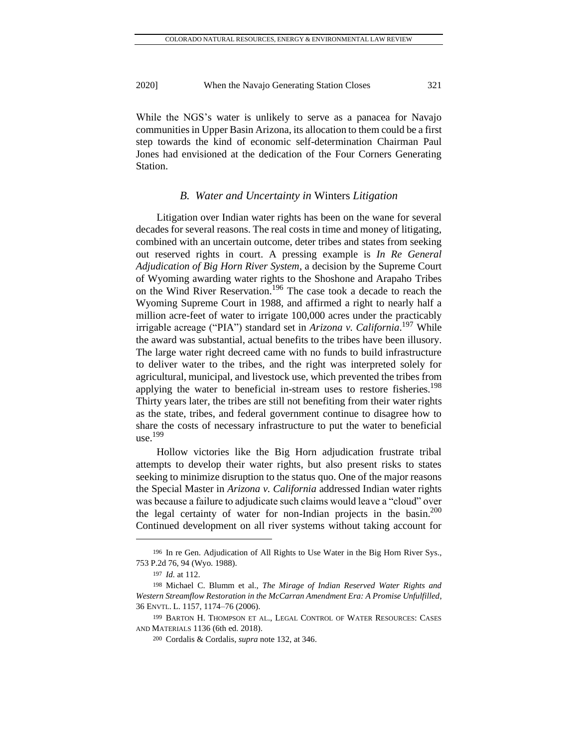While the NGS's water is unlikely to serve as a panacea for Navajo communities in Upper Basin Arizona, its allocation to them could be a first step towards the kind of economic self-determination Chairman Paul Jones had envisioned at the dedication of the Four Corners Generating Station.

#### *B. Water and Uncertainty in* Winters *Litigation*

Litigation over Indian water rights has been on the wane for several decades for several reasons. The real costs in time and money of litigating, combined with an uncertain outcome, deter tribes and states from seeking out reserved rights in court. A pressing example is *In Re General Adjudication of Big Horn River System*, a decision by the Supreme Court of Wyoming awarding water rights to the Shoshone and Arapaho Tribes on the Wind River Reservation.<sup>196</sup> The case took a decade to reach the Wyoming Supreme Court in 1988, and affirmed a right to nearly half a million acre-feet of water to irrigate 100,000 acres under the practicably irrigable acreage ("PIA") standard set in *Arizona v. California*. <sup>197</sup> While the award was substantial, actual benefits to the tribes have been illusory. The large water right decreed came with no funds to build infrastructure to deliver water to the tribes, and the right was interpreted solely for agricultural, municipal, and livestock use, which prevented the tribes from applying the water to beneficial in-stream uses to restore fisheries.<sup>198</sup> Thirty years later, the tribes are still not benefiting from their water rights as the state, tribes, and federal government continue to disagree how to share the costs of necessary infrastructure to put the water to beneficial use. $199$ 

Hollow victories like the Big Horn adjudication frustrate tribal attempts to develop their water rights, but also present risks to states seeking to minimize disruption to the status quo. One of the major reasons the Special Master in *Arizona v. California* addressed Indian water rights was because a failure to adjudicate such claims would leave a "cloud" over the legal certainty of water for non-Indian projects in the basin.<sup>200</sup> Continued development on all river systems without taking account for

<sup>196</sup> In re Gen. Adjudication of All Rights to Use Water in the Big Horn River Sys.*,* 753 P.2d 76, 94 (Wyo. 1988).

<sup>197</sup> *Id.* at 112.

<sup>198</sup> Michael C. Blumm et al., *The Mirage of Indian Reserved Water Rights and Western Streamflow Restoration in the McCarran Amendment Era: A Promise Unfulfilled*, 36 ENVTL. L. 1157, 1174–76 (2006).

<sup>199</sup> BARTON H. THOMPSON ET AL., LEGAL CONTROL OF WATER RESOURCES: CASES AND MATERIALS 1136 (6th ed. 2018).

<sup>200</sup> Cordalis & Cordalis, *supra* note 132, at 346.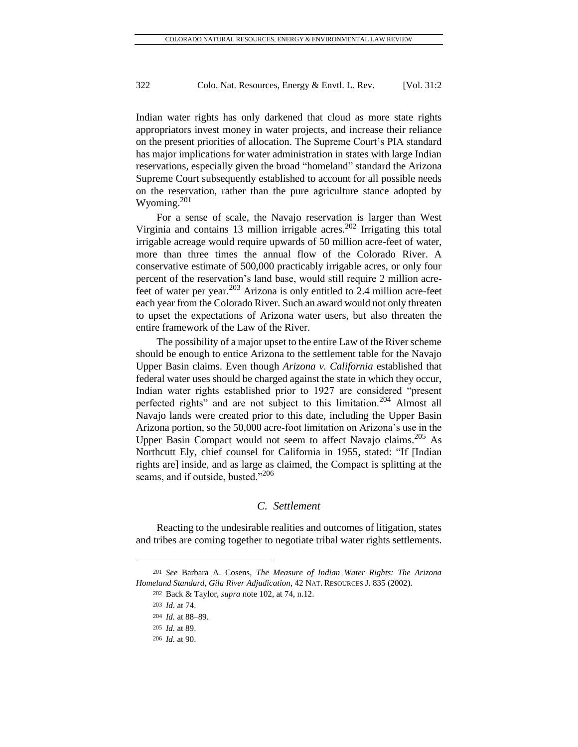Indian water rights has only darkened that cloud as more state rights appropriators invest money in water projects, and increase their reliance on the present priorities of allocation. The Supreme Court's PIA standard has major implications for water administration in states with large Indian reservations, especially given the broad "homeland" standard the Arizona Supreme Court subsequently established to account for all possible needs on the reservation, rather than the pure agriculture stance adopted by Wyoming. $201$ 

For a sense of scale, the Navajo reservation is larger than West Virginia and contains 13 million irrigable acres.<sup>202</sup> Irrigating this total irrigable acreage would require upwards of 50 million acre-feet of water, more than three times the annual flow of the Colorado River. A conservative estimate of 500,000 practicably irrigable acres, or only four percent of the reservation's land base, would still require 2 million acrefeet of water per year.<sup>203</sup> Arizona is only entitled to  $2.4$  million acre-feet each year from the Colorado River. Such an award would not only threaten to upset the expectations of Arizona water users, but also threaten the entire framework of the Law of the River.

The possibility of a major upset to the entire Law of the River scheme should be enough to entice Arizona to the settlement table for the Navajo Upper Basin claims. Even though *Arizona v. California* established that federal water uses should be charged against the state in which they occur, Indian water rights established prior to 1927 are considered "present perfected rights" and are not subject to this limitation.<sup>204</sup> Almost all Navajo lands were created prior to this date, including the Upper Basin Arizona portion, so the 50,000 acre-foot limitation on Arizona's use in the Upper Basin Compact would not seem to affect Navajo claims.<sup>205</sup> As Northcutt Ely, chief counsel for California in 1955, stated: "If [Indian rights are] inside, and as large as claimed, the Compact is splitting at the seams, and if outside, busted."<sup>206</sup>

#### *C. Settlement*

Reacting to the undesirable realities and outcomes of litigation, states and tribes are coming together to negotiate tribal water rights settlements.

<sup>201</sup> *See* Barbara A. Cosens, *The Measure of Indian Water Rights: The Arizona Homeland Standard, Gila River Adjudication*, 42 NAT. RESOURCES J. 835 (2002).

<sup>202</sup> Back & Taylor, *supra* note 102, at 74, n.12.

<sup>203</sup> *Id.* at 74.

<sup>204</sup> *Id.* at 88–89.

<sup>205</sup> *Id.* at 89.

<sup>206</sup> *Id.* at 90.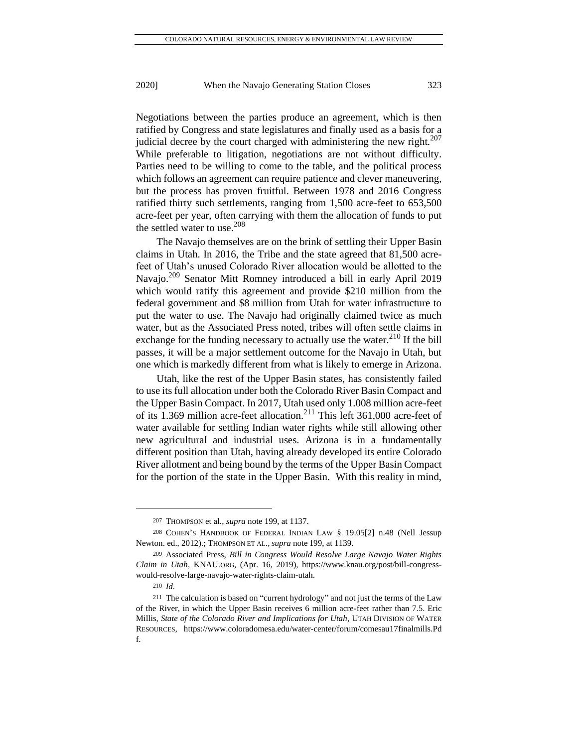Negotiations between the parties produce an agreement, which is then ratified by Congress and state legislatures and finally used as a basis for a judicial decree by the court charged with administering the new right. $207$ While preferable to litigation, negotiations are not without difficulty. Parties need to be willing to come to the table, and the political process which follows an agreement can require patience and clever maneuvering, but the process has proven fruitful. Between 1978 and 2016 Congress ratified thirty such settlements, ranging from 1,500 acre-feet to 653,500 acre-feet per year, often carrying with them the allocation of funds to put the settled water to use.<sup>208</sup>

The Navajo themselves are on the brink of settling their Upper Basin claims in Utah. In 2016, the Tribe and the state agreed that 81,500 acrefeet of Utah's unused Colorado River allocation would be allotted to the Navajo.<sup>209</sup> Senator Mitt Romney introduced a bill in early April 2019 which would ratify this agreement and provide \$210 million from the federal government and \$8 million from Utah for water infrastructure to put the water to use. The Navajo had originally claimed twice as much water, but as the Associated Press noted, tribes will often settle claims in exchange for the funding necessary to actually use the water. $^{210}$  If the bill passes, it will be a major settlement outcome for the Navajo in Utah, but one which is markedly different from what is likely to emerge in Arizona.

Utah, like the rest of the Upper Basin states, has consistently failed to use its full allocation under both the Colorado River Basin Compact and the Upper Basin Compact. In 2017, Utah used only 1.008 million acre-feet of its 1.369 million acre-feet allocation.<sup>211</sup> This left 361,000 acre-feet of water available for settling Indian water rights while still allowing other new agricultural and industrial uses. Arizona is in a fundamentally different position than Utah, having already developed its entire Colorado River allotment and being bound by the terms of the Upper Basin Compact for the portion of the state in the Upper Basin. With this reality in mind,

<sup>207</sup> THOMPSON et al., *supra* note 199, at 1137.

<sup>208</sup> COHEN'S HANDBOOK OF FEDERAL INDIAN LAW § 19.05[2] n.48 (Nell Jessup Newton. ed., 2012).; THOMPSON ET AL., *supra* note 199, at 1139.

<sup>209</sup> Associated Press, *Bill in Congress Would Resolve Large Navajo Water Rights Claim in Utah*, KNAU.ORG, (Apr. 16, 2019), https://www.knau.org/post/bill-congresswould-resolve-large-navajo-water-rights-claim-utah.

<sup>210</sup> *Id.*

<sup>211</sup> The calculation is based on "current hydrology" and not just the terms of the Law of the River, in which the Upper Basin receives 6 million acre-feet rather than 7.5. Eric Millis, *State of the Colorado River and Implications for Utah*, UTAH DIVISION OF WATER RESOURCES, [https://www.coloradomesa.edu/water-center/forum/comesau17finalmills.Pd](https://www.coloradomesa.edu/water-center/forum/comesau17finalmills.Pd%20f) [f.](https://www.coloradomesa.edu/water-center/forum/comesau17finalmills.Pd%20f)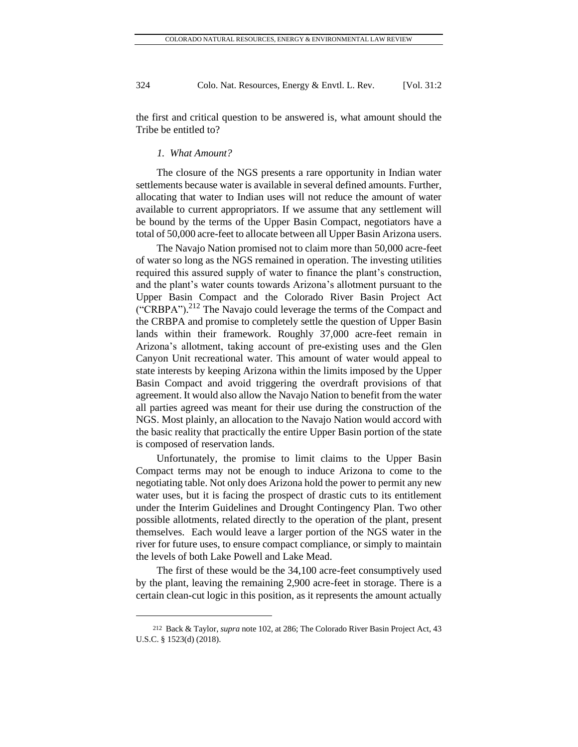the first and critical question to be answered is, what amount should the Tribe be entitled to?

#### *1. What Amount?*

The closure of the NGS presents a rare opportunity in Indian water settlements because water is available in several defined amounts. Further, allocating that water to Indian uses will not reduce the amount of water available to current appropriators. If we assume that any settlement will be bound by the terms of the Upper Basin Compact, negotiators have a total of 50,000 acre-feet to allocate between all Upper Basin Arizona users.

The Navajo Nation promised not to claim more than 50,000 acre-feet of water so long as the NGS remained in operation. The investing utilities required this assured supply of water to finance the plant's construction, and the plant's water counts towards Arizona's allotment pursuant to the Upper Basin Compact and the Colorado River Basin Project Act  $({}^{\circ}\text{CRBPA''})$ .<sup>212</sup> The Navajo could leverage the terms of the Compact and the CRBPA and promise to completely settle the question of Upper Basin lands within their framework. Roughly 37,000 acre-feet remain in Arizona's allotment, taking account of pre-existing uses and the Glen Canyon Unit recreational water. This amount of water would appeal to state interests by keeping Arizona within the limits imposed by the Upper Basin Compact and avoid triggering the overdraft provisions of that agreement. It would also allow the Navajo Nation to benefit from the water all parties agreed was meant for their use during the construction of the NGS. Most plainly, an allocation to the Navajo Nation would accord with the basic reality that practically the entire Upper Basin portion of the state is composed of reservation lands.

Unfortunately, the promise to limit claims to the Upper Basin Compact terms may not be enough to induce Arizona to come to the negotiating table. Not only does Arizona hold the power to permit any new water uses, but it is facing the prospect of drastic cuts to its entitlement under the Interim Guidelines and Drought Contingency Plan. Two other possible allotments, related directly to the operation of the plant, present themselves. Each would leave a larger portion of the NGS water in the river for future uses, to ensure compact compliance, or simply to maintain the levels of both Lake Powell and Lake Mead.

The first of these would be the 34,100 acre-feet consumptively used by the plant, leaving the remaining 2,900 acre-feet in storage. There is a certain clean-cut logic in this position, as it represents the amount actually

<sup>212</sup> Back & Taylor, *supra* note 102, at 286; The Colorado River Basin Project Act, 43 U.S.C. § 1523(d) (2018).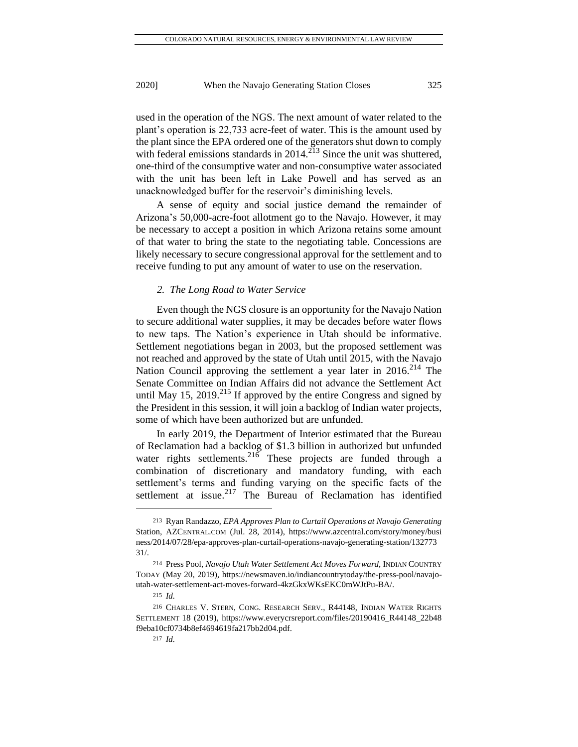used in the operation of the NGS. The next amount of water related to the plant's operation is 22,733 acre-feet of water. This is the amount used by the plant since the EPA ordered one of the generators shut down to comply with federal emissions standards in  $2014$ .<sup>213</sup> Since the unit was shuttered, one-third of the consumptive water and non-consumptive water associated with the unit has been left in Lake Powell and has served as an unacknowledged buffer for the reservoir's diminishing levels.

A sense of equity and social justice demand the remainder of Arizona's 50,000-acre-foot allotment go to the Navajo. However, it may be necessary to accept a position in which Arizona retains some amount of that water to bring the state to the negotiating table. Concessions are likely necessary to secure congressional approval for the settlement and to receive funding to put any amount of water to use on the reservation.

#### *2. The Long Road to Water Service*

Even though the NGS closure is an opportunity for the Navajo Nation to secure additional water supplies, it may be decades before water flows to new taps. The Nation's experience in Utah should be informative. Settlement negotiations began in 2003, but the proposed settlement was not reached and approved by the state of Utah until 2015, with the Navajo Nation Council approving the settlement a year later in 2016.<sup>214</sup> The Senate Committee on Indian Affairs did not advance the Settlement Act until May 15, 2019.<sup>215</sup> If approved by the entire Congress and signed by the President in this session, it will join a backlog of Indian water projects, some of which have been authorized but are unfunded.

In early 2019, the Department of Interior estimated that the Bureau of Reclamation had a backlog of \$1.3 billion in authorized but unfunded water rights settlements.<sup>216</sup> These projects are funded through a combination of discretionary and mandatory funding, with each settlement's terms and funding varying on the specific facts of the settlement at issue.<sup>217</sup> The Bureau of Reclamation has identified

<sup>213</sup> Ryan Randazzo, *EPA Approves Plan to Curtail Operations at Navajo Generating*  Station, AZCENTRAL.COM (Jul. 28, 2014), [https://www.azcentral.com/story/money/busi](https://www.azcentral.com/story/money/busi%20ness/2014/07/28/epa-approves-plan-curtail-operations-navajo-generating-station/132773)  [ness/2014/07/28/epa-approves-plan-curtail-operations-navajo-generating-station/132773](https://www.azcentral.com/story/money/busi%20ness/2014/07/28/epa-approves-plan-curtail-operations-navajo-generating-station/132773) 31/.

<sup>214</sup> Press Pool, *Navajo Utah Water Settlement Act Moves Forward*, INDIAN COUNTRY TODAY (May 20, 2019), https://newsmaven.io/indiancountrytoday/the-press-pool/navajoutah-water-settlement-act-moves-forward-4kzGkxWKsEKC0mWJtPu-BA/.

<sup>215</sup> *Id.*

<sup>216</sup> CHARLES V. STERN, CONG. RESEARCH SERV., R44148, INDIAN WATER RIGHTS SETTLEMENT 18 (2019), [https://www.everycrsreport.com/files/20190416\\_R44148\\_22b48](https://www.everycrsreport.com/files/20190416_R44148_22b48) f9eba10cf0734b8ef4694619fa217bb2d04.pdf.

<sup>217</sup> *Id.*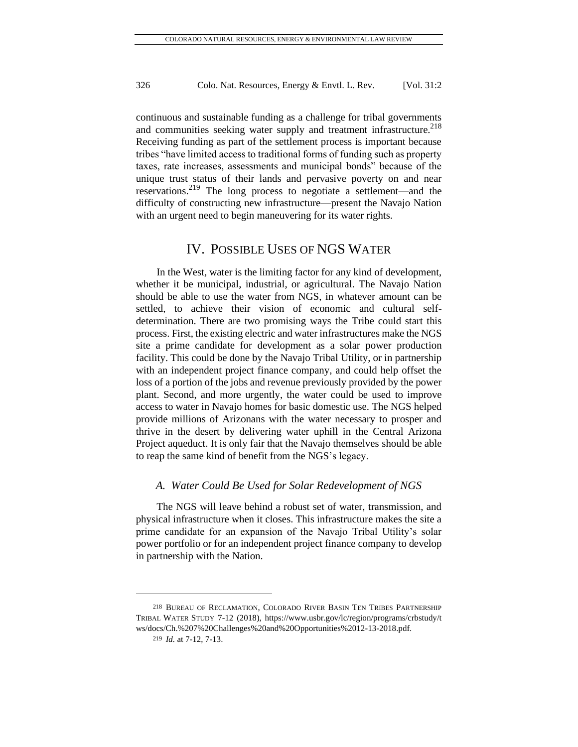continuous and sustainable funding as a challenge for tribal governments and communities seeking water supply and treatment infrastructure.<sup>218</sup> Receiving funding as part of the settlement process is important because tribes "have limited access to traditional forms of funding such as property taxes, rate increases, assessments and municipal bonds" because of the unique trust status of their lands and pervasive poverty on and near reservations.<sup>219</sup> The long process to negotiate a settlement—and the difficulty of constructing new infrastructure—present the Navajo Nation with an urgent need to begin maneuvering for its water rights.

# IV. POSSIBLE USES OF NGS WATER

In the West, water is the limiting factor for any kind of development, whether it be municipal, industrial, or agricultural. The Navajo Nation should be able to use the water from NGS, in whatever amount can be settled, to achieve their vision of economic and cultural selfdetermination. There are two promising ways the Tribe could start this process. First, the existing electric and water infrastructures make the NGS site a prime candidate for development as a solar power production facility. This could be done by the Navajo Tribal Utility, or in partnership with an independent project finance company, and could help offset the loss of a portion of the jobs and revenue previously provided by the power plant. Second, and more urgently, the water could be used to improve access to water in Navajo homes for basic domestic use. The NGS helped provide millions of Arizonans with the water necessary to prosper and thrive in the desert by delivering water uphill in the Central Arizona Project aqueduct. It is only fair that the Navajo themselves should be able to reap the same kind of benefit from the NGS's legacy.

#### *A. Water Could Be Used for Solar Redevelopment of NGS*

The NGS will leave behind a robust set of water, transmission, and physical infrastructure when it closes. This infrastructure makes the site a prime candidate for an expansion of the Navajo Tribal Utility's solar power portfolio or for an independent project finance company to develop in partnership with the Nation.

<sup>218</sup> BUREAU OF RECLAMATION, COLORADO RIVER BASIN TEN TRIBES PARTNERSHIP TRIBAL WATER STUDY 7-12 (2018), [https://www.usbr.gov/lc/region/programs/crbstudy/t](https://www.usbr.gov/lc/region/programs/crbstudy/t%20ws/docs/Ch.%207%20Challenges%20and%20Opportunities%2012-13-2018.pdf)  [ws/docs/Ch.%207%20Challenges%20and%20Opportunities%2012-13-2018.pdf.](https://www.usbr.gov/lc/region/programs/crbstudy/t%20ws/docs/Ch.%207%20Challenges%20and%20Opportunities%2012-13-2018.pdf)

<sup>219</sup> *Id.* at 7-12, 7-13.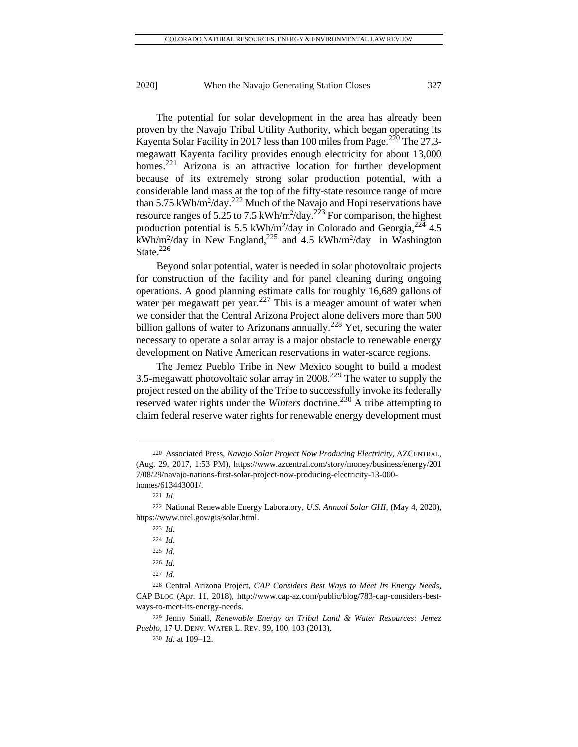The potential for solar development in the area has already been proven by the Navajo Tribal Utility Authority, which began operating its Kayenta Solar Facility in 2017 less than 100 miles from Page.<sup>220</sup> The 27.3megawatt Kayenta facility provides enough electricity for about 13,000 homes.<sup>221</sup> Arizona is an attractive location for further development because of its extremely strong solar production potential, with a considerable land mass at the top of the fifty-state resource range of more than 5.75 kWh/m<sup>2</sup>/day.<sup>222</sup> Much of the Navajo and Hopi reservations have resource ranges of 5.25 to 7.5 kWh/m<sup>2</sup>/day.<sup>223</sup> For comparison, the highest production potential is 5.5 kWh/m<sup>2</sup>/day in Colorado and Georgia,  $2^{24}$  4.5  $kWh/m^2$ /day in New England,<sup>225</sup> and 4.5 kWh/m<sup>2</sup>/day in Washington State.<sup>226</sup>

Beyond solar potential, water is needed in solar photovoltaic projects for construction of the facility and for panel cleaning during ongoing operations. A good planning estimate calls for roughly 16,689 gallons of water per megawatt per year.<sup>227</sup> This is a meager amount of water when we consider that the Central Arizona Project alone delivers more than 500 billion gallons of water to Arizonans annually.<sup>228</sup> Yet, securing the water necessary to operate a solar array is a major obstacle to renewable energy development on Native American reservations in water-scarce regions.

The Jemez Pueblo Tribe in New Mexico sought to build a modest 3.5-megawatt photovoltaic solar array in 2008.<sup>229</sup> The water to supply the project rested on the ability of the Tribe to successfully invoke its federally reserved water rights under the *Winters* doctrine.<sup>230</sup> A tribe attempting to claim federal reserve water rights for renewable energy development must

<sup>220</sup> Associated Press, *Navajo Solar Project Now Producing Electricity,* AZCENTRAL, (Aug. 29, 2017, 1:53 PM), [https://www.azcentral.com/story/money/business/energy/201](https://www.azcentral.com/story/money/business/energy/201%207/08/29/navajo-nations-first-solar-project-now-producing-electricity-13-000-homes/613443001/)  [7/08/29/navajo-nations-first-solar-project-now-producing-electricity-13-000](https://www.azcentral.com/story/money/business/energy/201%207/08/29/navajo-nations-first-solar-project-now-producing-electricity-13-000-homes/613443001/) [homes/613443001/.](https://www.azcentral.com/story/money/business/energy/201%207/08/29/navajo-nations-first-solar-project-now-producing-electricity-13-000-homes/613443001/)

<sup>221</sup> *Id.*

<sup>222</sup> National Renewable Energy Laboratory, *U.S. Annual Solar GHI*, (May 4, 2020), https://www.nrel.gov/gis/solar.html.

<sup>223</sup> *Id.*

<sup>224</sup> *Id.*

<sup>225</sup> *Id.* 

<sup>226</sup> *Id.*

<sup>227</sup> *Id.*

<sup>228</sup> Central Arizona Project, *CAP Considers Best Ways to Meet Its Energy Needs*, CAP BLOG (Apr. 11, 2018), [http://www.cap-az.com/public/blog/783-cap-considers-best](http://www.cap-az.com/public/blog/783-cap-considers-best-ways-to-meet-its-energy-needs)[ways-to-meet-its-energy-needs.](http://www.cap-az.com/public/blog/783-cap-considers-best-ways-to-meet-its-energy-needs)

<sup>229</sup> Jenny Small, *Renewable Energy on Tribal Land & Water Resources: Jemez Pueblo*, 17 U. DENV. WATER L. REV. 99, 100, 103 (2013).

<sup>230</sup> *Id.* at 109–12.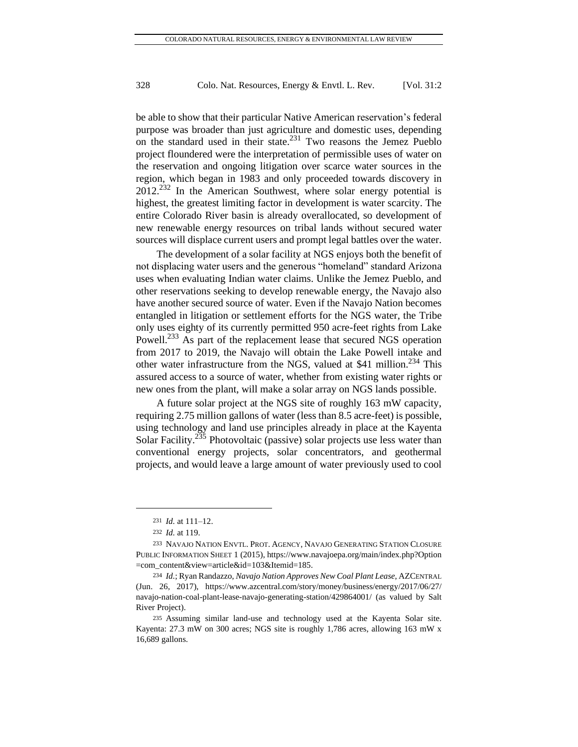be able to show that their particular Native American reservation's federal purpose was broader than just agriculture and domestic uses, depending on the standard used in their state. $^{231}$  Two reasons the Jemez Pueblo project floundered were the interpretation of permissible uses of water on the reservation and ongoing litigation over scarce water sources in the region, which began in 1983 and only proceeded towards discovery in  $2012^{232}$  In the American Southwest, where solar energy potential is highest, the greatest limiting factor in development is water scarcity. The entire Colorado River basin is already overallocated, so development of new renewable energy resources on tribal lands without secured water sources will displace current users and prompt legal battles over the water.

The development of a solar facility at NGS enjoys both the benefit of not displacing water users and the generous "homeland" standard Arizona uses when evaluating Indian water claims. Unlike the Jemez Pueblo, and other reservations seeking to develop renewable energy, the Navajo also have another secured source of water. Even if the Navajo Nation becomes entangled in litigation or settlement efforts for the NGS water, the Tribe only uses eighty of its currently permitted 950 acre-feet rights from Lake Powell.<sup>233</sup> As part of the replacement lease that secured NGS operation from 2017 to 2019, the Navajo will obtain the Lake Powell intake and other water infrastructure from the NGS, valued at \$41 million.<sup>234</sup> This assured access to a source of water, whether from existing water rights or new ones from the plant, will make a solar array on NGS lands possible.

A future solar project at the NGS site of roughly 163 mW capacity, requiring 2.75 million gallons of water (less than 8.5 acre-feet) is possible, using technology and land use principles already in place at the Kayenta Solar Facility.<sup>235</sup> Photovoltaic (passive) solar projects use less water than conventional energy projects, solar concentrators, and geothermal projects, and would leave a large amount of water previously used to cool

<sup>231</sup> *Id.* at 111–12.

<sup>232</sup> *Id.* at 119.

<sup>233</sup> NAVAJO NATION ENVTL. PROT. AGENCY, NAVAJO GENERATING STATION CLOSURE PUBLIC INFORMATION SHEET 1 (2015), [https://www.navajoepa.org/main/index.php?Option](https://www.navajoepa.org/main/index.php?Option%20=com_content&view=article&id=103&Itemid=185)  [=com\\_content&view=article&id=103&Itemid=185.](https://www.navajoepa.org/main/index.php?Option%20=com_content&view=article&id=103&Itemid=185)

<sup>234</sup> *Id.*; Ryan Randazzo, *Navajo Nation Approves New Coal Plant Lease*, AZCENTRAL (Jun. 26, 2017), <https://www.azcentral.com/story/money/business/energy/2017/06/27/> navajo-nation-coal-plant-lease-navajo-generating-station/429864001/ (as valued by Salt River Project).

<sup>235</sup> Assuming similar land-use and technology used at the Kayenta Solar site. Kayenta: 27.3 mW on 300 acres; NGS site is roughly 1,786 acres, allowing 163 mW x 16,689 gallons.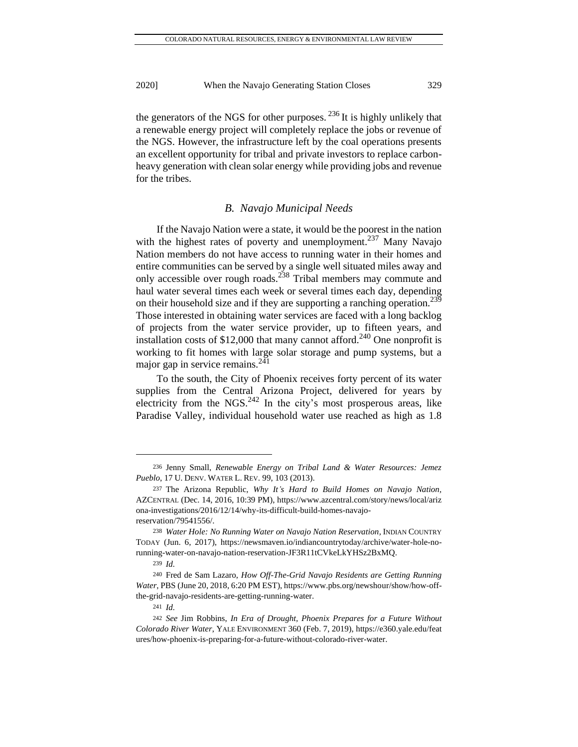the generators of the NGS for other purposes.  $^{236}$  It is highly unlikely that a renewable energy project will completely replace the jobs or revenue of the NGS. However, the infrastructure left by the coal operations presents an excellent opportunity for tribal and private investors to replace carbonheavy generation with clean solar energy while providing jobs and revenue for the tribes.

#### *B. Navajo Municipal Needs*

If the Navajo Nation were a state, it would be the poorest in the nation with the highest rates of poverty and unemployment.<sup>237</sup> Many Navajo Nation members do not have access to running water in their homes and entire communities can be served by a single well situated miles away and only accessible over rough roads.<sup>238</sup> Tribal members may commute and haul water several times each week or several times each day, depending on their household size and if they are supporting a ranching operation.<sup>239</sup> Those interested in obtaining water services are faced with a long backlog of projects from the water service provider, up to fifteen years, and installation costs of \$12,000 that many cannot afford.<sup>240</sup> One nonprofit is working to fit homes with large solar storage and pump systems, but a major gap in service remains.<sup>241</sup>

To the south, the City of Phoenix receives forty percent of its water supplies from the Central Arizona Project, delivered for years by electricity from the NGS. $^{242}$  In the city's most prosperous areas, like Paradise Valley, individual household water use reached as high as 1.8

<sup>236</sup> Jenny Small, *Renewable Energy on Tribal Land & Water Resources: Jemez Pueblo*, 17 U. DENV. WATER L. REV. 99, 103 (2013).

<sup>237</sup> The Arizona Republic, *Why It's Hard to Build Homes on Navajo Nation,* AZCENTRAL (Dec. 14, 2016, 10:39 PM)[, https://www.azcentral.com/story/news/local/ariz](https://www.azcentral.com/story/news/local/ariz%20ona-investigations/2016/12/14/why-its-difficult-build-homes-navajo-reservation/79541556/)  [ona-investigations/2016/12/14/why-its-difficult-build-homes-navajo](https://www.azcentral.com/story/news/local/ariz%20ona-investigations/2016/12/14/why-its-difficult-build-homes-navajo-reservation/79541556/)[reservation/79541556/.](https://www.azcentral.com/story/news/local/ariz%20ona-investigations/2016/12/14/why-its-difficult-build-homes-navajo-reservation/79541556/)

<sup>238</sup> *Water Hole: No Running Water on Navajo Nation Reservation,* INDIAN COUNTRY TODAY (Jun. 6, 2017), https://newsmaven.io/indiancountrytoday/archive/water-hole-norunning-water-on-navajo-nation-reservation-JF3R11tCVkeLkYHSz2BxMQ.

<sup>239</sup> *Id.*

<sup>240</sup> Fred de Sam Lazaro, *How Off-The-Grid Navajo Residents are Getting Running Water*, PBS (June 20, 2018, 6:20 PM EST), https://www.pbs.org/newshour/show/how-offthe-grid-navajo-residents-are-getting-running-water.

<sup>241</sup> *Id.*

<sup>242</sup> *See* Jim Robbins, *In Era of Drought, Phoenix Prepares for a Future Without Colorado River Water*, YALE ENVIRONMENT 360 (Feb. 7, 2019), [https://e360.yale.edu/feat](https://e360.yale.edu/feat%20ures/how-phoenix-is-preparing-for-a-future-without-colorado-river-water)  [ures/how-phoenix-is-preparing-for-a-future-without-colorado-river-water.](https://e360.yale.edu/feat%20ures/how-phoenix-is-preparing-for-a-future-without-colorado-river-water)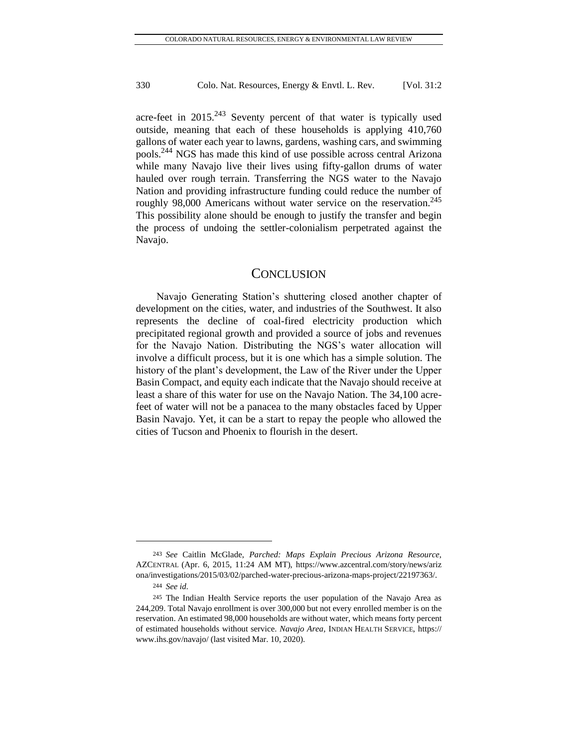acre-feet in  $2015<sup>243</sup>$  Seventy percent of that water is typically used outside, meaning that each of these households is applying 410,760 gallons of water each year to lawns, gardens, washing cars, and swimming pools.<sup>244</sup> NGS has made this kind of use possible across central Arizona while many Navajo live their lives using fifty-gallon drums of water hauled over rough terrain. Transferring the NGS water to the Navajo Nation and providing infrastructure funding could reduce the number of roughly 98,000 Americans without water service on the reservation.<sup>245</sup> This possibility alone should be enough to justify the transfer and begin the process of undoing the settler-colonialism perpetrated against the Navajo.

### **CONCLUSION**

Navajo Generating Station's shuttering closed another chapter of development on the cities, water, and industries of the Southwest. It also represents the decline of coal-fired electricity production which precipitated regional growth and provided a source of jobs and revenues for the Navajo Nation. Distributing the NGS's water allocation will involve a difficult process, but it is one which has a simple solution. The history of the plant's development, the Law of the River under the Upper Basin Compact, and equity each indicate that the Navajo should receive at least a share of this water for use on the Navajo Nation. The 34,100 acrefeet of water will not be a panacea to the many obstacles faced by Upper Basin Navajo. Yet, it can be a start to repay the people who allowed the cities of Tucson and Phoenix to flourish in the desert.

<sup>243</sup> *See* Caitlin McGlade, *Parched: Maps Explain Precious Arizona Resource,*  AZCENTRAL (Apr. 6, 2015, 11:24 AM MT), [https://www.azcentral.com/story/news/ariz](https://www.azcentral.com/story/news/ariz%20ona/investigations/2015/03/02/parched-water-precious-arizona-maps-project/22197363/)  [ona/investigations/2015/03/02/parched-water-precious-arizona-maps-project/22197363/.](https://www.azcentral.com/story/news/ariz%20ona/investigations/2015/03/02/parched-water-precious-arizona-maps-project/22197363/)

<sup>244</sup> *See id.*

<sup>245</sup> The Indian Health Service reports the user population of the Navajo Area as 244,209. Total Navajo enrollment is over 300,000 but not every enrolled member is on the reservation. An estimated 98,000 households are without water, which means forty percent of estimated households without service. *Navajo Area,* INDIAN HEALTH SERVICE, https:// www.ihs.gov/navajo/ (last visited Mar. 10, 2020).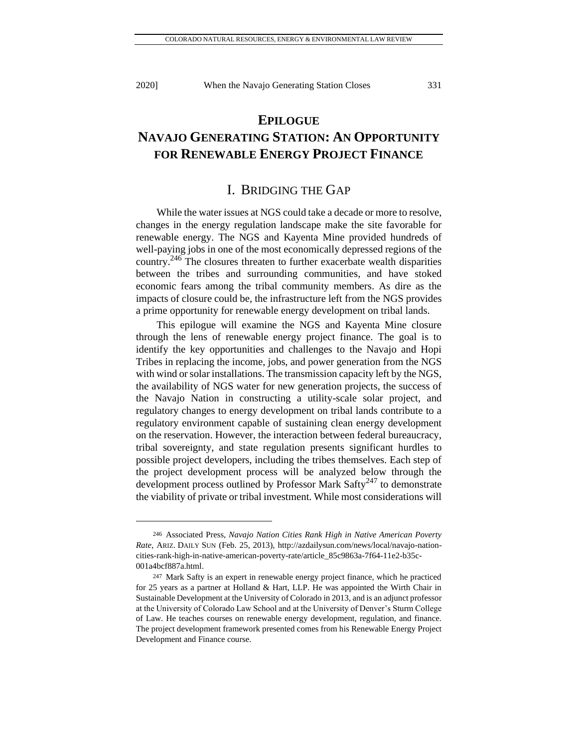# **EPILOGUE NAVAJO GENERATING STATION: AN OPPORTUNITY FOR RENEWABLE ENERGY PROJECT FINANCE**

# I. BRIDGING THE GAP

While the water issues at NGS could take a decade or more to resolve, changes in the energy regulation landscape make the site favorable for renewable energy. The NGS and Kayenta Mine provided hundreds of well-paying jobs in one of the most economically depressed regions of the country.<sup>246</sup> The closures threaten to further exacerbate wealth disparities between the tribes and surrounding communities, and have stoked economic fears among the tribal community members. As dire as the impacts of closure could be, the infrastructure left from the NGS provides a prime opportunity for renewable energy development on tribal lands.

This epilogue will examine the NGS and Kayenta Mine closure through the lens of renewable energy project finance. The goal is to identify the key opportunities and challenges to the Navajo and Hopi Tribes in replacing the income, jobs, and power generation from the NGS with wind or solar installations. The transmission capacity left by the NGS, the availability of NGS water for new generation projects, the success of the Navajo Nation in constructing a utility-scale solar project, and regulatory changes to energy development on tribal lands contribute to a regulatory environment capable of sustaining clean energy development on the reservation. However, the interaction between federal bureaucracy, tribal sovereignty, and state regulation presents significant hurdles to possible project developers, including the tribes themselves. Each step of the project development process will be analyzed below through the development process outlined by Professor Mark  $Safty^{247}$  to demonstrate the viability of private or tribal investment. While most considerations will

<sup>246</sup> Associated Press, *Navajo Nation Cities Rank High in Native American Poverty Rate*, ARIZ. DAILY SUN (Feb. 25, 2013), [http://azdailysun.com/news/local/navajo-nation](http://azdailysun.com/news/local/navajo-nation-cities-rank-high-in-native-american-poverty-rate/article_85c9863a-7f64-11e2-b35c-001a4bcf887a.html)[cities-rank-high-in-native-american-poverty-rate/article\\_85c9863a-7f64-11e2-b35c-](http://azdailysun.com/news/local/navajo-nation-cities-rank-high-in-native-american-poverty-rate/article_85c9863a-7f64-11e2-b35c-001a4bcf887a.html)[001a4bcf887a.html.](http://azdailysun.com/news/local/navajo-nation-cities-rank-high-in-native-american-poverty-rate/article_85c9863a-7f64-11e2-b35c-001a4bcf887a.html)

<sup>247</sup> Mark Safty is an expert in renewable energy project finance, which he practiced for 25 years as a partner at Holland & Hart, LLP. He was appointed the Wirth Chair in Sustainable Development at the University of Colorado in 2013, and is an adjunct professor at the University of Colorado Law School and at the University of Denver's Sturm College of Law. He teaches courses on renewable energy development, regulation, and finance. The project development framework presented comes from his Renewable Energy Project Development and Finance course.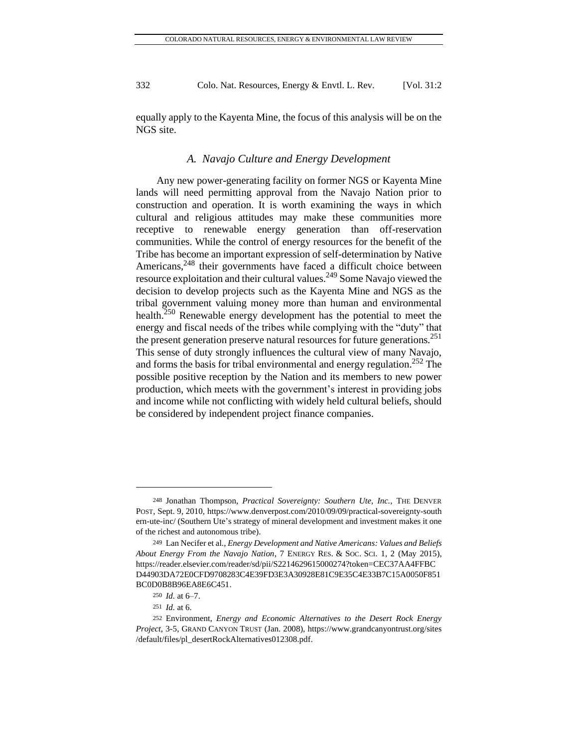equally apply to the Kayenta Mine, the focus of this analysis will be on the NGS site.

#### *A. Navajo Culture and Energy Development*

Any new power-generating facility on former NGS or Kayenta Mine lands will need permitting approval from the Navajo Nation prior to construction and operation. It is worth examining the ways in which cultural and religious attitudes may make these communities more receptive to renewable energy generation than off-reservation communities. While the control of energy resources for the benefit of the Tribe has become an important expression of self-determination by Native Americans,<sup>248</sup> their governments have faced a difficult choice between resource exploitation and their cultural values.<sup>249</sup> Some Navajo viewed the decision to develop projects such as the Kayenta Mine and NGS as the tribal government valuing money more than human and environmental health.<sup>250</sup> Renewable energy development has the potential to meet the energy and fiscal needs of the tribes while complying with the "duty" that the present generation preserve natural resources for future generations.<sup>251</sup> This sense of duty strongly influences the cultural view of many Navajo, and forms the basis for tribal environmental and energy regulation.<sup>252</sup> The possible positive reception by the Nation and its members to new power production, which meets with the government's interest in providing jobs and income while not conflicting with widely held cultural beliefs, should be considered by independent project finance companies.

<sup>248</sup> Jonathan Thompson, *Practical Sovereignty: Southern Ute, Inc.,* THE DENVER POST, Sept. 9, 2010[, https://www.denverpost.com/2010/09/09/practical-sovereignty-south](https://www.denverpost.com/2010/09/09/practical-sovereignty-south%20ern-ute-inc/)  [ern-ute-inc/](https://www.denverpost.com/2010/09/09/practical-sovereignty-south%20ern-ute-inc/) (Southern Ute's strategy of mineral development and investment makes it one of the richest and autonomous tribe).

<sup>249</sup> Lan Necifer et al., *Energy Development and Native Americans: Values and Beliefs About Energy From the Navajo Nation*, 7 ENERGY RES. & SOC. SCI. 1, 2 (May 2015), [https://reader.elsevier.com/reader/sd/pii/S2214629615000274?token=CEC37AA4FFBC](https://reader.elsevier.com/reader/sd/pii/S2214629615000274?token=CEC37AA4FFBCD44903DA72E0CFD9708283C4E39FD3E3A30928E81C9E35C4E33B7C15A0050F851BC0D0B8B96EA8E6C451) [D44903DA72E0CFD9708283C4E39FD3E3A30928E81C9E35C4E33B7C15A0050F851](https://reader.elsevier.com/reader/sd/pii/S2214629615000274?token=CEC37AA4FFBCD44903DA72E0CFD9708283C4E39FD3E3A30928E81C9E35C4E33B7C15A0050F851BC0D0B8B96EA8E6C451) [BC0D0B8B96EA8E6C451.](https://reader.elsevier.com/reader/sd/pii/S2214629615000274?token=CEC37AA4FFBCD44903DA72E0CFD9708283C4E39FD3E3A30928E81C9E35C4E33B7C15A0050F851BC0D0B8B96EA8E6C451)

<sup>250</sup> *Id.* at 6–7.

<sup>251</sup> *Id.* at 6.

<sup>252</sup> Environment, *Energy and Economic Alternatives to the Desert Rock Energy Project*, 3-5, GRAND CANYON TRUST (Jan. 2008), [https://www.grandcanyontrust.org/sites](https://www.grandcanyontrust.org/sites%20/default/files/pl_desertRockAlternatives012308.pdf)  [/default/files/pl\\_desertRockAlternatives012308.pdf.](https://www.grandcanyontrust.org/sites%20/default/files/pl_desertRockAlternatives012308.pdf)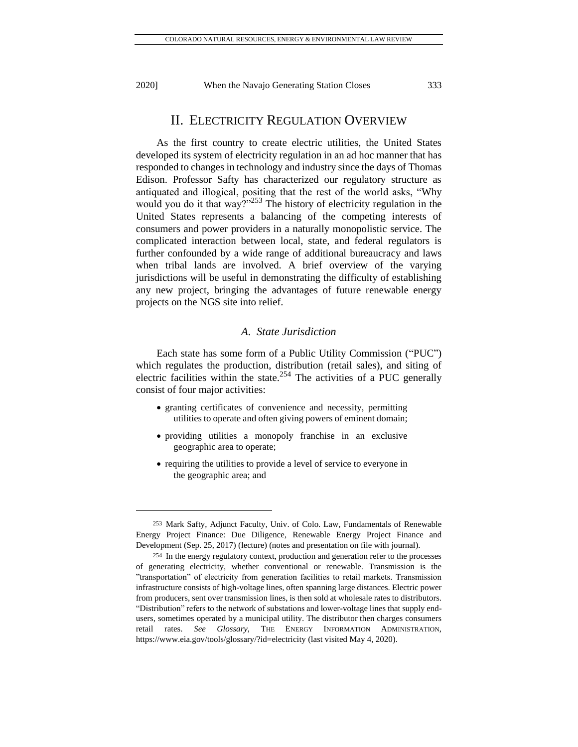# II. ELECTRICITY REGULATION OVERVIEW

As the first country to create electric utilities, the United States developed its system of electricity regulation in an ad hoc manner that has responded to changes in technology and industry since the days of Thomas Edison. Professor Safty has characterized our regulatory structure as antiquated and illogical, positing that the rest of the world asks, "Why would you do it that way?" $^{253}$  The history of electricity regulation in the United States represents a balancing of the competing interests of consumers and power providers in a naturally monopolistic service. The complicated interaction between local, state, and federal regulators is further confounded by a wide range of additional bureaucracy and laws when tribal lands are involved. A brief overview of the varying jurisdictions will be useful in demonstrating the difficulty of establishing any new project, bringing the advantages of future renewable energy projects on the NGS site into relief.

### *A. State Jurisdiction*

Each state has some form of a Public Utility Commission ("PUC") which regulates the production, distribution (retail sales), and siting of electric facilities within the state.<sup>254</sup> The activities of a PUC generally consist of four major activities:

- granting certificates of convenience and necessity, permitting utilities to operate and often giving powers of eminent domain;
- providing utilities a monopoly franchise in an exclusive geographic area to operate;
- requiring the utilities to provide a level of service to everyone in the geographic area; and

<sup>253</sup> Mark Safty, Adjunct Faculty, Univ. of Colo. Law, Fundamentals of Renewable Energy Project Finance: Due Diligence, Renewable Energy Project Finance and Development (Sep. 25, 2017) (lecture) (notes and presentation on file with journal).

<sup>254</sup> In the energy regulatory context, production and generation refer to the processes of generating electricity, whether conventional or renewable. Transmission is the "transportation" of electricity from generation facilities to retail markets. Transmission infrastructure consists of high-voltage lines, often spanning large distances. Electric power from producers, sent over transmission lines, is then sold at wholesale rates to distributors. "Distribution" refers to the network of substations and lower-voltage lines that supply endusers, sometimes operated by a municipal utility. The distributor then charges consumers retail rates. *See Glossary*, THE ENERGY INFORMATION ADMINISTRATION, <https://www.eia.gov/tools/glossary/?id=electricity> (last visited May 4, 2020).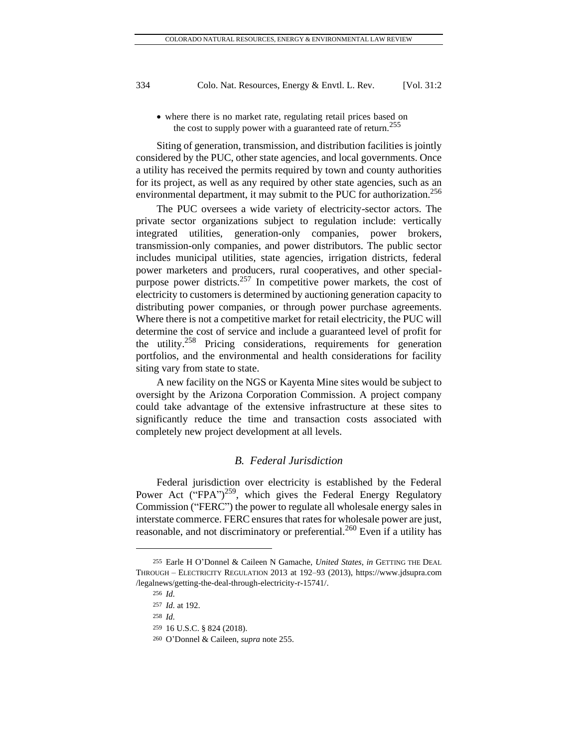• where there is no market rate, regulating retail prices based on the cost to supply power with a guaranteed rate of return.<sup>255</sup>

Siting of generation, transmission, and distribution facilities is jointly considered by the PUC, other state agencies, and local governments. Once a utility has received the permits required by town and county authorities for its project, as well as any required by other state agencies, such as an environmental department, it may submit to the PUC for authorization.<sup>256</sup>

The PUC oversees a wide variety of electricity-sector actors. The private sector organizations subject to regulation include: vertically integrated utilities, generation-only companies, power brokers, transmission-only companies, and power distributors. The public sector includes municipal utilities, state agencies, irrigation districts, federal power marketers and producers, rural cooperatives, and other specialpurpose power districts.<sup>257</sup> In competitive power markets, the cost of electricity to customers is determined by auctioning generation capacity to distributing power companies, or through power purchase agreements. Where there is not a competitive market for retail electricity, the PUC will determine the cost of service and include a guaranteed level of profit for the utility.<sup>258</sup> Pricing considerations, requirements for generation portfolios, and the environmental and health considerations for facility siting vary from state to state.

A new facility on the NGS or Kayenta Mine sites would be subject to oversight by the Arizona Corporation Commission. A project company could take advantage of the extensive infrastructure at these sites to significantly reduce the time and transaction costs associated with completely new project development at all levels.

### *B. Federal Jurisdiction*

Federal jurisdiction over electricity is established by the Federal Power Act ("FPA")<sup>259</sup>, which gives the Federal Energy Regulatory Commission ("FERC") the power to regulate all wholesale energy sales in interstate commerce. FERC ensures that rates for wholesale power are just, reasonable, and not discriminatory or preferential.<sup>260</sup> Even if a utility has

<sup>255</sup> Earle H O'Donnel & Caileen N Gamache, *United States*, *in* GETTING THE DEAL THROUGH – ELECTRICITY REGULATION 2013 at 192–93 (2013), https://www.jdsupra.com /legalnews/getting-the-deal-through-electricity-r-15741/.

<sup>256</sup> *Id.*

<sup>257</sup> *Id.* at 192.

<sup>258</sup> *Id.*

<sup>259</sup> 16 U.S.C. § 824 (2018).

<sup>260</sup> O'Donnel & Caileen, *supra* note 255.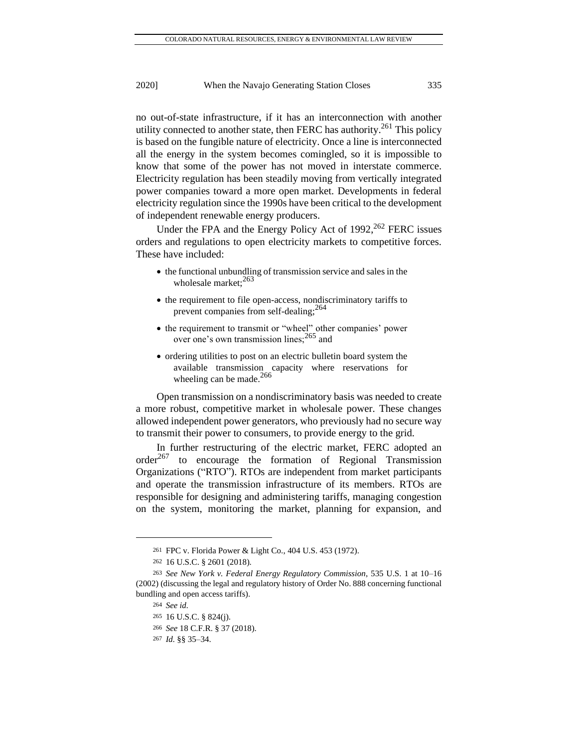no out-of-state infrastructure, if it has an interconnection with another utility connected to another state, then FERC has authority.<sup>261</sup> This policy is based on the fungible nature of electricity. Once a line is interconnected all the energy in the system becomes comingled, so it is impossible to know that some of the power has not moved in interstate commerce. Electricity regulation has been steadily moving from vertically integrated power companies toward a more open market. Developments in federal electricity regulation since the 1990s have been critical to the development of independent renewable energy producers.

Under the FPA and the Energy Policy Act of 1992,<sup>262</sup> FERC issues orders and regulations to open electricity markets to competitive forces. These have included:

- the functional unbundling of transmission service and sales in the wholesale market; $^{263}$
- the requirement to file open-access, nondiscriminatory tariffs to prevent companies from self-dealing;  $^{264}$
- the requirement to transmit or "wheel" other companies' power over one's own transmission lines;<sup>265</sup> and
- ordering utilities to post on an electric bulletin board system the available transmission capacity where reservations for wheeling can be made.<sup>266</sup>

Open transmission on a nondiscriminatory basis was needed to create a more robust, competitive market in wholesale power. These changes allowed independent power generators, who previously had no secure way to transmit their power to consumers, to provide energy to the grid.

In further restructuring of the electric market, FERC adopted an  $order<sup>267</sup>$  to encourage the formation of Regional Transmission Organizations ("RTO"). RTOs are independent from market participants and operate the transmission infrastructure of its members. RTOs are responsible for designing and administering tariffs, managing congestion on the system, monitoring the market, planning for expansion, and

<sup>261</sup> FPC v. Florida Power & Light Co., 404 U.S. 453 (1972).

<sup>262</sup> 16 U.S.C. § 2601 (2018).

<sup>263</sup> *See New York v. Federal Energy Regulatory Commission*, 535 U.S. 1 at 10–16 (2002) (discussing the legal and regulatory history of Order No. 888 concerning functional bundling and open access tariffs).

<sup>264</sup> *See id.*

<sup>265</sup> 16 U.S.C. § 824(j).

<sup>266</sup> *See* 18 C.F.R. § 37 (2018).

<sup>267</sup> *Id.* §§ 35–34.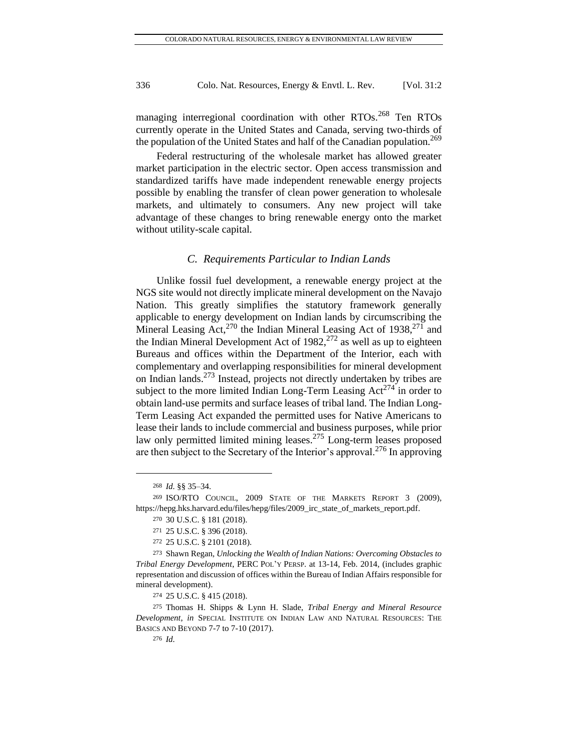managing interregional coordination with other RTOs.<sup>268</sup> Ten RTOs currently operate in the United States and Canada, serving two-thirds of the population of the United States and half of the Canadian population.<sup>269</sup>

Federal restructuring of the wholesale market has allowed greater market participation in the electric sector. Open access transmission and standardized tariffs have made independent renewable energy projects possible by enabling the transfer of clean power generation to wholesale markets, and ultimately to consumers. Any new project will take advantage of these changes to bring renewable energy onto the market without utility-scale capital.

#### *C. Requirements Particular to Indian Lands*

Unlike fossil fuel development, a renewable energy project at the NGS site would not directly implicate mineral development on the Navajo Nation. This greatly simplifies the statutory framework generally applicable to energy development on Indian lands by circumscribing the Mineral Leasing Act,<sup>270</sup> the Indian Mineral Leasing Act of 1938,<sup>271</sup> and the Indian Mineral Development Act of  $1982$ ,  $272$  as well as up to eighteen Bureaus and offices within the Department of the Interior, each with complementary and overlapping responsibilities for mineral development on Indian lands. <sup>273</sup> Instead, projects not directly undertaken by tribes are subject to the more limited Indian Long-Term Leasing  $Act^{274}$  in order to obtain land-use permits and surface leases of tribal land. The Indian Long-Term Leasing Act expanded the permitted uses for Native Americans to lease their lands to include commercial and business purposes, while prior law only permitted limited mining leases.<sup>275</sup> Long-term leases proposed are then subject to the Secretary of the Interior's approval.<sup>276</sup> In approving

<sup>268</sup> *Id.* §§ 35–34.

<sup>269</sup> ISO/RTO COUNCIL, 2009 STATE OF THE MARKETS REPORT 3 (2009), [https://hepg.hks.harvard.edu/files/hepg/files/2009\\_irc\\_state\\_of\\_markets\\_report.pdf.](https://hepg.hks.harvard.edu/files/hepg/files/2009_irc_state_of_markets_report.pdf)

<sup>270</sup> 30 U.S.C. § 181 (2018).

<sup>271</sup> 25 U.S.C. § 396 (2018).

<sup>272</sup> 25 U.S.C. § 2101 (2018).

<sup>273</sup> Shawn Regan, *Unlocking the Wealth of Indian Nations: Overcoming Obstacles to Tribal Energy Development*, PERC POL'Y PERSP. at 13-14, Feb. 2014, (includes graphic representation and discussion of offices within the Bureau of Indian Affairs responsible for mineral development).

<sup>274</sup> 25 U.S.C. § 415 (2018).

<sup>275</sup> Thomas H. Shipps & Lynn H. Slade, *Tribal Energy and Mineral Resource Development*, *in* SPECIAL INSTITUTE ON INDIAN LAW AND NATURAL RESOURCES: THE BASICS AND BEYOND 7-7 to 7-10 (2017).

<sup>276</sup> *Id.*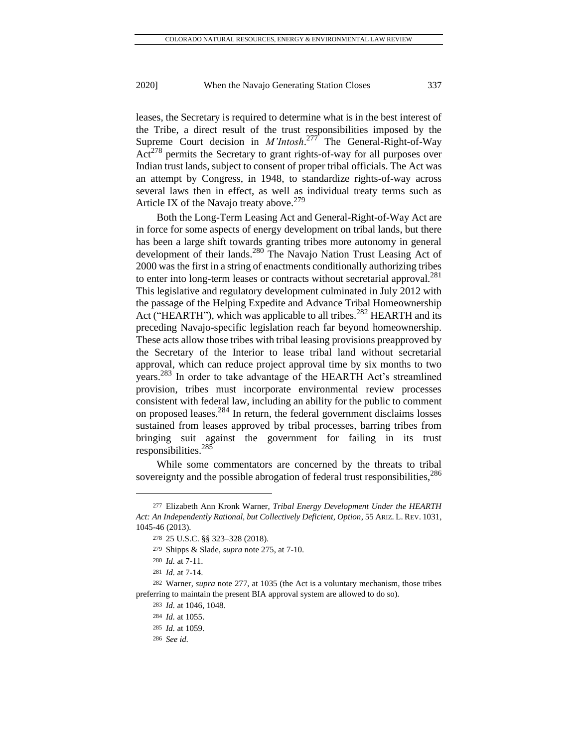leases, the Secretary is required to determine what is in the best interest of the Tribe, a direct result of the trust responsibilities imposed by the Supreme Court decision in *M'Intosh*. <sup>277</sup> The General-Right-of-Way  $Act^{278}$  permits the Secretary to grant rights-of-way for all purposes over Indian trust lands, subject to consent of proper tribal officials. The Act was an attempt by Congress, in 1948, to standardize rights-of-way across several laws then in effect, as well as individual treaty terms such as Article IX of the Navajo treaty above.<sup>279</sup>

Both the Long-Term Leasing Act and General-Right-of-Way Act are in force for some aspects of energy development on tribal lands, but there has been a large shift towards granting tribes more autonomy in general development of their lands.<sup>280</sup> The Navajo Nation Trust Leasing Act of 2000 was the first in a string of enactments conditionally authorizing tribes to enter into long-term leases or contracts without secretarial approval.<sup>281</sup> This legislative and regulatory development culminated in July 2012 with the passage of the Helping Expedite and Advance Tribal Homeownership Act ("HEARTH"), which was applicable to all tribes.<sup>282</sup> HEARTH and its preceding Navajo-specific legislation reach far beyond homeownership. These acts allow those tribes with tribal leasing provisions preapproved by the Secretary of the Interior to lease tribal land without secretarial approval, which can reduce project approval time by six months to two years.<sup>283</sup> In order to take advantage of the HEARTH Act's streamlined provision, tribes must incorporate environmental review processes consistent with federal law, including an ability for the public to comment on proposed leases.<sup>284</sup> In return, the federal government disclaims losses sustained from leases approved by tribal processes, barring tribes from bringing suit against the government for failing in its trust responsibilities.<sup>285</sup>

While some commentators are concerned by the threats to tribal sovereignty and the possible abrogation of federal trust responsibilities,<sup>286</sup>

<sup>277</sup> Elizabeth Ann Kronk Warner, *Tribal Energy Development Under the HEARTH Act: An Independently Rational, but Collectively Deficient, Option*, 55 ARIZ. L. REV. 1031, 1045-46 (2013).

<sup>278</sup> 25 U.S.C. §§ 323–328 (2018).

<sup>279</sup> Shipps & Slade, *supra* note 275, at 7-10.

<sup>280</sup> *Id.* at 7-11.

<sup>281</sup> *Id.* at 7-14.

<sup>282</sup> Warner, *supra* note 277, at 1035 (the Act is a voluntary mechanism, those tribes preferring to maintain the present BIA approval system are allowed to do so).

<sup>283</sup> *Id.* at 1046, 1048.

<sup>284</sup> *Id.* at 1055.

<sup>285</sup> *Id.* at 1059.

<sup>286</sup> *See id.*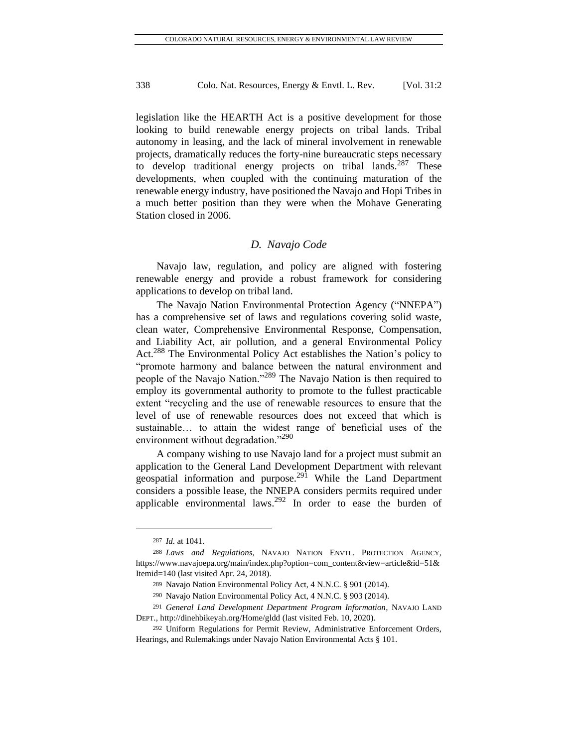legislation like the HEARTH Act is a positive development for those looking to build renewable energy projects on tribal lands. Tribal autonomy in leasing, and the lack of mineral involvement in renewable projects, dramatically reduces the forty-nine bureaucratic steps necessary to develop traditional energy projects on tribal lands.<sup>287</sup> These developments, when coupled with the continuing maturation of the renewable energy industry, have positioned the Navajo and Hopi Tribes in a much better position than they were when the Mohave Generating Station closed in 2006.

### *D. Navajo Code*

Navajo law, regulation, and policy are aligned with fostering renewable energy and provide a robust framework for considering applications to develop on tribal land.

The Navajo Nation Environmental Protection Agency ("NNEPA") has a comprehensive set of laws and regulations covering solid waste, clean water, Comprehensive Environmental Response, Compensation, and Liability Act, air pollution, and a general Environmental Policy Act.<sup>288</sup> The Environmental Policy Act establishes the Nation's policy to "promote harmony and balance between the natural environment and people of the Navajo Nation."<sup>289</sup> The Navajo Nation is then required to employ its governmental authority to promote to the fullest practicable extent "recycling and the use of renewable resources to ensure that the level of use of renewable resources does not exceed that which is sustainable… to attain the widest range of beneficial uses of the environment without degradation."<sup>290</sup>

A company wishing to use Navajo land for a project must submit an application to the General Land Development Department with relevant geospatial information and purpose.<sup>291</sup> While the Land Department considers a possible lease, the NNEPA considers permits required under applicable environmental laws.<sup>292</sup> In order to ease the burden of

<sup>287</sup> *Id.* at 1041.

<sup>288</sup> *Laws and Regulations*, NAVAJO NATION ENVTL. PROTECTION AGENCY, [https://www.navajoepa.org/main/index.php?option=com\\_content&view=article&id=51&](https://www.navajoepa.org/main/index.php?option=com_content&view=article&id=51&Itemid=140) [Itemid=140](https://www.navajoepa.org/main/index.php?option=com_content&view=article&id=51&Itemid=140) (last visited Apr. 24, 2018).

<sup>289</sup> Navajo Nation Environmental Policy Act, 4 N.N.C. § 901 (2014).

<sup>290</sup> Navajo Nation Environmental Policy Act, 4 N.N.C. § 903 (2014).

<sup>291</sup> *General Land Development Department Program Information*, NAVAJO LAND DEPT.[, http://dinehbikeyah.org/Home/gldd](http://dinehbikeyah.org/Home/gldd) (last visited Feb. 10, 2020).

<sup>292</sup> Uniform Regulations for Permit Review, Administrative Enforcement Orders, Hearings, and Rulemakings under Navajo Nation Environmental Acts § 101.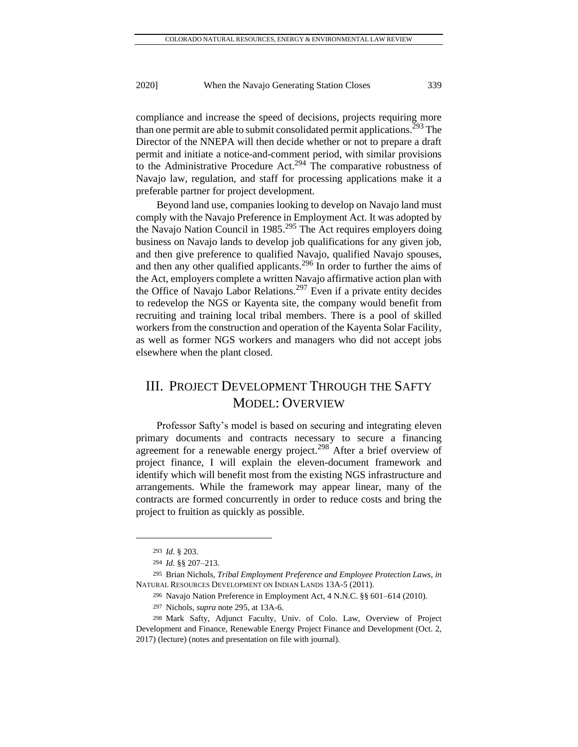compliance and increase the speed of decisions, projects requiring more than one permit are able to submit consolidated permit applications.<sup>293</sup> The Director of the NNEPA will then decide whether or not to prepare a draft permit and initiate a notice-and-comment period, with similar provisions to the Administrative Procedure Act.<sup>294</sup> The comparative robustness of Navajo law, regulation, and staff for processing applications make it a preferable partner for project development.

Beyond land use, companies looking to develop on Navajo land must comply with the Navajo Preference in Employment Act. It was adopted by the Navajo Nation Council in 1985.<sup>295</sup> The Act requires employers doing business on Navajo lands to develop job qualifications for any given job, and then give preference to qualified Navajo, qualified Navajo spouses, and then any other qualified applicants.<sup>296</sup> In order to further the aims of the Act, employers complete a written Navajo affirmative action plan with the Office of Navajo Labor Relations.<sup>297</sup> Even if a private entity decides to redevelop the NGS or Kayenta site, the company would benefit from recruiting and training local tribal members. There is a pool of skilled workers from the construction and operation of the Kayenta Solar Facility, as well as former NGS workers and managers who did not accept jobs elsewhere when the plant closed.

# III. PROJECT DEVELOPMENT THROUGH THE SAFTY MODEL: OVERVIEW

Professor Safty's model is based on securing and integrating eleven primary documents and contracts necessary to secure a financing agreement for a renewable energy project.<sup>298</sup> After a brief overview of project finance, I will explain the eleven-document framework and identify which will benefit most from the existing NGS infrastructure and arrangements. While the framework may appear linear, many of the contracts are formed concurrently in order to reduce costs and bring the project to fruition as quickly as possible.

<sup>293</sup> *Id.* § 203.

<sup>294</sup> *Id.* §§ 207–213.

<sup>295</sup> Brian Nichols, *Tribal Employment Preference and Employee Protection Laws*, *in*  NATURAL RESOURCES DEVELOPMENT ON INDIAN LANDS 13A-5 (2011).

<sup>296</sup> Navajo Nation Preference in Employment Act, 4 N.N.C. §§ 601–614 (2010).

<sup>297</sup> Nichols, *supra* note 295, at 13A-6.

<sup>298</sup> Mark Safty, Adjunct Faculty, Univ. of Colo. Law, Overview of Project Development and Finance, Renewable Energy Project Finance and Development (Oct. 2, 2017) (lecture) (notes and presentation on file with journal).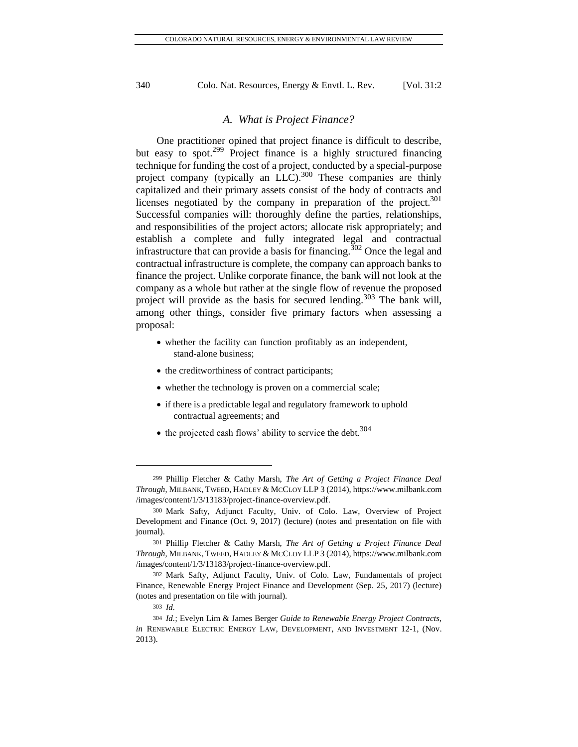#### *A. What is Project Finance?*

One practitioner opined that project finance is difficult to describe, but easy to spot.<sup>299</sup> Project finance is a highly structured financing technique for funding the cost of a project, conducted by a special-purpose project company (typically an LLC).<sup>300</sup> These companies are thinly capitalized and their primary assets consist of the body of contracts and licenses negotiated by the company in preparation of the project. $301$ Successful companies will: thoroughly define the parties, relationships, and responsibilities of the project actors; allocate risk appropriately; and establish a complete and fully integrated legal and contractual infrastructure that can provide a basis for financing.<sup>302</sup> Once the legal and contractual infrastructure is complete, the company can approach banks to finance the project. Unlike corporate finance, the bank will not look at the company as a whole but rather at the single flow of revenue the proposed project will provide as the basis for secured lending.<sup>303</sup> The bank will, among other things, consider five primary factors when assessing a proposal:

- whether the facility can function profitably as an independent, stand-alone business;
- the creditworthiness of contract participants;
- whether the technology is proven on a commercial scale;
- if there is a predictable legal and regulatory framework to uphold contractual agreements; and
- $\bullet$  the projected cash flows' ability to service the debt.<sup>304</sup>

<sup>299</sup> Phillip Fletcher & Cathy Marsh, *The Art of Getting a Project Finance Deal Through*, MILBANK, TWEED, HADLEY & MCCLOY LLP 3 (2014), https://www.milbank.com /images/content/1/3/13183/project-finance-overview.pdf.

<sup>300</sup> Mark Safty, Adjunct Faculty, Univ. of Colo. Law, Overview of Project Development and Finance (Oct. 9, 2017) (lecture) (notes and presentation on file with journal).

<sup>301</sup> Phillip Fletcher & Cathy Marsh, *The Art of Getting a Project Finance Deal Through*, MILBANK, TWEED, HADLEY & MCCLOY LLP 3 (2014), https://www.milbank.com /images/content/1/3/13183/project-finance-overview.pdf.

<sup>302</sup> Mark Safty, Adjunct Faculty, Univ. of Colo. Law, Fundamentals of project Finance, Renewable Energy Project Finance and Development (Sep. 25, 2017) (lecture) (notes and presentation on file with journal).

<sup>303</sup> *Id.*

<sup>304</sup> *Id.*; Evelyn Lim & James Berger *Guide to Renewable Energy Project Contracts*, *in* RENEWABLE ELECTRIC ENERGY LAW, DEVELOPMENT, AND INVESTMENT 12-1, (Nov. 2013).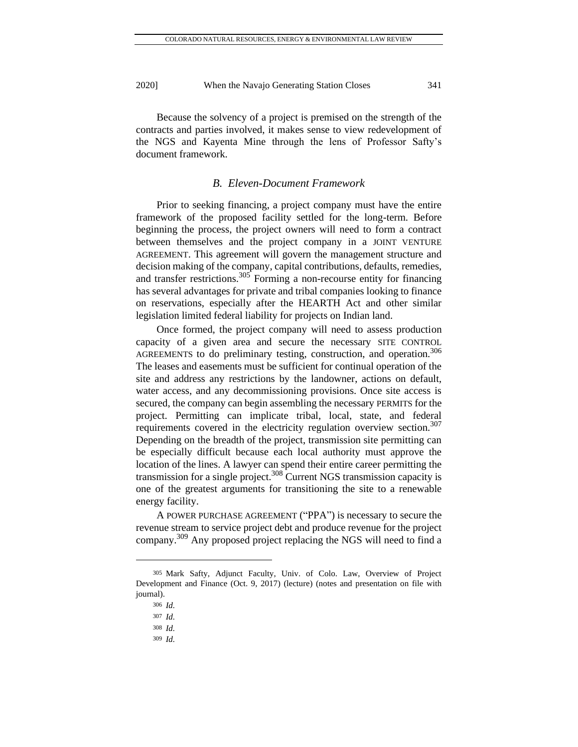Because the solvency of a project is premised on the strength of the contracts and parties involved, it makes sense to view redevelopment of the NGS and Kayenta Mine through the lens of Professor Safty's document framework.

# *B. Eleven-Document Framework*

Prior to seeking financing, a project company must have the entire framework of the proposed facility settled for the long-term. Before beginning the process, the project owners will need to form a contract between themselves and the project company in a JOINT VENTURE AGREEMENT. This agreement will govern the management structure and decision making of the company, capital contributions, defaults, remedies, and transfer restrictions.<sup>305</sup> Forming a non-recourse entity for financing has several advantages for private and tribal companies looking to finance on reservations, especially after the HEARTH Act and other similar legislation limited federal liability for projects on Indian land.

Once formed, the project company will need to assess production capacity of a given area and secure the necessary SITE CONTROL AGREEMENTS to do preliminary testing, construction, and operation.<sup>306</sup> The leases and easements must be sufficient for continual operation of the site and address any restrictions by the landowner, actions on default, water access, and any decommissioning provisions. Once site access is secured, the company can begin assembling the necessary PERMITS for the project. Permitting can implicate tribal, local, state, and federal requirements covered in the electricity regulation overview section.<sup>307</sup> Depending on the breadth of the project, transmission site permitting can be especially difficult because each local authority must approve the location of the lines. A lawyer can spend their entire career permitting the transmission for a single project.<sup>308</sup> Current NGS transmission capacity is one of the greatest arguments for transitioning the site to a renewable energy facility.

A POWER PURCHASE AGREEMENT ("PPA") is necessary to secure the revenue stream to service project debt and produce revenue for the project company.<sup>309</sup> Any proposed project replacing the NGS will need to find a

<sup>305</sup> Mark Safty, Adjunct Faculty, Univ. of Colo. Law, Overview of Project Development and Finance (Oct. 9, 2017) (lecture) (notes and presentation on file with journal).

<sup>306</sup> *Id.*

<sup>307</sup> *Id.*

<sup>308</sup> *Id.*

<sup>309</sup> *Id.*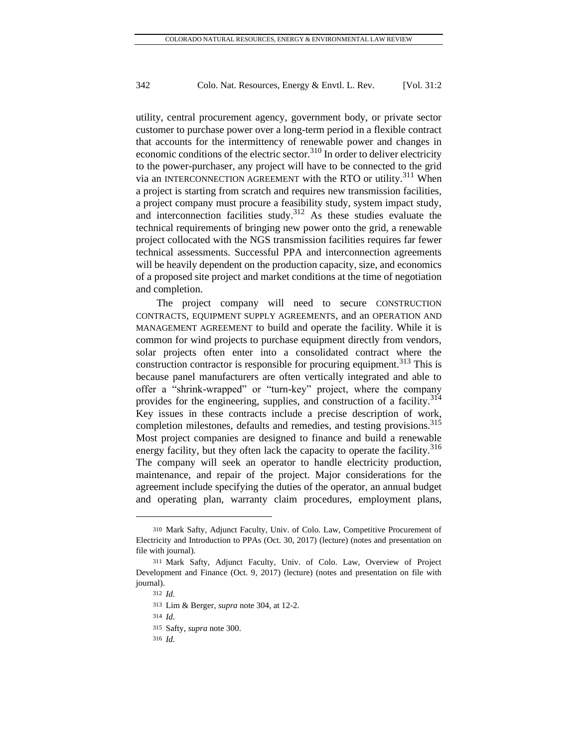utility, central procurement agency, government body, or private sector customer to purchase power over a long-term period in a flexible contract that accounts for the intermittency of renewable power and changes in economic conditions of the electric sector.<sup>310</sup> In order to deliver electricity to the power-purchaser, any project will have to be connected to the grid via an INTERCONNECTION AGREEMENT with the RTO or utility.<sup>311</sup> When a project is starting from scratch and requires new transmission facilities, a project company must procure a feasibility study, system impact study, and interconnection facilities study.<sup>312</sup> As these studies evaluate the technical requirements of bringing new power onto the grid, a renewable project collocated with the NGS transmission facilities requires far fewer technical assessments. Successful PPA and interconnection agreements will be heavily dependent on the production capacity, size, and economics of a proposed site project and market conditions at the time of negotiation and completion.

The project company will need to secure CONSTRUCTION CONTRACTS, EQUIPMENT SUPPLY AGREEMENTS, and an OPERATION AND MANAGEMENT AGREEMENT to build and operate the facility. While it is common for wind projects to purchase equipment directly from vendors, solar projects often enter into a consolidated contract where the construction contractor is responsible for procuring equipment.<sup>313</sup> This is because panel manufacturers are often vertically integrated and able to offer a "shrink-wrapped" or "turn-key" project, where the company provides for the engineering, supplies, and construction of a facility.<sup>314</sup> Key issues in these contracts include a precise description of work, completion milestones, defaults and remedies, and testing provisions.<sup>315</sup> Most project companies are designed to finance and build a renewable energy facility, but they often lack the capacity to operate the facility.<sup>316</sup> The company will seek an operator to handle electricity production, maintenance, and repair of the project. Major considerations for the agreement include specifying the duties of the operator, an annual budget and operating plan, warranty claim procedures, employment plans,

<sup>310</sup> Mark Safty, Adjunct Faculty, Univ. of Colo. Law, Competitive Procurement of Electricity and Introduction to PPAs (Oct. 30, 2017) (lecture) (notes and presentation on file with journal).

<sup>311</sup> Mark Safty, Adjunct Faculty, Univ. of Colo. Law, Overview of Project Development and Finance (Oct. 9, 2017) (lecture) (notes and presentation on file with journal).

<sup>312</sup> *Id.*

<sup>313</sup> Lim & Berger, *supra* note 304, at 12-2.

<sup>314</sup> *Id.*

<sup>315</sup> Safty, *supra* note 300.

<sup>316</sup> *Id.*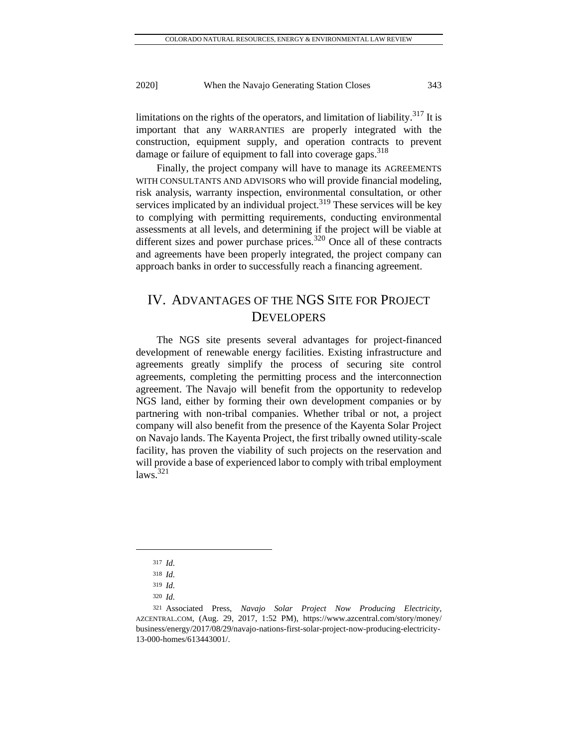limitations on the rights of the operators, and limitation of liability.<sup>317</sup> It is important that any WARRANTIES are properly integrated with the construction, equipment supply, and operation contracts to prevent damage or failure of equipment to fall into coverage gaps.<sup>318</sup>

Finally, the project company will have to manage its AGREEMENTS WITH CONSULTANTS AND ADVISORS who will provide financial modeling, risk analysis, warranty inspection, environmental consultation, or other services implicated by an individual project.<sup>319</sup> These services will be key to complying with permitting requirements, conducting environmental assessments at all levels, and determining if the project will be viable at different sizes and power purchase prices.<sup>320</sup> Once all of these contracts and agreements have been properly integrated, the project company can approach banks in order to successfully reach a financing agreement.

# IV. ADVANTAGES OF THE NGS SITE FOR PROJECT **DEVELOPERS**

The NGS site presents several advantages for project-financed development of renewable energy facilities. Existing infrastructure and agreements greatly simplify the process of securing site control agreements, completing the permitting process and the interconnection agreement. The Navajo will benefit from the opportunity to redevelop NGS land, either by forming their own development companies or by partnering with non-tribal companies. Whether tribal or not, a project company will also benefit from the presence of the Kayenta Solar Project on Navajo lands. The Kayenta Project, the first tribally owned utility-scale facility, has proven the viability of such projects on the reservation and will provide a base of experienced labor to comply with tribal employment  $laws.<sup>321</sup>$ 

<sup>317</sup> *Id.*

<sup>318</sup> *Id.*

<sup>319</sup> *Id.*

<sup>320</sup> *Id.*

<sup>321</sup> Associated Press, *Navajo Solar Project Now Producing Electricity*, AZCENTRAL.COM, (Aug. 29, 2017, 1:52 PM), [https://www.azcentral.com/story/money/](https://www.azcentral.com/story/money/%20business/energy/2017/08/29/navajo-nations-first-solar-project-now-producing-electricity-13-000-homes/613443001/)  [business/energy/2017/08/29/navajo-nations-first-solar-project-now-producing-electricity-](https://www.azcentral.com/story/money/%20business/energy/2017/08/29/navajo-nations-first-solar-project-now-producing-electricity-13-000-homes/613443001/)[13-000-homes/613443001/.](https://www.azcentral.com/story/money/%20business/energy/2017/08/29/navajo-nations-first-solar-project-now-producing-electricity-13-000-homes/613443001/)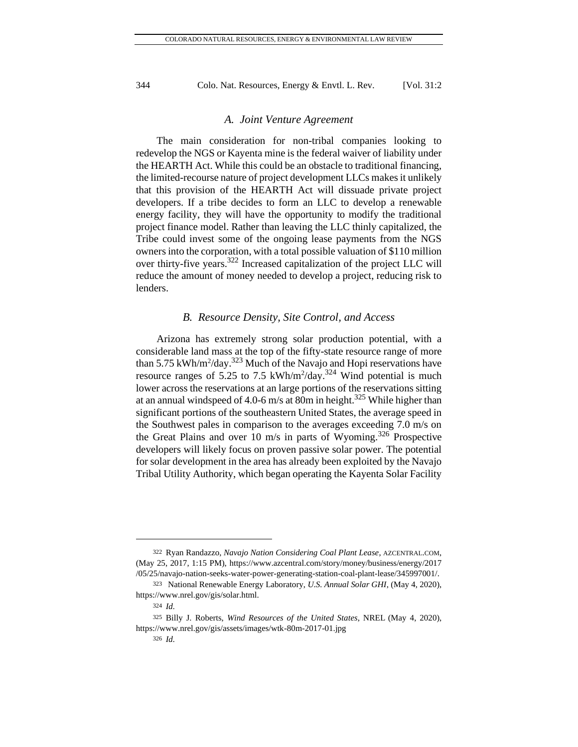#### *A. Joint Venture Agreement*

The main consideration for non-tribal companies looking to redevelop the NGS or Kayenta mine is the federal waiver of liability under the HEARTH Act. While this could be an obstacle to traditional financing, the limited-recourse nature of project development LLCs makes it unlikely that this provision of the HEARTH Act will dissuade private project developers. If a tribe decides to form an LLC to develop a renewable energy facility, they will have the opportunity to modify the traditional project finance model. Rather than leaving the LLC thinly capitalized, the Tribe could invest some of the ongoing lease payments from the NGS owners into the corporation, with a total possible valuation of \$110 million over thirty-five years.<sup>322</sup> Increased capitalization of the project LLC will reduce the amount of money needed to develop a project, reducing risk to lenders.

#### *B. Resource Density, Site Control, and Access*

Arizona has extremely strong solar production potential, with a considerable land mass at the top of the fifty-state resource range of more than 5.75 kWh/m<sup>2</sup>/day.<sup>323</sup> Much of the Navajo and Hopi reservations have resource ranges of 5.25 to 7.5 kWh/m<sup>2</sup>/day.<sup>324</sup> Wind potential is much lower across the reservations at an large portions of the reservations sitting at an annual windspeed of 4.0-6 m/s at 80m in height.<sup>325</sup> While higher than significant portions of the southeastern United States, the average speed in the Southwest pales in comparison to the averages exceeding 7.0 m/s on the Great Plains and over 10 m/s in parts of Wyoming.<sup>326</sup> Prospective developers will likely focus on proven passive solar power. The potential for solar development in the area has already been exploited by the Navajo Tribal Utility Authority, which began operating the Kayenta Solar Facility

<sup>322</sup> Ryan Randazzo, *Navajo Nation Considering Coal Plant Lease*, AZCENTRAL.COM, (May 25, 2017, 1:15 PM), [https://www.azcentral.com/story/money/business/energy/2017](https://www.azcentral.com/story/money/business/energy/2017%20/05/25/navajo-nation-seeks-water-power-generating-station-coal-plant-lease/345997001/)  [/05/25/navajo-nation-seeks-water-power-generating-station-coal-plant-lease/345997001/.](https://www.azcentral.com/story/money/business/energy/2017%20/05/25/navajo-nation-seeks-water-power-generating-station-coal-plant-lease/345997001/)

<sup>323</sup> National Renewable Energy Laboratory, *U.S. Annual Solar GHI*, (May 4, 2020), https://www.nrel.gov/gis/solar.html.

<sup>324</sup> *Id.*

<sup>325</sup> Billy J. Roberts, *Wind Resources of the United States*, NREL (May 4, 2020), https://www.nrel.gov/gis/assets/images/wtk-80m-2017-01.jpg

<sup>326</sup> *Id.*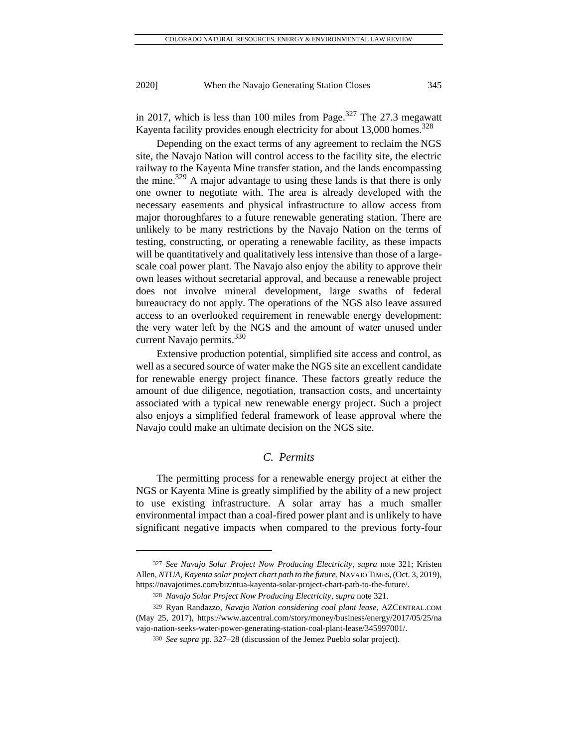in 2017, which is less than 100 miles from Page.<sup>327</sup> The 27.3 megawatt Kayenta facility provides enough electricity for about  $13,000$  homes.<sup>328</sup>

Depending on the exact terms of any agreement to reclaim the NGS site, the Navajo Nation will control access to the facility site, the electric railway to the Kayenta Mine transfer station, and the lands encompassing the mine.<sup>329</sup> A major advantage to using these lands is that there is only one owner to negotiate with. The area is already developed with the necessary easements and physical infrastructure to allow access from major thoroughfares to a future renewable generating station. There are unlikely to be many restrictions by the Navajo Nation on the terms of testing, constructing, or operating a renewable facility, as these impacts will be quantitatively and qualitatively less intensive than those of a largescale coal power plant. The Navajo also enjoy the ability to approve their own leases without secretarial approval, and because a renewable project does not involve mineral development, large swaths of federal bureaucracy do not apply. The operations of the NGS also leave assured access to an overlooked requirement in renewable energy development: the very water left by the NGS and the amount of water unused under current Navajo permits.<sup>330</sup>

Extensive production potential, simplified site access and control, as well as a secured source of water make the NGS site an excellent candidate for renewable energy project finance. These factors greatly reduce the amount of due diligence, negotiation, transaction costs, and uncertainty associated with a typical new renewable energy project. Such a project also enjoys a simplified federal framework of lease approval where the Navajo could make an ultimate decision on the NGS site.

### *C. Permits*

The permitting process for a renewable energy project at either the NGS or Kayenta Mine is greatly simplified by the ability of a new project to use existing infrastructure. A solar array has a much smaller environmental impact than a coal-fired power plant and is unlikely to have significant negative impacts when compared to the previous forty-four

<sup>327</sup> *See Navajo Solar Project Now Producing Electricity*, *supra* note 321; Kristen Allen, *NTUA, Kayenta solar project chart path to the future*, NAVAJO TIMES,(Oct. 3, 2019), [https://navajotimes.com/biz/ntua-kayenta-solar-project-chart-path-to-the-future/.](https://navajotimes.com/biz/ntua-kayenta-solar-project-chart-path-to-the-future/)

<sup>328</sup> *Navajo Solar Project Now Producing Electricity*, *supra* note 321.

<sup>329</sup> Ryan Randazzo, *Navajo Nation considering coal plant lease*, AZCENTRAL.COM (May 25, 2017), [https://www.azcentral.com/story/money/business/energy/2017/05/25/n](https://www.azcentral.com/story/money/business/energy/2017/05/25/)a vajo-nation-seeks-water-power-generating-station-coal-plant-lease/345997001/.

<sup>330</sup> *See supra* pp. 327–28 (discussion of the Jemez Pueblo solar project).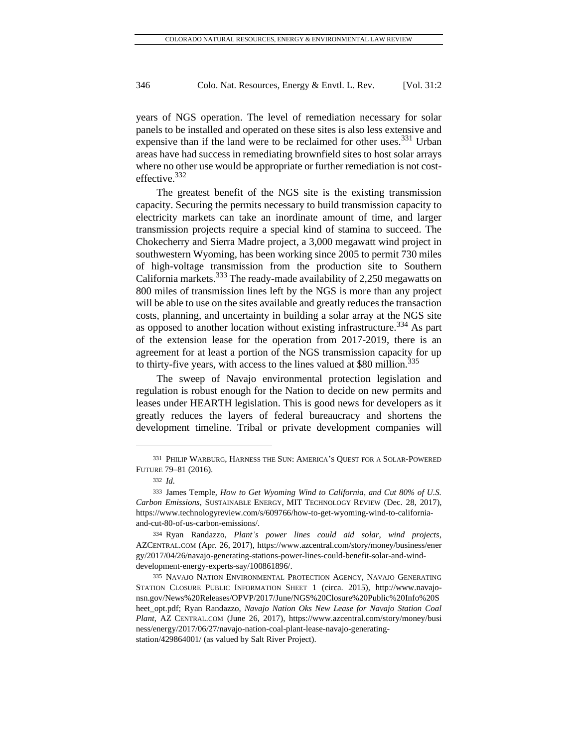years of NGS operation. The level of remediation necessary for solar panels to be installed and operated on these sites is also less extensive and expensive than if the land were to be reclaimed for other uses.  $331$  Urban areas have had success in remediating brownfield sites to host solar arrays where no other use would be appropriate or further remediation is not costeffective.<sup>332</sup>

The greatest benefit of the NGS site is the existing transmission capacity. Securing the permits necessary to build transmission capacity to electricity markets can take an inordinate amount of time, and larger transmission projects require a special kind of stamina to succeed. The Chokecherry and Sierra Madre project, a 3,000 megawatt wind project in southwestern Wyoming, has been working since 2005 to permit 730 miles of high-voltage transmission from the production site to Southern California markets. $333$  The ready-made availability of 2,250 megawatts on 800 miles of transmission lines left by the NGS is more than any project will be able to use on the sites available and greatly reduces the transaction costs, planning, and uncertainty in building a solar array at the NGS site as opposed to another location without existing infrastructure.<sup>334</sup> As part of the extension lease for the operation from 2017-2019, there is an agreement for at least a portion of the NGS transmission capacity for up to thirty-five years, with access to the lines valued at \$80 million.<sup>335</sup>

The sweep of Navajo environmental protection legislation and regulation is robust enough for the Nation to decide on new permits and leases under HEARTH legislation. This is good news for developers as it greatly reduces the layers of federal bureaucracy and shortens the development timeline. Tribal or private development companies will

<sup>331</sup> PHILIP WARBURG, HARNESS THE SUN: AMERICA'S QUEST FOR A SOLAR-POWERED FUTURE 79–81 (2016).

<sup>332</sup> *Id.*

<sup>333</sup> James Temple, *How to Get Wyoming Wind to California, and Cut 80% of U.S. Carbon Emissions*, SUSTAINABLE ENERGY, MIT TECHNOLOGY REVIEW (Dec. 28, 2017), [https://www.technologyreview.com/s/609766/how-to-get-wyoming-wind-to-california](https://www.technologyreview.com/s/609766/how-to-get-wyoming-wind-to-california-and-cut-80-of-us-carbon-emissions/)[and-cut-80-of-us-carbon-emissions/.](https://www.technologyreview.com/s/609766/how-to-get-wyoming-wind-to-california-and-cut-80-of-us-carbon-emissions/)

<sup>334</sup> Ryan Randazzo, *Plant's power lines could aid solar, wind projects*, AZCENTRAL.COM (Apr. 26, 2017), [https://www.azcentral.com/story/money/business/ener](https://www.azcentral.com/story/money/business/ener%20gy/2017/04/26/navajo-generating-stations-power-lines-could-benefit-solar-and-wind-development-energy-experts-say/100861896/)  [gy/2017/04/26/navajo-generating-stations-power-lines-could-benefit-solar-and-wind](https://www.azcentral.com/story/money/business/ener%20gy/2017/04/26/navajo-generating-stations-power-lines-could-benefit-solar-and-wind-development-energy-experts-say/100861896/)[development-energy-experts-say/100861896/.](https://www.azcentral.com/story/money/business/ener%20gy/2017/04/26/navajo-generating-stations-power-lines-could-benefit-solar-and-wind-development-energy-experts-say/100861896/)

<sup>335</sup> NAVAJO NATION ENVIRONMENTAL PROTECTION AGENCY, NAVAJO GENERATING STATION CLOSURE PUBLIC INFORMATION SHEET 1 (circa. 2015), [http://www.navajo](http://www.navajo-nsn.gov/News%20Releases/OPVP/2017/June/NGS%20Closure%20Public%20Info%20Sheet_opt.pdf)[nsn.gov/News%20Releases/OPVP/2017/June/NGS%20Closure%20Public%20Info%20S](http://www.navajo-nsn.gov/News%20Releases/OPVP/2017/June/NGS%20Closure%20Public%20Info%20Sheet_opt.pdf) [heet\\_opt.pdf;](http://www.navajo-nsn.gov/News%20Releases/OPVP/2017/June/NGS%20Closure%20Public%20Info%20Sheet_opt.pdf) Ryan Randazzo, *Navajo Nation Oks New Lease for Navajo Station Coal Plant*, AZ CENTRAL.COM (June 26, 2017), [https://www.azcentral.com/story/money/b](https://www.azcentral.com/story/money/)usi ness/energy/2017/06/27/navajo-nation-coal-plant-lease-navajo-generatingstation/429864001/ (as valued by Salt River Project).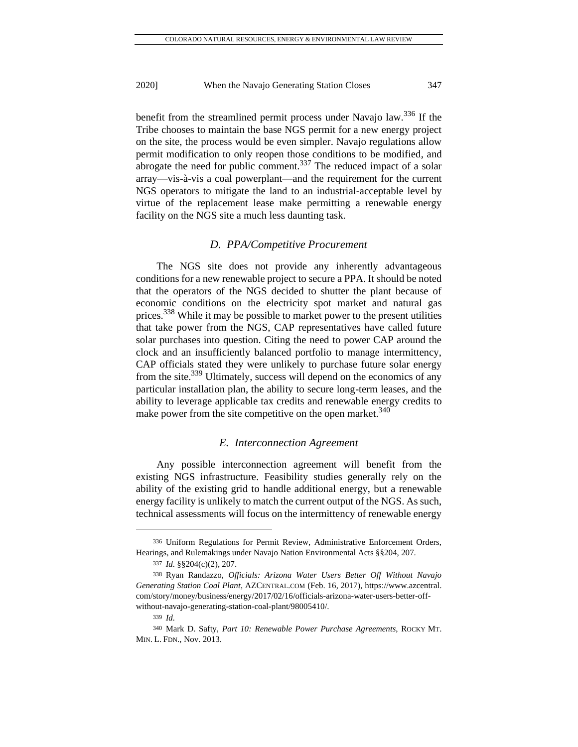benefit from the streamlined permit process under Navajo law.<sup>336</sup> If the Tribe chooses to maintain the base NGS permit for a new energy project on the site, the process would be even simpler. Navajo regulations allow permit modification to only reopen those conditions to be modified, and abrogate the need for public comment.<sup>337</sup> The reduced impact of a solar array—vis-à-vis a coal powerplant—and the requirement for the current NGS operators to mitigate the land to an industrial-acceptable level by virtue of the replacement lease make permitting a renewable energy facility on the NGS site a much less daunting task.

#### *D. PPA/Competitive Procurement*

The NGS site does not provide any inherently advantageous conditions for a new renewable project to secure a PPA. It should be noted that the operators of the NGS decided to shutter the plant because of economic conditions on the electricity spot market and natural gas prices.<sup>338</sup> While it may be possible to market power to the present utilities that take power from the NGS, CAP representatives have called future solar purchases into question. Citing the need to power CAP around the clock and an insufficiently balanced portfolio to manage intermittency, CAP officials stated they were unlikely to purchase future solar energy from the site.<sup>339</sup> Ultimately, success will depend on the economics of any particular installation plan, the ability to secure long-term leases, and the ability to leverage applicable tax credits and renewable energy credits to make power from the site competitive on the open market.<sup>340</sup>

#### *E. Interconnection Agreement*

Any possible interconnection agreement will benefit from the existing NGS infrastructure. Feasibility studies generally rely on the ability of the existing grid to handle additional energy, but a renewable energy facility is unlikely to match the current output of the NGS. As such, technical assessments will focus on the intermittency of renewable energy

<sup>336</sup> Uniform Regulations for Permit Review, Administrative Enforcement Orders, Hearings, and Rulemakings under Navajo Nation Environmental Acts §§204, 207.

<sup>337</sup> *Id.* §§204(c)(2), 207.

<sup>338</sup> Ryan Randazzo, *Officials: Arizona Water Users Better Off Without Navajo Generating Station Coal Plant*, AZCENTRAL.COM (Feb. 16, 2017), https://www.azcentral. com/story/money/business/energy/2017/02/16/officials-arizona-water-users-better-offwithout-navajo-generating-station-coal-plant/98005410/.

<sup>339</sup> *Id.*

<sup>340</sup> Mark D. Safty, *Part 10: Renewable Power Purchase Agreements*, ROCKY MT. MIN. L. FDN., Nov. 2013.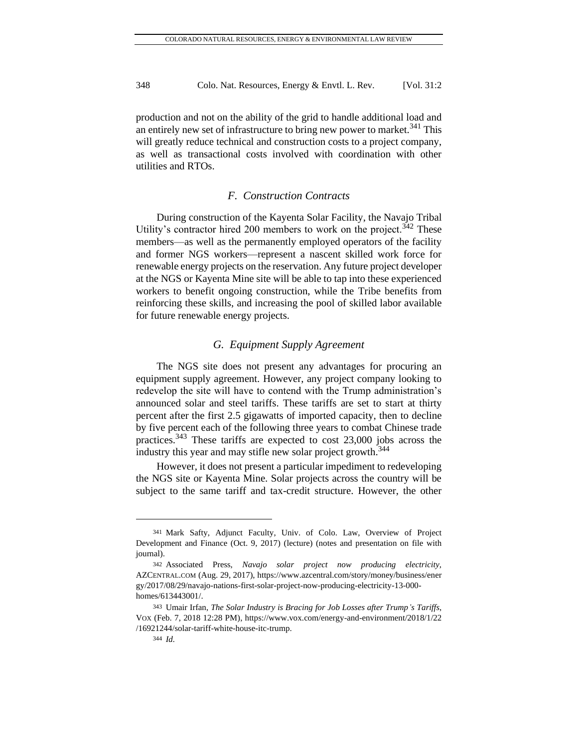production and not on the ability of the grid to handle additional load and an entirely new set of infrastructure to bring new power to market. $341$  This will greatly reduce technical and construction costs to a project company, as well as transactional costs involved with coordination with other utilities and RTOs.

### *F. Construction Contracts*

During construction of the Kayenta Solar Facility, the Navajo Tribal Utility's contractor hired 200 members to work on the project.<sup> $342$ </sup> These members—as well as the permanently employed operators of the facility and former NGS workers—represent a nascent skilled work force for renewable energy projects on the reservation. Any future project developer at the NGS or Kayenta Mine site will be able to tap into these experienced workers to benefit ongoing construction, while the Tribe benefits from reinforcing these skills, and increasing the pool of skilled labor available for future renewable energy projects.

# *G. Equipment Supply Agreement*

The NGS site does not present any advantages for procuring an equipment supply agreement. However, any project company looking to redevelop the site will have to contend with the Trump administration's announced solar and steel tariffs. These tariffs are set to start at thirty percent after the first 2.5 gigawatts of imported capacity, then to decline by five percent each of the following three years to combat Chinese trade practices.<sup>343</sup> These tariffs are expected to cost  $23,000$  jobs across the industry this year and may stifle new solar project growth.<sup>344</sup>

However, it does not present a particular impediment to redeveloping the NGS site or Kayenta Mine. Solar projects across the country will be subject to the same tariff and tax-credit structure. However, the other

<sup>341</sup> Mark Safty, Adjunct Faculty, Univ. of Colo. Law, Overview of Project Development and Finance (Oct. 9, 2017) (lecture) (notes and presentation on file with journal).

<sup>342</sup> Associated Press, *Navajo solar project now producing electricity,* AZCENTRAL.COM (Aug. 29, 2017)[, https://www.azcentral.com/story/money/business/ener](https://www.azcentral.com/story/money/business/ener%20gy/2017/08/29/navajo-nations-first-solar-project-now-producing-electricity-13-000-homes/613443001/)  [gy/2017/08/29/navajo-nations-first-solar-project-now-producing-electricity-13-000](https://www.azcentral.com/story/money/business/ener%20gy/2017/08/29/navajo-nations-first-solar-project-now-producing-electricity-13-000-homes/613443001/) [homes/613443001/.](https://www.azcentral.com/story/money/business/ener%20gy/2017/08/29/navajo-nations-first-solar-project-now-producing-electricity-13-000-homes/613443001/)

<sup>343</sup> Umair Irfan, *The Solar Industry is Bracing for Job Losses after Trump's Tariffs*, VOX (Feb. 7, 2018 12:28 PM), [https://www.vox.com/energy-and-environment/2018/1/22](https://www.vox.com/energy-and-environment/2018/1/22%20/16921244/solar-tariff-white-house-itc-trump)  [/16921244/solar-tariff-white-house-itc-trump.](https://www.vox.com/energy-and-environment/2018/1/22%20/16921244/solar-tariff-white-house-itc-trump)

<sup>344</sup> *Id.*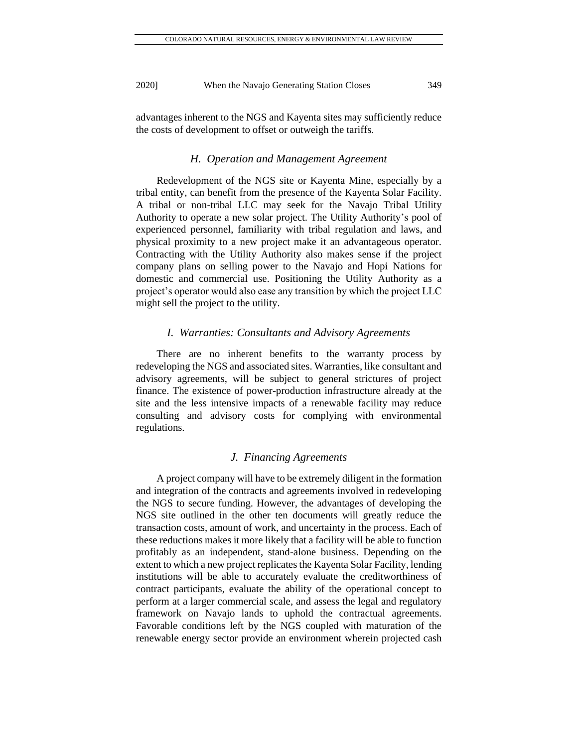advantages inherent to the NGS and Kayenta sites may sufficiently reduce the costs of development to offset or outweigh the tariffs.

#### *H. Operation and Management Agreement*

Redevelopment of the NGS site or Kayenta Mine, especially by a tribal entity, can benefit from the presence of the Kayenta Solar Facility. A tribal or non-tribal LLC may seek for the Navajo Tribal Utility Authority to operate a new solar project. The Utility Authority's pool of experienced personnel, familiarity with tribal regulation and laws, and physical proximity to a new project make it an advantageous operator. Contracting with the Utility Authority also makes sense if the project company plans on selling power to the Navajo and Hopi Nations for domestic and commercial use. Positioning the Utility Authority as a project's operator would also ease any transition by which the project LLC might sell the project to the utility.

#### *I. Warranties: Consultants and Advisory Agreements*

There are no inherent benefits to the warranty process by redeveloping the NGS and associated sites. Warranties, like consultant and advisory agreements, will be subject to general strictures of project finance. The existence of power-production infrastructure already at the site and the less intensive impacts of a renewable facility may reduce consulting and advisory costs for complying with environmental regulations.

#### *J. Financing Agreements*

A project company will have to be extremely diligent in the formation and integration of the contracts and agreements involved in redeveloping the NGS to secure funding. However, the advantages of developing the NGS site outlined in the other ten documents will greatly reduce the transaction costs, amount of work, and uncertainty in the process. Each of these reductions makes it more likely that a facility will be able to function profitably as an independent, stand-alone business. Depending on the extent to which a new project replicates the Kayenta Solar Facility, lending institutions will be able to accurately evaluate the creditworthiness of contract participants, evaluate the ability of the operational concept to perform at a larger commercial scale, and assess the legal and regulatory framework on Navajo lands to uphold the contractual agreements. Favorable conditions left by the NGS coupled with maturation of the renewable energy sector provide an environment wherein projected cash